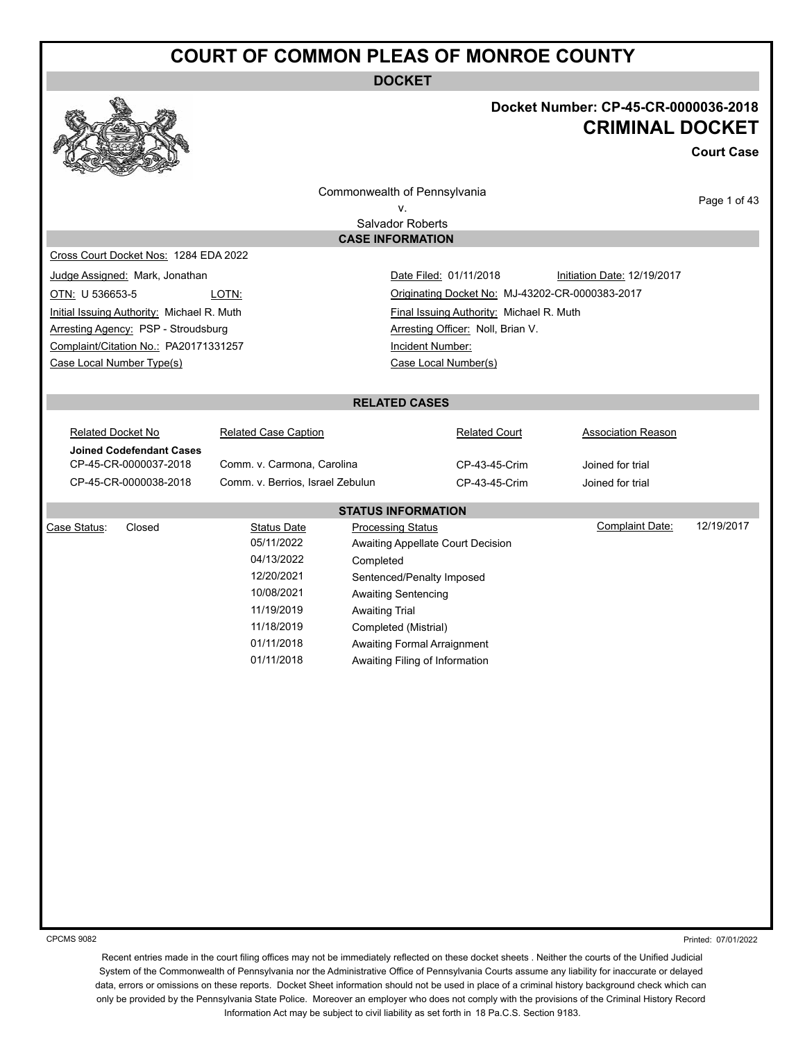**DOCKET**



### **Docket Number: CP-45-CR-0000036-2018 CRIMINAL DOCKET**

**Court Case**

Commonwealth of Pennsylvania

Page 1 of 43

v. Salvador Roberts **CASE INFORMATION**

Cross Court Docket Nos: 1284 EDA 2022

Initial Issuing Authority: Michael R. Muth Final Issuing Authority: Michael R. Muth Arresting Agency: PSP - Stroudsburg Arresting Officer: Noll, Brian V. Complaint/Citation No.: PA20171331257 Incident Number: Case Local Number Type(s) Case Local Number(s)

Judge Assigned: Mark, Jonathan **Date Filed: 01/11/2018** Initiation Date: 12/19/2017 OTN: U 536653-5 LOTN: Originating Docket No: MJ-43202-CR-0000383-2017

#### **RELATED CASES**

Related Docket No **Related Case Caption Related Court** Related Court **Association Reason Joined Codefendant Cases** CP-45-CR-0000037-2018 Comm. v. Carmona, Carolina CP-43-45-Crim Joined for trial CP-45-CR-0000038-2018 Comm. v. Berrios, Israel Zebulun CP-43-45-Crim Joined for trial **STATUS INFORMATION**

| Case Status:<br>Closed | <b>Status Date</b> | <b>Processing Status</b>          | Complaint Date: | 12/19/2017 |
|------------------------|--------------------|-----------------------------------|-----------------|------------|
|                        | 05/11/2022         | Awaiting Appellate Court Decision |                 |            |
|                        | 04/13/2022         | Completed                         |                 |            |
|                        | 12/20/2021         | Sentenced/Penalty Imposed         |                 |            |
|                        | 10/08/2021         | Awaiting Sentencing               |                 |            |
|                        | 11/19/2019         | <b>Awaiting Trial</b>             |                 |            |
|                        | 11/18/2019         | Completed (Mistrial)              |                 |            |
|                        | 01/11/2018         | Awaiting Formal Arraignment       |                 |            |
|                        | 01/11/2018         | Awaiting Filing of Information    |                 |            |
|                        |                    |                                   |                 |            |

CPCMS 9082

Printed: 07/01/2022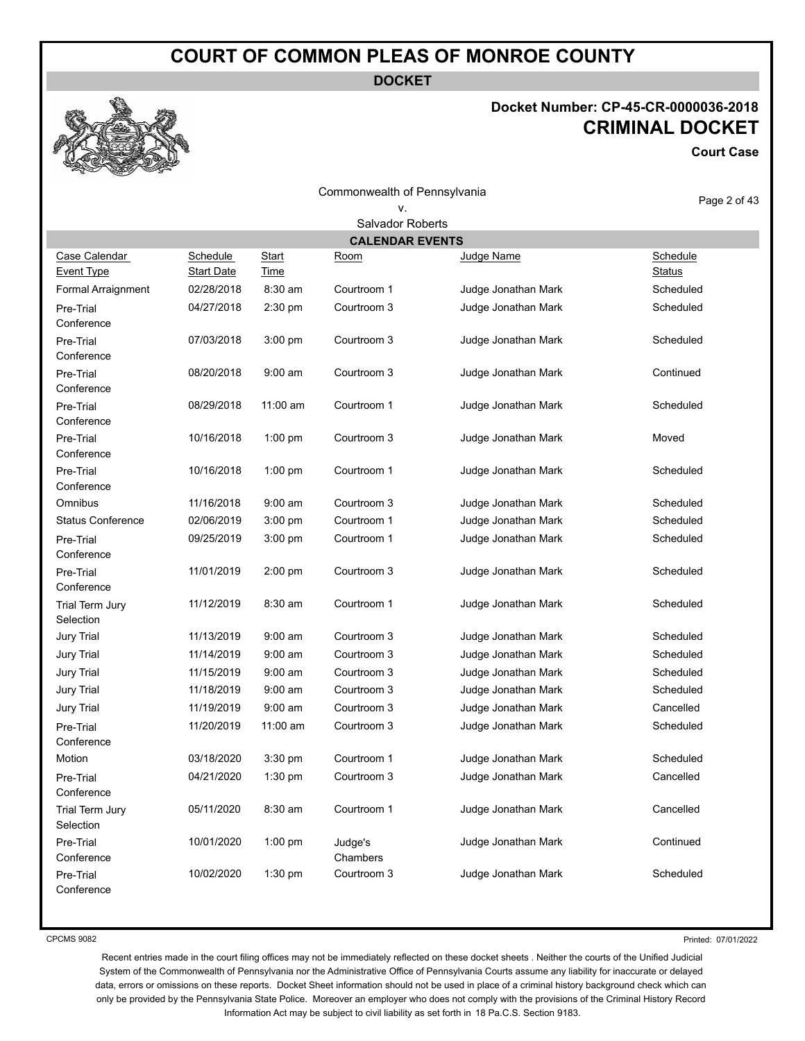**DOCKET**

# **Docket Number: CP-45-CR-0000036-2018 CRIMINAL DOCKET**

**Court Case**

|                                    |                                      |                             | Commonwealth of Pennsylvania |                     | Page 2 of 43              |
|------------------------------------|--------------------------------------|-----------------------------|------------------------------|---------------------|---------------------------|
|                                    |                                      |                             | ν.                           |                     |                           |
|                                    |                                      |                             | Salvador Roberts             |                     |                           |
|                                    |                                      |                             | <b>CALENDAR EVENTS</b>       |                     |                           |
| Case Calendar<br><b>Event Type</b> | <b>Schedule</b><br><b>Start Date</b> | <b>Start</b><br><b>Time</b> | <u>Room</u>                  | Judge Name          | Schedule<br><b>Status</b> |
| Formal Arraignment                 | 02/28/2018                           | $8:30$ am                   | Courtroom 1                  | Judge Jonathan Mark | Scheduled                 |
| Pre-Trial<br>Conference            | 04/27/2018                           | 2:30 pm                     | Courtroom 3                  | Judge Jonathan Mark | Scheduled                 |
| Pre-Trial<br>Conference            | 07/03/2018                           | 3:00 pm                     | Courtroom 3                  | Judge Jonathan Mark | Scheduled                 |
| Pre-Trial<br>Conference            | 08/20/2018                           | $9:00$ am                   | Courtroom 3                  | Judge Jonathan Mark | Continued                 |
| Pre-Trial<br>Conference            | 08/29/2018                           | $11:00$ am                  | Courtroom 1                  | Judge Jonathan Mark | Scheduled                 |
| Pre-Trial<br>Conference            | 10/16/2018                           | $1:00$ pm                   | Courtroom 3                  | Judge Jonathan Mark | Moved                     |
| Pre-Trial<br>Conference            | 10/16/2018                           | 1:00 pm                     | Courtroom 1                  | Judge Jonathan Mark | Scheduled                 |
| Omnibus                            | 11/16/2018                           | $9:00$ am                   | Courtroom 3                  | Judge Jonathan Mark | Scheduled                 |
| <b>Status Conference</b>           | 02/06/2019                           | $3:00$ pm                   | Courtroom 1                  | Judge Jonathan Mark | Scheduled                 |
| Pre-Trial<br>Conference            | 09/25/2019                           | $3:00$ pm                   | Courtroom 1                  | Judge Jonathan Mark | Scheduled                 |
| Pre-Trial<br>Conference            | 11/01/2019                           | 2:00 pm                     | Courtroom 3                  | Judge Jonathan Mark | Scheduled                 |
| Trial Term Jury<br>Selection       | 11/12/2019                           | 8:30 am                     | Courtroom 1                  | Judge Jonathan Mark | Scheduled                 |
| Jury Trial                         | 11/13/2019                           | $9:00$ am                   | Courtroom 3                  | Judge Jonathan Mark | Scheduled                 |
| Jury Trial                         | 11/14/2019                           | $9:00$ am                   | Courtroom 3                  | Judge Jonathan Mark | Scheduled                 |
| Jury Trial                         | 11/15/2019                           | $9:00$ am                   | Courtroom 3                  | Judge Jonathan Mark | Scheduled                 |
| Jury Trial                         | 11/18/2019                           | $9:00$ am                   | Courtroom 3                  | Judge Jonathan Mark | Scheduled                 |
| Jury Trial                         | 11/19/2019                           | $9:00$ am                   | Courtroom 3                  | Judge Jonathan Mark | Cancelled                 |
| Pre-Trial<br>Conference            | 11/20/2019                           | $11:00$ am                  | Courtroom 3                  | Judge Jonathan Mark | Scheduled                 |
| Motion                             | 03/18/2020                           | 3:30 pm                     | Courtroom 1                  | Judge Jonathan Mark | Scheduled                 |
| Pre-Trial<br>Conference            | 04/21/2020                           | 1:30 pm                     | Courtroom 3                  | Judge Jonathan Mark | Cancelled                 |
| Trial Term Jury<br>Selection       | 05/11/2020                           | 8:30 am                     | Courtroom 1                  | Judge Jonathan Mark | Cancelled                 |
| Pre-Trial<br>Conference            | 10/01/2020                           | 1:00 pm                     | Judge's<br>Chambers          | Judge Jonathan Mark | Continued                 |
| Pre-Trial<br>Conference            | 10/02/2020                           | 1:30 pm                     | Courtroom 3                  | Judge Jonathan Mark | Scheduled                 |

CPCMS 9082

Printed: 07/01/2022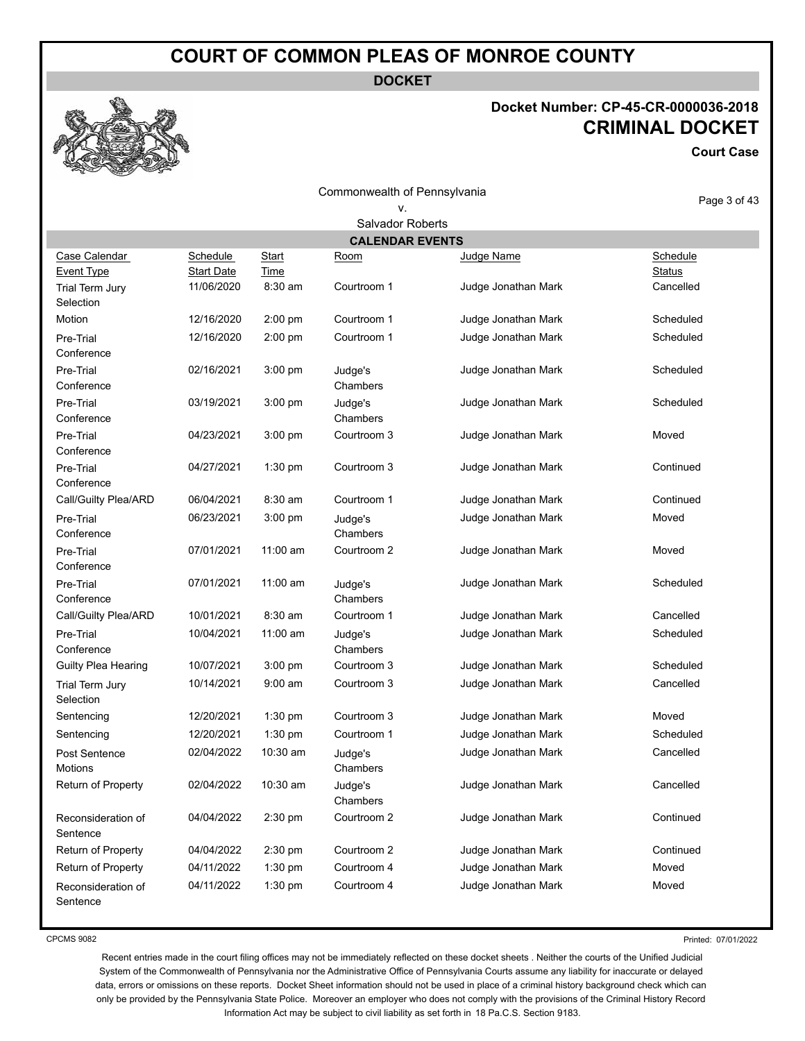**DOCKET**

# **Docket Number: CP-45-CR-0000036-2018 CRIMINAL DOCKET**

**Court Case**

Commonwealth of Pennsylvania

# v.

Page 3 of 43

| Salvador Roberts               |                   |           |                     |                     |               |  |
|--------------------------------|-------------------|-----------|---------------------|---------------------|---------------|--|
| <b>CALENDAR EVENTS</b>         |                   |           |                     |                     |               |  |
| Case Calendar                  | Schedule          | Start     | Room                | Judge Name          | Schedule      |  |
| <b>Event Type</b>              | <b>Start Date</b> | Time      |                     |                     | <b>Status</b> |  |
| Trial Term Jury                | 11/06/2020        | 8:30 am   | Courtroom 1         | Judge Jonathan Mark | Cancelled     |  |
| Selection                      |                   |           |                     |                     |               |  |
| Motion                         | 12/16/2020        | 2:00 pm   | Courtroom 1         | Judge Jonathan Mark | Scheduled     |  |
| Pre-Trial<br>Conference        | 12/16/2020        | 2:00 pm   | Courtroom 1         | Judge Jonathan Mark | Scheduled     |  |
| Pre-Trial<br>Conference        | 02/16/2021        | 3:00 pm   | Judge's<br>Chambers | Judge Jonathan Mark | Scheduled     |  |
| Pre-Trial<br>Conference        | 03/19/2021        | 3:00 pm   | Judge's<br>Chambers | Judge Jonathan Mark | Scheduled     |  |
| Pre-Trial<br>Conference        | 04/23/2021        | 3:00 pm   | Courtroom 3         | Judge Jonathan Mark | Moved         |  |
| Pre-Trial<br>Conference        | 04/27/2021        | 1:30 pm   | Courtroom 3         | Judge Jonathan Mark | Continued     |  |
| Call/Guilty Plea/ARD           | 06/04/2021        | 8:30 am   | Courtroom 1         | Judge Jonathan Mark | Continued     |  |
| Pre-Trial<br>Conference        | 06/23/2021        | 3:00 pm   | Judge's<br>Chambers | Judge Jonathan Mark | Moved         |  |
| Pre-Trial<br>Conference        | 07/01/2021        | 11:00 am  | Courtroom 2         | Judge Jonathan Mark | Moved         |  |
| Pre-Trial<br>Conference        | 07/01/2021        | 11:00 am  | Judge's<br>Chambers | Judge Jonathan Mark | Scheduled     |  |
| Call/Guilty Plea/ARD           | 10/01/2021        | 8:30 am   | Courtroom 1         | Judge Jonathan Mark | Cancelled     |  |
| Pre-Trial<br>Conference        | 10/04/2021        | 11:00 am  | Judge's<br>Chambers | Judge Jonathan Mark | Scheduled     |  |
| Guilty Plea Hearing            | 10/07/2021        | $3:00$ pm | Courtroom 3         | Judge Jonathan Mark | Scheduled     |  |
| Trial Term Jury<br>Selection   | 10/14/2021        | $9:00$ am | Courtroom 3         | Judge Jonathan Mark | Cancelled     |  |
| Sentencing                     | 12/20/2021        | 1:30 pm   | Courtroom 3         | Judge Jonathan Mark | Moved         |  |
| Sentencing                     | 12/20/2021        | 1:30 pm   | Courtroom 1         | Judge Jonathan Mark | Scheduled     |  |
| Post Sentence<br>Motions       | 02/04/2022        | 10:30 am  | Judge's<br>Chambers | Judge Jonathan Mark | Cancelled     |  |
| Return of Property             | 02/04/2022        | 10:30 am  | Judge's<br>Chambers | Judge Jonathan Mark | Cancelled     |  |
| Reconsideration of<br>Sentence | 04/04/2022        | 2:30 pm   | Courtroom 2         | Judge Jonathan Mark | Continued     |  |
| Return of Property             | 04/04/2022        | 2:30 pm   | Courtroom 2         | Judge Jonathan Mark | Continued     |  |
| Return of Property             | 04/11/2022        | 1:30 pm   | Courtroom 4         | Judge Jonathan Mark | Moved         |  |
| Reconsideration of<br>Sentence | 04/11/2022        | 1:30 pm   | Courtroom 4         | Judge Jonathan Mark | Moved         |  |

CPCMS 9082

Printed: 07/01/2022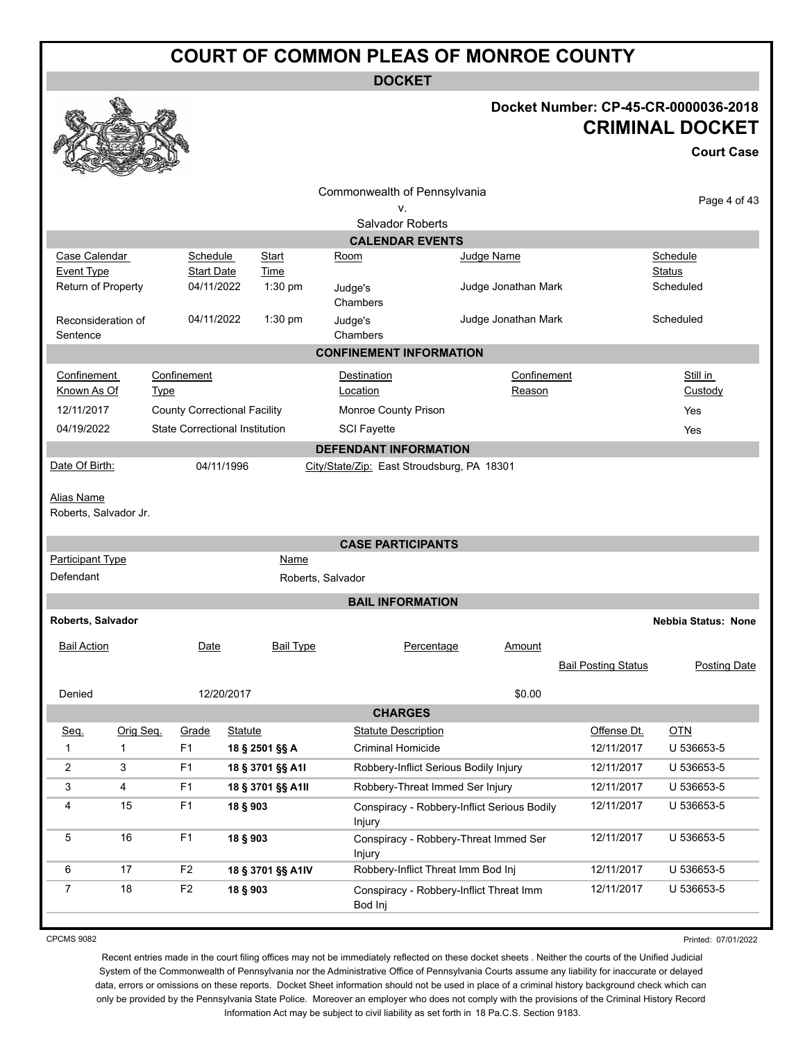**DOCKET**

# **Docket Number: CP-45-CR-0000036-2018 CRIMINAL DOCKET**

**Court Case**

|                                      |           |                               |                                       | Commonwealth of Pennsylvania               |                                             |                       |                            |                            |
|--------------------------------------|-----------|-------------------------------|---------------------------------------|--------------------------------------------|---------------------------------------------|-----------------------|----------------------------|----------------------------|
|                                      | v.        |                               |                                       |                                            |                                             |                       | Page 4 of 43               |                            |
|                                      |           |                               |                                       | Salvador Roberts                           |                                             |                       |                            |                            |
|                                      |           |                               |                                       |                                            | <b>CALENDAR EVENTS</b>                      |                       |                            |                            |
| Case Calendar<br>Event Type          |           | Schedule<br><b>Start Date</b> | Start<br>Time                         | Room                                       |                                             | Judge Name            |                            | Schedule<br>Status         |
| Return of Property                   |           | 04/11/2022                    | $1:30$ pm                             | Judge's                                    |                                             | Judge Jonathan Mark   |                            | Scheduled                  |
|                                      |           |                               |                                       | Chambers                                   |                                             |                       |                            |                            |
| Reconsideration of                   |           | 04/11/2022                    | 1:30 pm                               | Judge's                                    |                                             | Judge Jonathan Mark   |                            | Scheduled                  |
| Sentence                             |           |                               |                                       | Chambers<br><b>CONFINEMENT INFORMATION</b> |                                             |                       |                            |                            |
|                                      |           |                               |                                       |                                            |                                             |                       |                            |                            |
| Confinement<br>Known As Of           |           | Confinement<br><b>Type</b>    |                                       | Destination<br>Location                    |                                             | Confinement<br>Reason |                            | Still in<br>Custody        |
| 12/11/2017                           |           |                               | <b>County Correctional Facility</b>   | Monroe County Prison                       |                                             |                       |                            | Yes                        |
| 04/19/2022                           |           |                               | <b>State Correctional Institution</b> | <b>SCI Fayette</b>                         |                                             |                       |                            | Yes                        |
|                                      |           |                               |                                       | <b>DEFENDANT INFORMATION</b>               |                                             |                       |                            |                            |
| Date Of Birth:                       |           |                               | 04/11/1996                            | City/State/Zip: East Stroudsburg, PA 18301 |                                             |                       |                            |                            |
|                                      |           |                               |                                       |                                            |                                             |                       |                            |                            |
| Alias Name<br>Roberts, Salvador Jr.  |           |                               |                                       |                                            |                                             |                       |                            |                            |
|                                      |           |                               |                                       |                                            |                                             |                       |                            |                            |
|                                      |           |                               |                                       | <b>CASE PARTICIPANTS</b>                   |                                             |                       |                            |                            |
| <b>Participant Type</b><br>Defendant |           |                               | Name                                  | Roberts, Salvador                          |                                             |                       |                            |                            |
|                                      |           |                               |                                       |                                            |                                             |                       |                            |                            |
|                                      |           |                               |                                       | <b>BAIL INFORMATION</b>                    |                                             |                       |                            |                            |
| Roberts, Salvador                    |           |                               |                                       |                                            |                                             |                       |                            | <b>Nebbia Status: None</b> |
| <b>Bail Action</b>                   |           | Date                          | <b>Bail Type</b>                      |                                            | Percentage                                  | Amount                |                            |                            |
|                                      |           |                               |                                       |                                            |                                             |                       | <b>Bail Posting Status</b> | Posting Date               |
| Denied                               |           |                               | 12/20/2017                            |                                            |                                             | \$0.00                |                            |                            |
|                                      |           |                               |                                       | <b>CHARGES</b>                             |                                             |                       |                            |                            |
| <u>Seq.</u>                          | Orig Seq. | Grade                         | <b>Statute</b>                        | <b>Statute Description</b>                 |                                             |                       | Offense Dt.                | $OTN$                      |
| 1                                    | 1         | F1                            | 18 § 2501 §§ A                        | <b>Criminal Homicide</b>                   |                                             |                       | 12/11/2017                 | U 536653-5                 |
| 2                                    | 3         | F <sub>1</sub>                | 18 § 3701 §§ A1I                      |                                            | Robbery-Inflict Serious Bodily Injury       |                       | 12/11/2017                 | U 536653-5                 |
| 3                                    | 4         | F <sub>1</sub>                | 18 § 3701 §§ A1II                     |                                            | Robbery-Threat Immed Ser Injury             |                       | 12/11/2017                 | U 536653-5                 |
| 4                                    | 15        | F <sub>1</sub>                | 18 § 903                              | Injury                                     | Conspiracy - Robbery-Inflict Serious Bodily |                       | 12/11/2017                 | U 536653-5                 |
| 5                                    | 16        | F <sub>1</sub>                | 18 § 903                              | Injury                                     | Conspiracy - Robbery-Threat Immed Ser       |                       | 12/11/2017                 | U 536653-5                 |
| 6                                    | 17        | F <sub>2</sub>                | 18 § 3701 §§ A1IV                     |                                            | Robbery-Inflict Threat Imm Bod Inj          |                       | 12/11/2017                 | U 536653-5                 |
| 7                                    | $18$      | F <sub>2</sub>                | 18 § 903                              | Bod Inj                                    | Conspiracy - Robbery-Inflict Threat Imm     |                       | 12/11/2017                 | U 536653-5                 |
|                                      |           |                               |                                       |                                            |                                             |                       |                            |                            |

CPCMS 9082

Printed: 07/01/2022

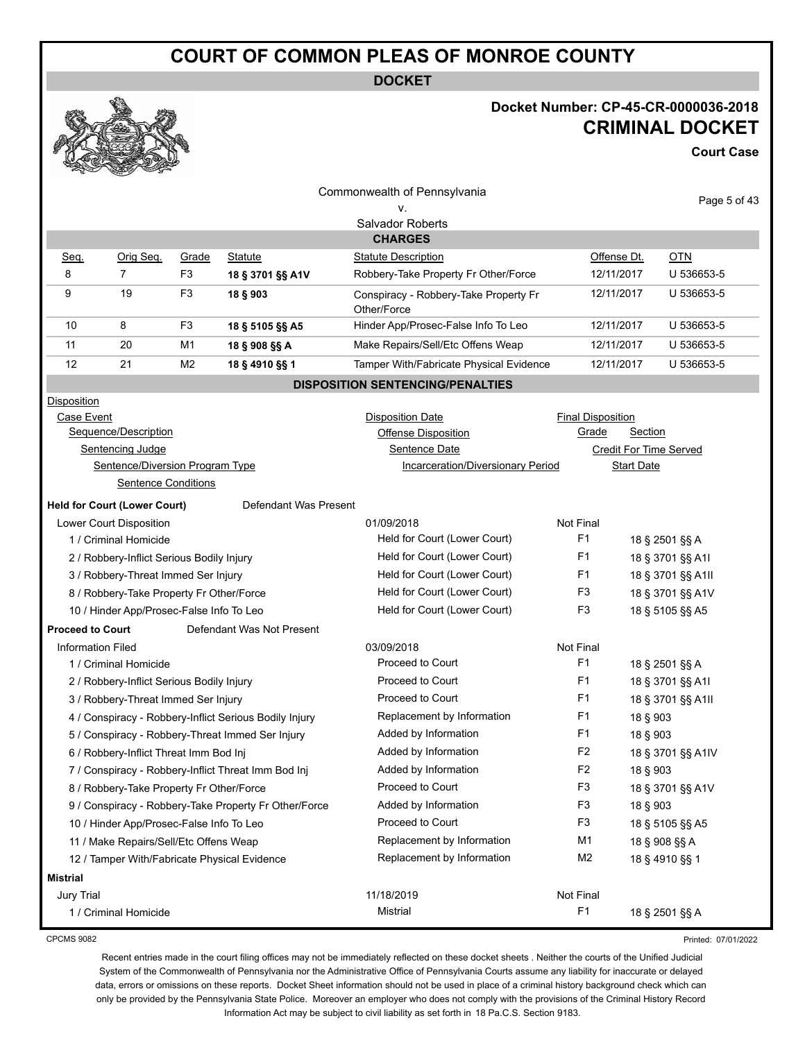**DOCKET**

### **Docket Number: CP-45-CR-0000036-2018 CRIMINAL DOCKET**

**Court Case**

| $\sim$                                    | <b>COLLEGE DESCRIPTION</b><br><b>Contract</b> |                              |                                                        |                                                      |                          |                               |                   |
|-------------------------------------------|-----------------------------------------------|------------------------------|--------------------------------------------------------|------------------------------------------------------|--------------------------|-------------------------------|-------------------|
|                                           |                                               |                              |                                                        | Commonwealth of Pennsylvania                         |                          |                               | Page 5 of 43      |
|                                           |                                               |                              |                                                        | ν.                                                   |                          |                               |                   |
|                                           |                                               |                              |                                                        | Salvador Roberts                                     |                          |                               |                   |
|                                           |                                               |                              |                                                        | <b>CHARGES</b>                                       |                          |                               |                   |
| Seq.                                      | Orig Seq.                                     | Grade                        | <b>Statute</b>                                         | <b>Statute Description</b>                           | Offense Dt.              |                               | <u>OTN</u>        |
| 8                                         | 7                                             | F <sub>3</sub>               | 18 § 3701 §§ A1V                                       | Robbery-Take Property Fr Other/Force                 | 12/11/2017               |                               | U 536653-5        |
| 9                                         | 19                                            | F <sub>3</sub>               | 18 § 903                                               | Conspiracy - Robbery-Take Property Fr<br>Other/Force | 12/11/2017               |                               | U 536653-5        |
| 10                                        | 8                                             | F <sub>3</sub>               | 18 § 5105 §§ A5                                        | Hinder App/Prosec-False Info To Leo                  | 12/11/2017               |                               | U 536653-5        |
| 11                                        | 20                                            | M <sub>1</sub>               | 18 § 908 §§ A                                          | Make Repairs/Sell/Etc Offens Weap                    | 12/11/2017               |                               | U 536653-5        |
| 12                                        | 21                                            | M <sub>2</sub>               | 18 § 4910 §§ 1                                         | Tamper With/Fabricate Physical Evidence              | 12/11/2017               |                               | U 536653-5        |
|                                           |                                               |                              |                                                        | <b>DISPOSITION SENTENCING/PENALTIES</b>              |                          |                               |                   |
| Disposition                               |                                               |                              |                                                        |                                                      |                          |                               |                   |
| Case Event                                |                                               |                              |                                                        | <b>Disposition Date</b>                              | <b>Final Disposition</b> |                               |                   |
|                                           | Sequence/Description                          |                              |                                                        | Offense Disposition                                  | Grade                    | Section                       |                   |
|                                           | Sentencing Judge                              |                              |                                                        | Sentence Date                                        |                          | <b>Credit For Time Served</b> |                   |
|                                           | Sentence/Diversion Program Type               |                              |                                                        | <b>Incarceration/Diversionary Period</b>             |                          | <b>Start Date</b>             |                   |
|                                           | Sentence Conditions                           |                              |                                                        |                                                      |                          |                               |                   |
|                                           | <b>Held for Court (Lower Court)</b>           |                              | Defendant Was Present                                  |                                                      |                          |                               |                   |
|                                           | Lower Court Disposition                       |                              |                                                        | 01/09/2018                                           | Not Final                |                               |                   |
|                                           | 1 / Criminal Homicide                         |                              |                                                        | Held for Court (Lower Court)                         | F <sub>1</sub>           |                               | 18 § 2501 §§ A    |
| 2 / Robbery-Inflict Serious Bodily Injury |                                               | Held for Court (Lower Court) | F1                                                     |                                                      | 18 § 3701 §§ A1I         |                               |                   |
| 3 / Robbery-Threat Immed Ser Injury       |                                               |                              |                                                        | Held for Court (Lower Court)                         | F1                       |                               | 18 § 3701 §§ A1II |
|                                           | 8 / Robbery-Take Property Fr Other/Force      |                              |                                                        | Held for Court (Lower Court)                         | F3                       |                               | 18 § 3701 §§ A1V  |
|                                           | 10 / Hinder App/Prosec-False Info To Leo      |                              |                                                        | Held for Court (Lower Court)                         | F3                       |                               | 18 § 5105 §§ A5   |
| <b>Proceed to Court</b>                   |                                               |                              | Defendant Was Not Present                              |                                                      |                          |                               |                   |
| <b>Information Filed</b>                  |                                               |                              |                                                        | 03/09/2018                                           | Not Final                |                               |                   |
|                                           | 1 / Criminal Homicide                         |                              |                                                        | Proceed to Court                                     | F <sub>1</sub>           |                               | 18 § 2501 §§ A    |
|                                           | 2 / Robbery-Inflict Serious Bodily Injury     |                              |                                                        | Proceed to Court                                     | F1                       |                               | 18 § 3701 §§ A1I  |
|                                           | 3 / Robbery-Threat Immed Ser Injury           |                              |                                                        | Proceed to Court                                     | F1                       |                               | 18 § 3701 §§ A1II |
|                                           |                                               |                              | 4 / Conspiracy - Robbery-Inflict Serious Bodily Injury | Replacement by Information                           | F1                       | 18 § 903                      |                   |
|                                           |                                               |                              | 5 / Conspiracy - Robbery-Threat Immed Ser Injury       | Added by Information                                 | F <sub>1</sub>           | 18 § 903                      |                   |
|                                           | 6 / Robbery-Inflict Threat Imm Bod Inj        |                              |                                                        | Added by Information                                 | F <sub>2</sub>           |                               | 18 § 3701 §§ A1IV |
|                                           |                                               |                              | 7 / Conspiracy - Robbery-Inflict Threat Imm Bod Inj    | Added by Information                                 | F <sub>2</sub>           | 18 § 903                      |                   |
|                                           | 8 / Robbery-Take Property Fr Other/Force      |                              |                                                        | Proceed to Court                                     | F <sub>3</sub>           |                               | 18 § 3701 §§ A1V  |
|                                           |                                               |                              | 9 / Conspiracy - Robbery-Take Property Fr Other/Force  | Added by Information                                 | F <sub>3</sub>           | 18 § 903                      |                   |
|                                           | 10 / Hinder App/Prosec-False Info To Leo      |                              |                                                        | Proceed to Court                                     | F <sub>3</sub>           |                               | 18 § 5105 §§ A5   |
|                                           | 11 / Make Repairs/Sell/Etc Offens Weap        |                              |                                                        | Replacement by Information                           | M1                       | 18 § 908 §§ A                 |                   |
|                                           |                                               |                              | 12 / Tamper With/Fabricate Physical Evidence           | Replacement by Information                           | M <sub>2</sub>           | 18 § 4910 §§ 1                |                   |
| <b>Mistrial</b>                           |                                               |                              |                                                        |                                                      |                          |                               |                   |
| Jury Trial                                |                                               |                              |                                                        | 11/18/2019                                           | Not Final                |                               |                   |
|                                           | 1 / Criminal Homicide                         |                              |                                                        | Mistrial                                             | F <sub>1</sub>           |                               | 18 § 2501 §§ A    |

CPCMS 9082

Printed: 07/01/2022

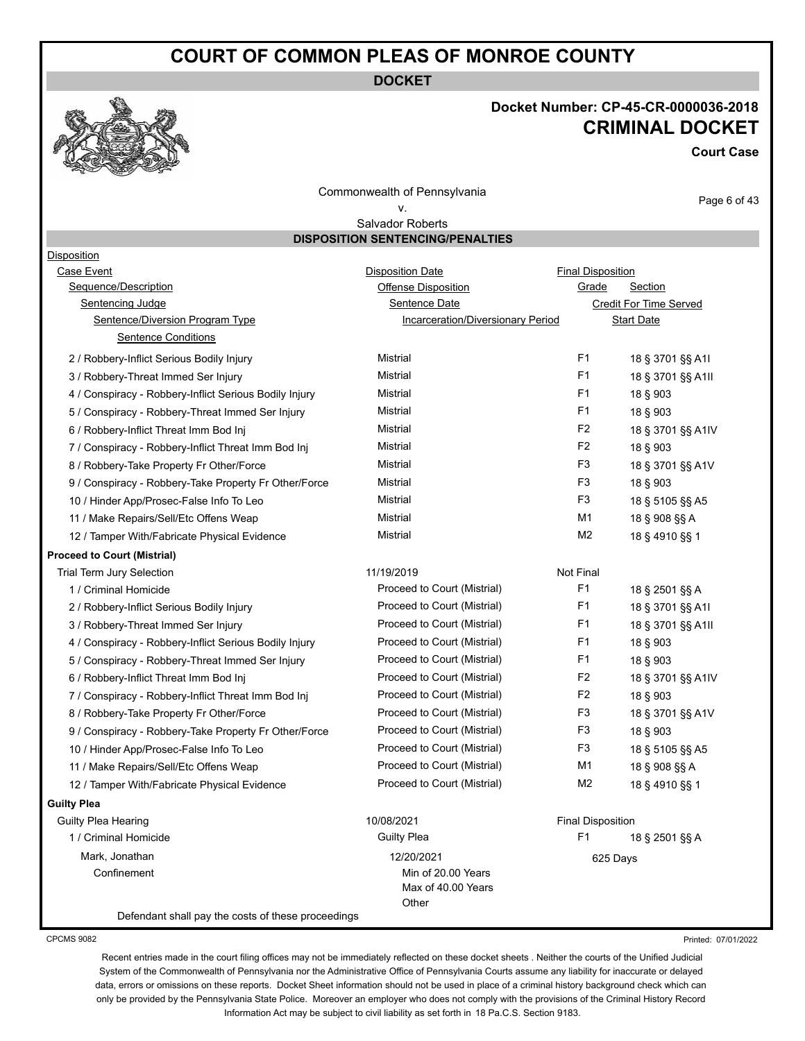**DOCKET**



# **Docket Number: CP-45-CR-0000036-2018 CRIMINAL DOCKET**

**Court Case**

Commonwealth of Pennsylvania

v.

Page 6 of 43

#### Salvador Roberts **DISPOSITION SENTENCING/PENALTIES**

| Disposition                                            |                                                   |                          |                        |
|--------------------------------------------------------|---------------------------------------------------|--------------------------|------------------------|
| Case Event                                             | <b>Disposition Date</b>                           | <b>Final Disposition</b> |                        |
| Sequence/Description                                   | <b>Offense Disposition</b>                        | Grade                    | Section                |
| <b>Sentencing Judge</b>                                | Sentence Date                                     |                          | Credit For Time Served |
| Sentence/Diversion Program Type                        | Incarceration/Diversionary Period                 |                          | <b>Start Date</b>      |
| <b>Sentence Conditions</b>                             |                                                   |                          |                        |
| 2 / Robbery-Inflict Serious Bodily Injury              | Mistrial                                          | F <sub>1</sub>           | 18 § 3701 §§ A1I       |
| 3 / Robbery-Threat Immed Ser Injury                    | Mistrial                                          | F <sub>1</sub>           | 18 § 3701 §§ A1II      |
| 4 / Conspiracy - Robbery-Inflict Serious Bodily Injury | Mistrial                                          | F1                       | 18 § 903               |
| 5 / Conspiracy - Robbery-Threat Immed Ser Injury       | Mistrial                                          | F <sub>1</sub>           | 18 § 903               |
| 6 / Robbery-Inflict Threat Imm Bod Inj                 | Mistrial                                          | F <sub>2</sub>           | 18 § 3701 §§ A1IV      |
| 7 / Conspiracy - Robbery-Inflict Threat Imm Bod Inj    | Mistrial                                          | F <sub>2</sub>           | 18 § 903               |
| 8 / Robbery-Take Property Fr Other/Force               | Mistrial                                          | F <sub>3</sub>           | 18 § 3701 §§ A1V       |
| 9 / Conspiracy - Robbery-Take Property Fr Other/Force  | Mistrial                                          | F <sub>3</sub>           | 18 § 903               |
| 10 / Hinder App/Prosec-False Info To Leo               | Mistrial                                          | F <sub>3</sub>           | 18 § 5105 §§ A5        |
| 11 / Make Repairs/Sell/Etc Offens Weap                 | Mistrial                                          | M1                       | 18 § 908 §§ A          |
| 12 / Tamper With/Fabricate Physical Evidence           | Mistrial                                          | M <sub>2</sub>           | 18 § 4910 §§ 1         |
| <b>Proceed to Court (Mistrial)</b>                     |                                                   |                          |                        |
| <b>Trial Term Jury Selection</b>                       | 11/19/2019                                        | Not Final                |                        |
| 1 / Criminal Homicide                                  | Proceed to Court (Mistrial)                       | F <sub>1</sub>           | 18 § 2501 §§ A         |
| 2 / Robbery-Inflict Serious Bodily Injury              | Proceed to Court (Mistrial)                       | F <sub>1</sub>           | 18 § 3701 §§ A1I       |
| 3 / Robbery-Threat Immed Ser Injury                    | Proceed to Court (Mistrial)                       | F <sub>1</sub>           | 18 § 3701 §§ A1II      |
| 4 / Conspiracy - Robbery-Inflict Serious Bodily Injury | Proceed to Court (Mistrial)                       | F <sub>1</sub>           | 18 § 903               |
| 5 / Conspiracy - Robbery-Threat Immed Ser Injury       | Proceed to Court (Mistrial)                       | F <sub>1</sub>           | 18 § 903               |
| 6 / Robbery-Inflict Threat Imm Bod Inj                 | Proceed to Court (Mistrial)                       | F <sub>2</sub>           | 18 § 3701 §§ A1IV      |
| 7 / Conspiracy - Robbery-Inflict Threat Imm Bod Inj    | Proceed to Court (Mistrial)                       | F <sub>2</sub>           | 18 § 903               |
| 8 / Robbery-Take Property Fr Other/Force               | Proceed to Court (Mistrial)                       | F <sub>3</sub>           | 18 § 3701 §§ A1V       |
| 9 / Conspiracy - Robbery-Take Property Fr Other/Force  | Proceed to Court (Mistrial)                       | F3                       | 18 § 903               |
| 10 / Hinder App/Prosec-False Info To Leo               | Proceed to Court (Mistrial)                       | F <sub>3</sub>           | 18 § 5105 §§ A5        |
| 11 / Make Repairs/Sell/Etc Offens Weap                 | Proceed to Court (Mistrial)                       | M1                       | 18 § 908 §§ A          |
| 12 / Tamper With/Fabricate Physical Evidence           | Proceed to Court (Mistrial)                       | M <sub>2</sub>           | 18 § 4910 §§ 1         |
| <b>Guilty Plea</b>                                     |                                                   |                          |                        |
| Guilty Plea Hearing                                    | 10/08/2021                                        | <b>Final Disposition</b> |                        |
| 1 / Criminal Homicide                                  | <b>Guilty Plea</b>                                | F <sub>1</sub>           | 18 § 2501 §§ A         |
| Mark, Jonathan                                         | 12/20/2021                                        | 625 Days                 |                        |
| Confinement                                            | Min of 20.00 Years<br>Max of 40.00 Years<br>Other |                          |                        |
| Defendant shall pay the costs of these proceedings     |                                                   |                          |                        |

CPCMS 9082

Recent entries made in the court filing offices may not be immediately reflected on these docket sheets . Neither the courts of the Unified Judicial System of the Commonwealth of Pennsylvania nor the Administrative Office of Pennsylvania Courts assume any liability for inaccurate or delayed data, errors or omissions on these reports. Docket Sheet information should not be used in place of a criminal history background check which can only be provided by the Pennsylvania State Police. Moreover an employer who does not comply with the provisions of the Criminal History Record Information Act may be subject to civil liability as set forth in 18 Pa.C.S. Section 9183.

Printed: 07/01/2022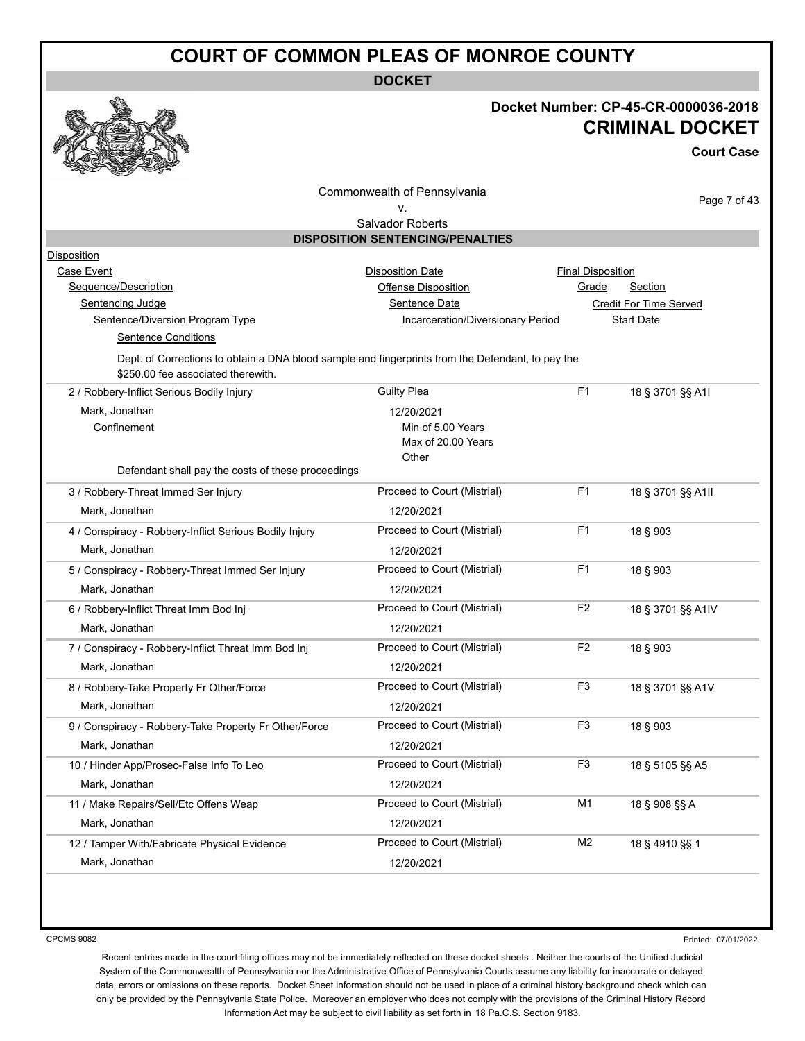**DOCKET**



# **Docket Number: CP-45-CR-0000036-2018 CRIMINAL DOCKET**

**Court Case**

|                                                        | Commonwealth of Pennsylvania                                                                      |                          | Page 7 of 43                  |
|--------------------------------------------------------|---------------------------------------------------------------------------------------------------|--------------------------|-------------------------------|
|                                                        | ν.                                                                                                |                          |                               |
|                                                        | Salvador Roberts<br><b>DISPOSITION SENTENCING/PENALTIES</b>                                       |                          |                               |
| Disposition                                            |                                                                                                   |                          |                               |
| Case Event                                             | <b>Disposition Date</b>                                                                           | <b>Final Disposition</b> |                               |
| Sequence/Description                                   | <b>Offense Disposition</b>                                                                        | Grade                    | <b>Section</b>                |
| Sentencing Judge                                       | Sentence Date                                                                                     |                          | <b>Credit For Time Served</b> |
| Sentence/Diversion Program Type                        | Incarceration/Diversionary Period                                                                 |                          | <b>Start Date</b>             |
| <b>Sentence Conditions</b>                             |                                                                                                   |                          |                               |
| \$250.00 fee associated therewith.                     | Dept. of Corrections to obtain a DNA blood sample and fingerprints from the Defendant, to pay the |                          |                               |
| 2 / Robbery-Inflict Serious Bodily Injury              | <b>Guilty Plea</b>                                                                                | F <sub>1</sub>           | 18 § 3701 §§ A1I              |
| Mark, Jonathan                                         | 12/20/2021                                                                                        |                          |                               |
| Confinement                                            | Min of 5.00 Years                                                                                 |                          |                               |
|                                                        | Max of 20.00 Years                                                                                |                          |                               |
|                                                        | Other                                                                                             |                          |                               |
| Defendant shall pay the costs of these proceedings     |                                                                                                   |                          |                               |
| 3 / Robbery-Threat Immed Ser Injury                    | Proceed to Court (Mistrial)                                                                       | F1                       | 18 § 3701 §§ A1II             |
| Mark, Jonathan                                         | 12/20/2021                                                                                        |                          |                               |
| 4 / Conspiracy - Robbery-Inflict Serious Bodily Injury | Proceed to Court (Mistrial)                                                                       | F1                       | 18 § 903                      |
| Mark, Jonathan                                         | 12/20/2021                                                                                        |                          |                               |
| 5 / Conspiracy - Robbery-Threat Immed Ser Injury       | Proceed to Court (Mistrial)                                                                       | F <sub>1</sub>           | 18 § 903                      |
| Mark, Jonathan                                         | 12/20/2021                                                                                        |                          |                               |
| 6 / Robbery-Inflict Threat Imm Bod Inj                 | Proceed to Court (Mistrial)                                                                       | F <sub>2</sub>           | 18 § 3701 §§ A1IV             |
| Mark, Jonathan                                         | 12/20/2021                                                                                        |                          |                               |
| 7 / Conspiracy - Robbery-Inflict Threat Imm Bod Inj    | Proceed to Court (Mistrial)                                                                       | F <sub>2</sub>           | 18 § 903                      |
| Mark, Jonathan                                         | 12/20/2021                                                                                        |                          |                               |
| 8 / Robbery-Take Property Fr Other/Force               | Proceed to Court (Mistrial)                                                                       | F3                       | 18 § 3701 §§ A1V              |
| Mark, Jonathan                                         | 12/20/2021                                                                                        |                          |                               |
| 9 / Conspiracy - Robbery-Take Property Fr Other/Force  | Proceed to Court (Mistrial)                                                                       | F3                       | 18 § 903                      |
| Mark, Jonathan                                         | 12/20/2021                                                                                        |                          |                               |
| 10 / Hinder App/Prosec-False Info To Leo               | Proceed to Court (Mistrial)                                                                       | F <sub>3</sub>           | 18 § 5105 §§ A5               |
| Mark, Jonathan                                         |                                                                                                   |                          |                               |
|                                                        | 12/20/2021                                                                                        |                          |                               |
| 11 / Make Repairs/Sell/Etc Offens Weap                 | Proceed to Court (Mistrial)                                                                       | M <sub>1</sub>           | 18 § 908 §§ A                 |
| Mark, Jonathan                                         | 12/20/2021                                                                                        |                          |                               |
| 12 / Tamper With/Fabricate Physical Evidence           | Proceed to Court (Mistrial)                                                                       | M <sub>2</sub>           | 18 § 4910 §§ 1                |
| Mark, Jonathan                                         | 12/20/2021                                                                                        |                          |                               |

CPCMS 9082

Printed: 07/01/2022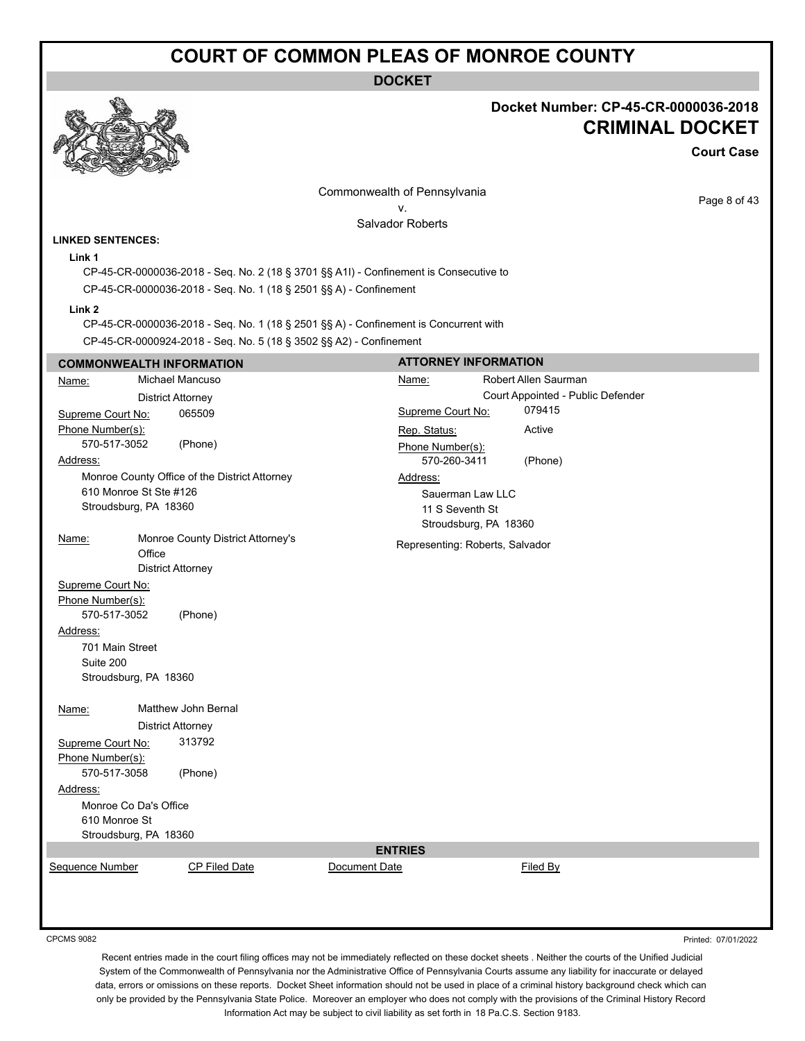#### **DOCKET**



#### **Docket Number: CP-45-CR-0000036-2018 CRIMINAL DOCKET**

**Court Case**

Page 8 of 43

Commonwealth of Pennsylvania

v.

**ATTORNEY INFORMATION**

Salvador Roberts

#### **LINKED SENTENCES:**

**Link 1**

CP-45-CR-0000036-2018 - Seq. No. 2 (18 § 3701 §§ A1I) - Confinement is Consecutive to CP-45-CR-0000036-2018 - Seq. No. 1 (18 § 2501 §§ A) - Confinement

**Link 2**

CP-45-CR-0000036-2018 - Seq. No. 1 (18 § 2501 §§ A) - Confinement is Concurrent with

CP-45-CR-0000924-2018 - Seq. No. 5 (18 § 3502 §§ A2) - Confinement

#### **COMMONWEALTH INFORMATION**

| Name:                  |                          | Michael Mancuso                               |               | Name:                           | Robert Allen Saurman              |
|------------------------|--------------------------|-----------------------------------------------|---------------|---------------------------------|-----------------------------------|
|                        | <b>District Attorney</b> |                                               |               |                                 | Court Appointed - Public Defender |
| Supreme Court No:      |                          | 065509                                        |               | Supreme Court No:               | 079415                            |
| Phone Number(s):       |                          |                                               |               | Rep. Status:                    | Active                            |
| 570-517-3052           |                          | (Phone)                                       |               | Phone Number(s):                |                                   |
| Address:               |                          |                                               |               | 570-260-3411                    | (Phone)                           |
|                        |                          | Monroe County Office of the District Attorney |               | Address:                        |                                   |
| 610 Monroe St Ste #126 |                          |                                               |               | Sauerman Law LLC                |                                   |
| Stroudsburg, PA 18360  |                          |                                               |               | 11 S Seventh St                 |                                   |
|                        |                          |                                               |               | Stroudsburg, PA 18360           |                                   |
| Name:                  | Office                   | Monroe County District Attorney's             |               | Representing: Roberts, Salvador |                                   |
|                        | <b>District Attorney</b> |                                               |               |                                 |                                   |
| Supreme Court No:      |                          |                                               |               |                                 |                                   |
| Phone Number(s):       |                          |                                               |               |                                 |                                   |
| 570-517-3052           |                          | (Phone)                                       |               |                                 |                                   |
| Address:               |                          |                                               |               |                                 |                                   |
| 701 Main Street        |                          |                                               |               |                                 |                                   |
| Suite 200              |                          |                                               |               |                                 |                                   |
| Stroudsburg, PA 18360  |                          |                                               |               |                                 |                                   |
| Name:                  |                          | Matthew John Bernal                           |               |                                 |                                   |
|                        | <b>District Attorney</b> |                                               |               |                                 |                                   |
| Supreme Court No:      |                          | 313792                                        |               |                                 |                                   |
| Phone Number(s):       |                          |                                               |               |                                 |                                   |
| 570-517-3058           |                          | (Phone)                                       |               |                                 |                                   |
| Address:               |                          |                                               |               |                                 |                                   |
| Monroe Co Da's Office  |                          |                                               |               |                                 |                                   |
| 610 Monroe St          |                          |                                               |               |                                 |                                   |
| Stroudsburg, PA 18360  |                          |                                               |               |                                 |                                   |
|                        |                          |                                               |               | <b>ENTRIES</b>                  |                                   |
| Sequence Number        |                          | CP Filed Date                                 | Document Date |                                 | Filed By                          |
|                        |                          |                                               |               |                                 |                                   |
|                        |                          |                                               |               |                                 |                                   |
|                        |                          |                                               |               |                                 |                                   |

CPCMS 9082

Recent entries made in the court filing offices may not be immediately reflected on these docket sheets . Neither the courts of the Unified Judicial System of the Commonwealth of Pennsylvania nor the Administrative Office of Pennsylvania Courts assume any liability for inaccurate or delayed data, errors or omissions on these reports. Docket Sheet information should not be used in place of a criminal history background check which can only be provided by the Pennsylvania State Police. Moreover an employer who does not comply with the provisions of the Criminal History Record Information Act may be subject to civil liability as set forth in 18 Pa.C.S. Section 9183.

Printed: 07/01/2022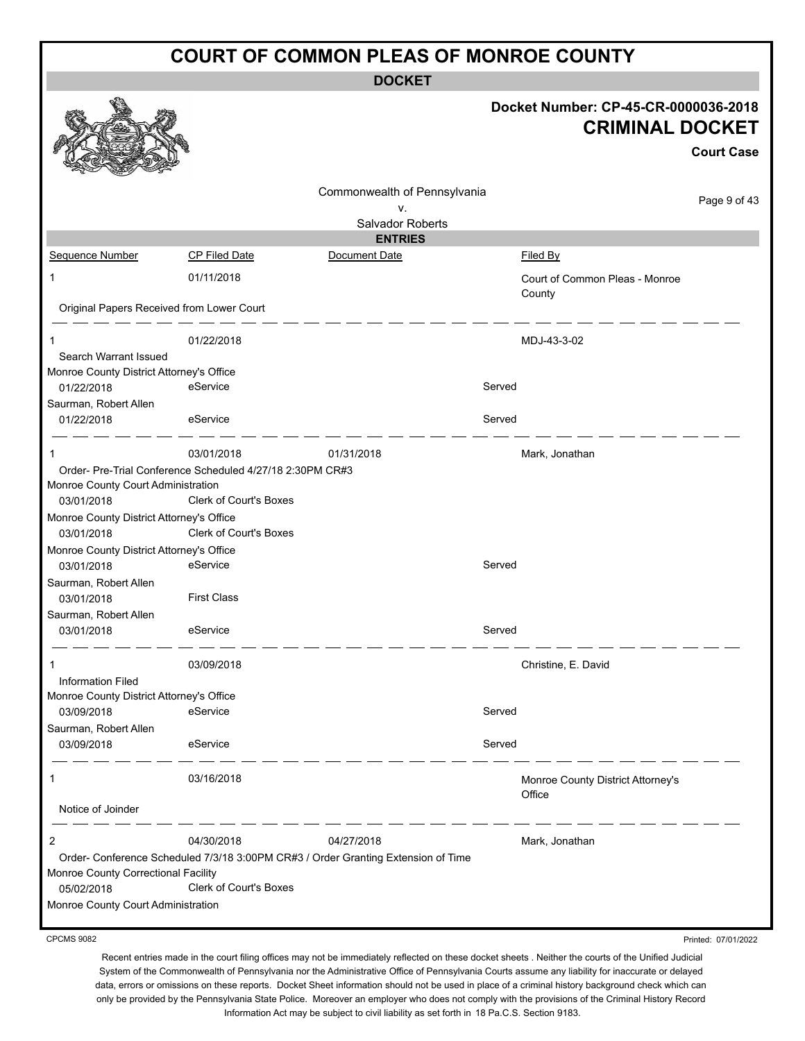**DOCKET**

|                                           |                                                           |                                                                                   |        | Docket Number: CP-45-CR-0000036-2018<br><b>CRIMINAL DOCKET</b> | <b>Court Case</b> |
|-------------------------------------------|-----------------------------------------------------------|-----------------------------------------------------------------------------------|--------|----------------------------------------------------------------|-------------------|
|                                           |                                                           | Commonwealth of Pennsylvania                                                      |        |                                                                | Page 9 of 43      |
|                                           |                                                           | ν.                                                                                |        |                                                                |                   |
|                                           |                                                           | Salvador Roberts<br><b>ENTRIES</b>                                                |        |                                                                |                   |
| Sequence Number                           | <b>CP Filed Date</b>                                      | Document Date                                                                     |        | Filed By                                                       |                   |
| 1                                         | 01/11/2018                                                |                                                                                   |        | Court of Common Pleas - Monroe                                 |                   |
| Original Papers Received from Lower Court |                                                           |                                                                                   |        | County                                                         |                   |
| 1                                         | 01/22/2018                                                |                                                                                   |        | MDJ-43-3-02                                                    |                   |
| Search Warrant Issued                     |                                                           |                                                                                   |        |                                                                |                   |
| Monroe County District Attorney's Office  |                                                           |                                                                                   |        |                                                                |                   |
| 01/22/2018                                | eService                                                  |                                                                                   | Served |                                                                |                   |
| Saurman, Robert Allen<br>01/22/2018       | eService                                                  |                                                                                   | Served |                                                                |                   |
| $\mathbf{1}$                              | 03/01/2018                                                | 01/31/2018                                                                        |        | Mark, Jonathan                                                 |                   |
|                                           | Order- Pre-Trial Conference Scheduled 4/27/18 2:30PM CR#3 |                                                                                   |        |                                                                |                   |
| Monroe County Court Administration        |                                                           |                                                                                   |        |                                                                |                   |
| 03/01/2018                                | Clerk of Court's Boxes                                    |                                                                                   |        |                                                                |                   |
| Monroe County District Attorney's Office  |                                                           |                                                                                   |        |                                                                |                   |
| 03/01/2018                                | Clerk of Court's Boxes                                    |                                                                                   |        |                                                                |                   |
| Monroe County District Attorney's Office  |                                                           |                                                                                   |        |                                                                |                   |
| 03/01/2018                                | eService                                                  |                                                                                   | Served |                                                                |                   |
| Saurman, Robert Allen                     |                                                           |                                                                                   |        |                                                                |                   |
| 03/01/2018                                | <b>First Class</b>                                        |                                                                                   |        |                                                                |                   |
| Saurman, Robert Allen<br>03/01/2018       | eService                                                  |                                                                                   | Served |                                                                |                   |
|                                           | 03/09/2018                                                |                                                                                   |        | Christine, E. David                                            |                   |
| <b>Information Filed</b>                  |                                                           |                                                                                   |        |                                                                |                   |
| Monroe County District Attorney's Office  |                                                           |                                                                                   |        |                                                                |                   |
| 03/09/2018                                | eService                                                  |                                                                                   | Served |                                                                |                   |
| Saurman, Robert Allen                     |                                                           |                                                                                   |        |                                                                |                   |
| 03/09/2018                                | eService                                                  |                                                                                   | Served |                                                                |                   |
| $\mathbf{1}$                              | 03/16/2018                                                |                                                                                   |        | Monroe County District Attorney's                              |                   |
| Notice of Joinder                         |                                                           |                                                                                   |        | Office                                                         |                   |
| $\overline{2}$                            | 04/30/2018                                                | 04/27/2018                                                                        |        | Mark, Jonathan                                                 |                   |
|                                           |                                                           | Order- Conference Scheduled 7/3/18 3:00PM CR#3 / Order Granting Extension of Time |        |                                                                |                   |
| Monroe County Correctional Facility       |                                                           |                                                                                   |        |                                                                |                   |
| 05/02/2018                                | <b>Clerk of Court's Boxes</b>                             |                                                                                   |        |                                                                |                   |
| Monroe County Court Administration        |                                                           |                                                                                   |        |                                                                |                   |

CPCMS 9082

Recent entries made in the court filing offices may not be immediately reflected on these docket sheets . Neither the courts of the Unified Judicial System of the Commonwealth of Pennsylvania nor the Administrative Office of Pennsylvania Courts assume any liability for inaccurate or delayed data, errors or omissions on these reports. Docket Sheet information should not be used in place of a criminal history background check which can only be provided by the Pennsylvania State Police. Moreover an employer who does not comply with the provisions of the Criminal History Record Information Act may be subject to civil liability as set forth in 18 Pa.C.S. Section 9183.

Printed: 07/01/2022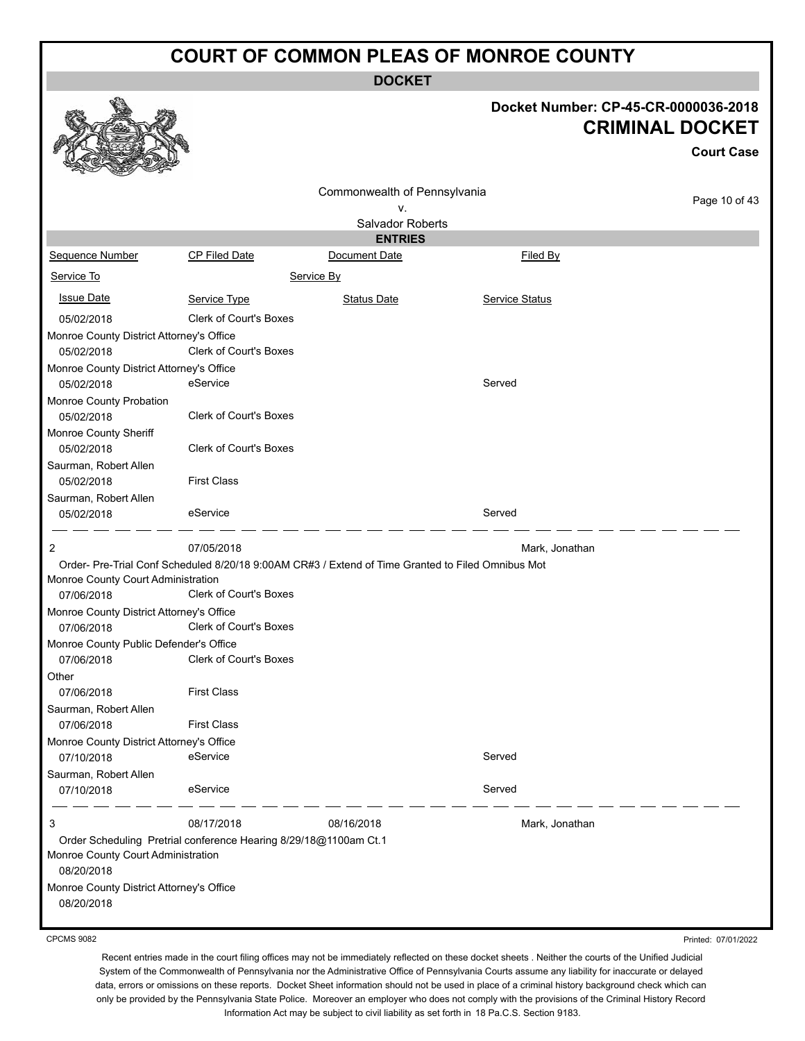**DOCKET**

# **Docket Number: CP-45-CR-0000036-2018 CRIMINAL DOCKET**

**Court Case**

Printed: 07/01/2022

|                                                        |                                                                                                  | Commonwealth of Pennsylvania       |                | Page 10 of 43 |
|--------------------------------------------------------|--------------------------------------------------------------------------------------------------|------------------------------------|----------------|---------------|
|                                                        |                                                                                                  | ۷.                                 |                |               |
|                                                        |                                                                                                  | Salvador Roberts<br><b>ENTRIES</b> |                |               |
| Sequence Number                                        | <b>CP Filed Date</b>                                                                             | Document Date                      | Filed By       |               |
| Service To                                             |                                                                                                  | Service By                         |                |               |
| <b>Issue Date</b>                                      | Service Type                                                                                     | <b>Status Date</b>                 | Service Status |               |
| 05/02/2018                                             | <b>Clerk of Court's Boxes</b>                                                                    |                                    |                |               |
| Monroe County District Attorney's Office               |                                                                                                  |                                    |                |               |
| 05/02/2018                                             | <b>Clerk of Court's Boxes</b>                                                                    |                                    |                |               |
| Monroe County District Attorney's Office               |                                                                                                  |                                    |                |               |
| 05/02/2018                                             | eService                                                                                         |                                    | Served         |               |
| Monroe County Probation<br>05/02/2018                  | <b>Clerk of Court's Boxes</b>                                                                    |                                    |                |               |
| Monroe County Sheriff<br>05/02/2018                    | <b>Clerk of Court's Boxes</b>                                                                    |                                    |                |               |
| Saurman, Robert Allen<br>05/02/2018                    | <b>First Class</b>                                                                               |                                    |                |               |
| Saurman, Robert Allen<br>05/02/2018                    | eService                                                                                         |                                    | Served         |               |
| 2                                                      | 07/05/2018                                                                                       |                                    | Mark, Jonathan |               |
|                                                        | Order-Pre-Trial Conf Scheduled 8/20/18 9:00AM CR#3 / Extend of Time Granted to Filed Omnibus Mot |                                    |                |               |
| Monroe County Court Administration                     |                                                                                                  |                                    |                |               |
| 07/06/2018                                             | <b>Clerk of Court's Boxes</b>                                                                    |                                    |                |               |
| Monroe County District Attorney's Office               |                                                                                                  |                                    |                |               |
| 07/06/2018                                             | Clerk of Court's Boxes                                                                           |                                    |                |               |
| Monroe County Public Defender's Office                 |                                                                                                  |                                    |                |               |
| 07/06/2018                                             | Clerk of Court's Boxes                                                                           |                                    |                |               |
| Other<br>07/06/2018                                    | <b>First Class</b>                                                                               |                                    |                |               |
| Saurman, Robert Allen                                  |                                                                                                  |                                    |                |               |
| 07/06/2018                                             | <b>First Class</b>                                                                               |                                    |                |               |
| Monroe County District Attorney's Office               |                                                                                                  |                                    |                |               |
| 07/10/2018                                             | eService                                                                                         |                                    | Served         |               |
| Saurman, Robert Allen                                  |                                                                                                  |                                    |                |               |
| 07/10/2018                                             | eService                                                                                         |                                    | Served         |               |
| 3                                                      | 08/17/2018                                                                                       | 08/16/2018                         | Mark, Jonathan |               |
| Monroe County Court Administration<br>08/20/2018       | Order Scheduling Pretrial conference Hearing 8/29/18@1100am Ct.1                                 |                                    |                |               |
| Monroe County District Attorney's Office<br>08/20/2018 |                                                                                                  |                                    |                |               |

CPCMS 9082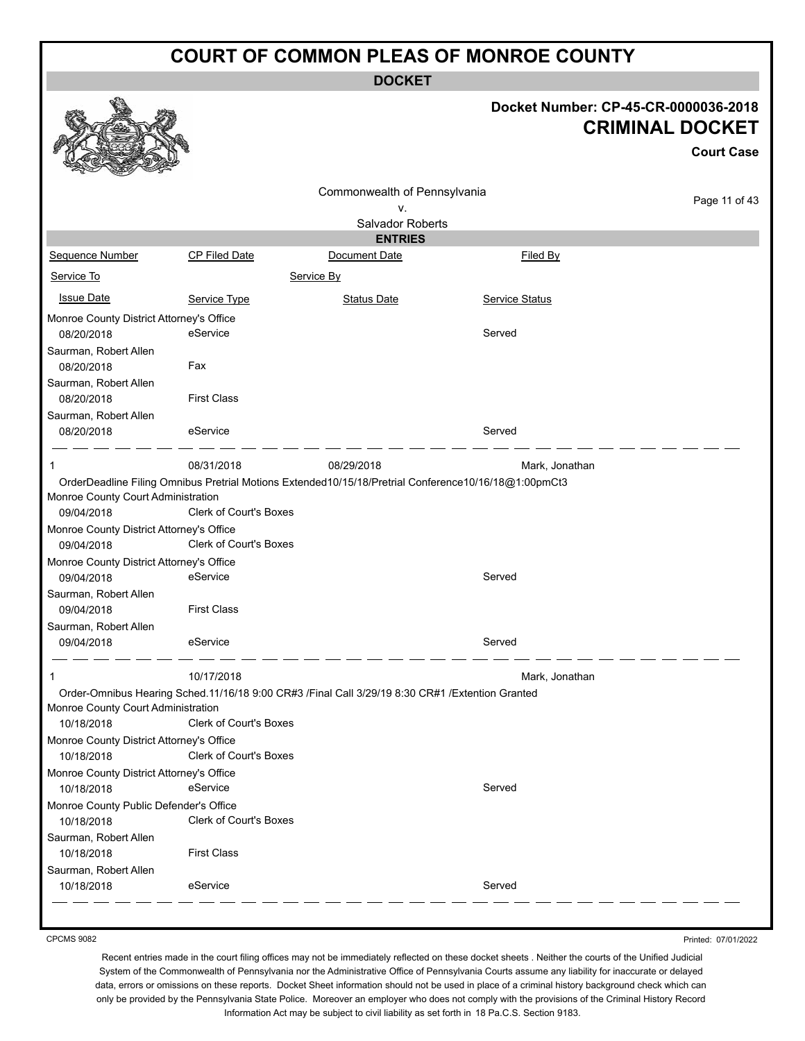**DOCKET**

# **Docket Number: CP-45-CR-0000036-2018 CRIMINAL DOCKET**

|                                                      |                               |                                                                                                      |                | <b>Court Case</b> |
|------------------------------------------------------|-------------------------------|------------------------------------------------------------------------------------------------------|----------------|-------------------|
|                                                      |                               | Commonwealth of Pennsylvania                                                                         |                | Page 11 of 43     |
|                                                      |                               | ٧.<br>Salvador Roberts                                                                               |                |                   |
|                                                      |                               | <b>ENTRIES</b>                                                                                       |                |                   |
| Sequence Number                                      | <b>CP Filed Date</b>          | Document Date                                                                                        | Filed By       |                   |
| Service To                                           |                               | Service By                                                                                           |                |                   |
| <b>Issue Date</b>                                    | Service Type                  | <b>Status Date</b>                                                                                   | Service Status |                   |
| Monroe County District Attorney's Office             |                               |                                                                                                      |                |                   |
| 08/20/2018                                           | eService                      |                                                                                                      | Served         |                   |
| Saurman, Robert Allen                                |                               |                                                                                                      |                |                   |
| 08/20/2018                                           | Fax                           |                                                                                                      |                |                   |
| Saurman, Robert Allen<br>08/20/2018                  | <b>First Class</b>            |                                                                                                      |                |                   |
| Saurman, Robert Allen                                |                               |                                                                                                      |                |                   |
| 08/20/2018                                           | eService                      |                                                                                                      | Served         |                   |
| 1                                                    | 08/31/2018                    | 08/29/2018                                                                                           | Mark, Jonathan |                   |
|                                                      |                               | OrderDeadline Filing Omnibus Pretrial Motions Extended10/15/18/Pretrial Conference10/16/18@1:00pmCt3 |                |                   |
| Monroe County Court Administration<br>09/04/2018     | Clerk of Court's Boxes        |                                                                                                      |                |                   |
| Monroe County District Attorney's Office             |                               |                                                                                                      |                |                   |
| 09/04/2018                                           | <b>Clerk of Court's Boxes</b> |                                                                                                      |                |                   |
| Monroe County District Attorney's Office             |                               |                                                                                                      |                |                   |
| 09/04/2018                                           | eService                      |                                                                                                      | Served         |                   |
| Saurman, Robert Allen                                |                               |                                                                                                      |                |                   |
| 09/04/2018                                           | <b>First Class</b>            |                                                                                                      |                |                   |
| Saurman, Robert Allen<br>09/04/2018                  | eService                      |                                                                                                      | Served         |                   |
|                                                      |                               |                                                                                                      |                |                   |
| 1                                                    | 10/17/2018                    |                                                                                                      | Mark, Jonathan |                   |
|                                                      |                               | Order-Omnibus Hearing Sched.11/16/18 9:00 CR#3 /Final Call 3/29/19 8:30 CR#1 /Extention Granted      |                |                   |
| Monroe County Court Administration<br>10/18/2018     | Clerk of Court's Boxes        |                                                                                                      |                |                   |
| Monroe County District Attorney's Office             |                               |                                                                                                      |                |                   |
| 10/18/2018                                           | Clerk of Court's Boxes        |                                                                                                      |                |                   |
| Monroe County District Attorney's Office             |                               |                                                                                                      |                |                   |
| 10/18/2018                                           | eService                      |                                                                                                      | Served         |                   |
| Monroe County Public Defender's Office<br>10/18/2018 | Clerk of Court's Boxes        |                                                                                                      |                |                   |
| Saurman, Robert Allen<br>10/18/2018                  | <b>First Class</b>            |                                                                                                      |                |                   |
| Saurman, Robert Allen                                |                               |                                                                                                      |                |                   |
| 10/18/2018                                           | eService                      |                                                                                                      | Served         |                   |
|                                                      |                               |                                                                                                      |                |                   |

CPCMS 9082

Printed: 07/01/2022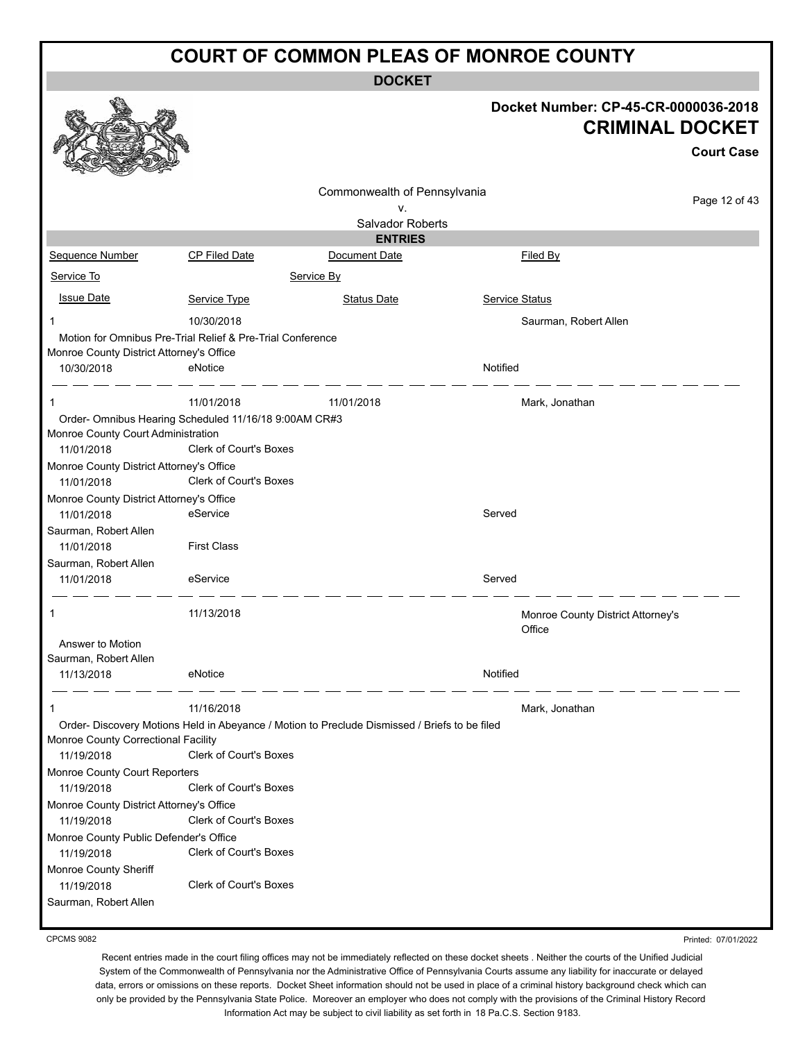**DOCKET**

|                                                        |                                                                                               | <b>DUUNEI</b>                |                                                                |                   |
|--------------------------------------------------------|-----------------------------------------------------------------------------------------------|------------------------------|----------------------------------------------------------------|-------------------|
|                                                        |                                                                                               |                              | Docket Number: CP-45-CR-0000036-2018<br><b>CRIMINAL DOCKET</b> |                   |
|                                                        |                                                                                               |                              |                                                                | <b>Court Case</b> |
|                                                        |                                                                                               |                              |                                                                |                   |
|                                                        |                                                                                               | Commonwealth of Pennsylvania |                                                                | Page 12 of 43     |
|                                                        |                                                                                               | ۷.<br>Salvador Roberts       |                                                                |                   |
|                                                        |                                                                                               | <b>ENTRIES</b>               |                                                                |                   |
| Sequence Number                                        | CP Filed Date                                                                                 | Document Date                | <b>Filed By</b>                                                |                   |
| Service To                                             |                                                                                               | Service By                   |                                                                |                   |
|                                                        |                                                                                               |                              |                                                                |                   |
| <b>Issue Date</b>                                      | Service Type                                                                                  | <b>Status Date</b>           | Service Status                                                 |                   |
| 1                                                      | 10/30/2018                                                                                    |                              | Saurman, Robert Allen                                          |                   |
|                                                        | Motion for Omnibus Pre-Trial Relief & Pre-Trial Conference                                    |                              |                                                                |                   |
| Monroe County District Attorney's Office<br>10/30/2018 | eNotice                                                                                       |                              | Notified                                                       |                   |
|                                                        |                                                                                               |                              |                                                                |                   |
| 1                                                      | 11/01/2018                                                                                    | 11/01/2018                   | Mark, Jonathan                                                 |                   |
|                                                        | Order- Omnibus Hearing Scheduled 11/16/18 9:00AM CR#3                                         |                              |                                                                |                   |
| Monroe County Court Administration                     |                                                                                               |                              |                                                                |                   |
| 11/01/2018                                             | Clerk of Court's Boxes                                                                        |                              |                                                                |                   |
| Monroe County District Attorney's Office               |                                                                                               |                              |                                                                |                   |
| 11/01/2018                                             | Clerk of Court's Boxes                                                                        |                              |                                                                |                   |
| Monroe County District Attorney's Office<br>11/01/2018 | eService                                                                                      |                              | Served                                                         |                   |
| Saurman, Robert Allen                                  |                                                                                               |                              |                                                                |                   |
| 11/01/2018                                             | <b>First Class</b>                                                                            |                              |                                                                |                   |
| Saurman, Robert Allen                                  |                                                                                               |                              |                                                                |                   |
| 11/01/2018                                             | eService                                                                                      |                              | Served                                                         |                   |
|                                                        |                                                                                               |                              |                                                                |                   |
| 1                                                      | 11/13/2018                                                                                    |                              | Monroe County District Attorney's                              |                   |
|                                                        |                                                                                               |                              | Office                                                         |                   |
| Answer to Motion                                       |                                                                                               |                              |                                                                |                   |
| Saurman, Robert Allen<br>11/13/2018                    | eNotice                                                                                       |                              | Notified                                                       |                   |
|                                                        |                                                                                               |                              |                                                                |                   |
| 1                                                      | 11/16/2018                                                                                    |                              | Mark, Jonathan                                                 |                   |
|                                                        | Order- Discovery Motions Held in Abeyance / Motion to Preclude Dismissed / Briefs to be filed |                              |                                                                |                   |
| Monroe County Correctional Facility                    |                                                                                               |                              |                                                                |                   |
| 11/19/2018                                             | <b>Clerk of Court's Boxes</b>                                                                 |                              |                                                                |                   |
| Monroe County Court Reporters                          |                                                                                               |                              |                                                                |                   |
| 11/19/2018                                             | Clerk of Court's Boxes                                                                        |                              |                                                                |                   |
| Monroe County District Attorney's Office<br>11/19/2018 | Clerk of Court's Boxes                                                                        |                              |                                                                |                   |
| Monroe County Public Defender's Office                 |                                                                                               |                              |                                                                |                   |
| 11/19/2018                                             | Clerk of Court's Boxes                                                                        |                              |                                                                |                   |
| Monroe County Sheriff                                  |                                                                                               |                              |                                                                |                   |
| 11/19/2018                                             | Clerk of Court's Boxes                                                                        |                              |                                                                |                   |
| Saurman, Robert Allen                                  |                                                                                               |                              |                                                                |                   |

CPCMS 9082

Printed: 07/01/2022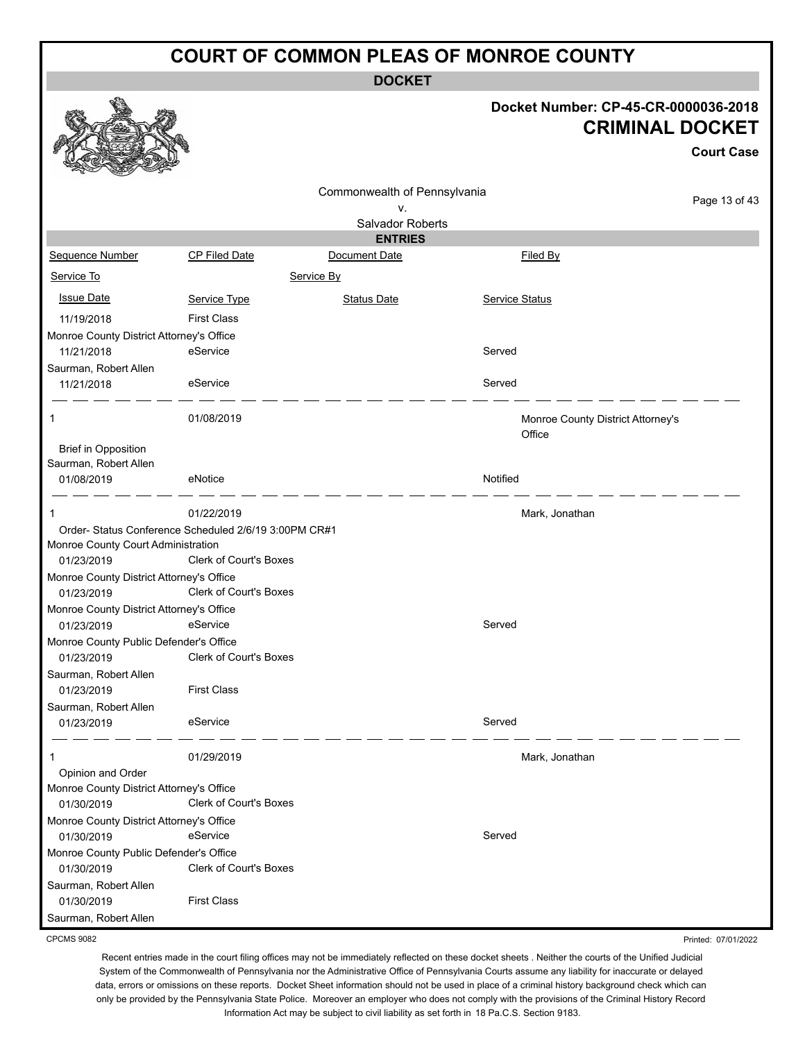**DOCKET**

#### **Docket Number: CP-45-CR-0000036-2018 KET**

|                                                        |                                                       |                                 |                                   | <b>CRIMINAL DOCKET</b> |
|--------------------------------------------------------|-------------------------------------------------------|---------------------------------|-----------------------------------|------------------------|
|                                                        |                                                       |                                 |                                   | <b>Court Case</b>      |
|                                                        |                                                       | Commonwealth of Pennsylvania    |                                   |                        |
|                                                        |                                                       | ۷.                              |                                   | Page 13 of 43          |
|                                                        |                                                       | <b>Salvador Roberts</b>         |                                   |                        |
|                                                        | <b>CP Filed Date</b>                                  | <b>ENTRIES</b><br>Document Date |                                   |                        |
| Sequence Number<br>Service To                          |                                                       |                                 | Filed By                          |                        |
|                                                        |                                                       | Service By                      |                                   |                        |
| <b>Issue Date</b>                                      | Service Type                                          | <b>Status Date</b>              | <b>Service Status</b>             |                        |
| 11/19/2018                                             | <b>First Class</b>                                    |                                 |                                   |                        |
| Monroe County District Attorney's Office               |                                                       |                                 |                                   |                        |
| 11/21/2018                                             | eService                                              |                                 | Served                            |                        |
| Saurman, Robert Allen<br>11/21/2018                    | eService                                              |                                 | Served                            |                        |
| 1                                                      | 01/08/2019                                            |                                 | Monroe County District Attorney's |                        |
| <b>Brief in Opposition</b><br>Saurman, Robert Allen    |                                                       |                                 | Office                            |                        |
| 01/08/2019                                             | eNotice                                               |                                 | Notified                          |                        |
| 1                                                      | 01/22/2019                                            |                                 | Mark, Jonathan                    |                        |
|                                                        | Order- Status Conference Scheduled 2/6/19 3:00PM CR#1 |                                 |                                   |                        |
| Monroe County Court Administration                     |                                                       |                                 |                                   |                        |
| 01/23/2019                                             | <b>Clerk of Court's Boxes</b>                         |                                 |                                   |                        |
| Monroe County District Attorney's Office               | Clerk of Court's Boxes                                |                                 |                                   |                        |
| 01/23/2019                                             |                                                       |                                 |                                   |                        |
| Monroe County District Attorney's Office<br>01/23/2019 | eService                                              |                                 | Served                            |                        |
| Monroe County Public Defender's Office                 |                                                       |                                 |                                   |                        |
| 01/23/2019                                             | Clerk of Court's Boxes                                |                                 |                                   |                        |
| Saurman, Robert Allen                                  |                                                       |                                 |                                   |                        |
| 01/23/2019                                             | <b>First Class</b>                                    |                                 |                                   |                        |
| Saurman, Robert Allen                                  |                                                       |                                 |                                   |                        |
| 01/23/2019                                             | eService                                              |                                 | Served                            |                        |
| 1                                                      | 01/29/2019                                            |                                 | Mark, Jonathan                    |                        |
| Opinion and Order                                      |                                                       |                                 |                                   |                        |
| Monroe County District Attorney's Office<br>01/30/2019 | Clerk of Court's Boxes                                |                                 |                                   |                        |
| Monroe County District Attorney's Office               |                                                       |                                 |                                   |                        |
| 01/30/2019                                             | eService                                              |                                 | Served                            |                        |
| Monroe County Public Defender's Office                 |                                                       |                                 |                                   |                        |
| 01/30/2019                                             | Clerk of Court's Boxes                                |                                 |                                   |                        |
| Saurman, Robert Allen<br>01/30/2019                    | <b>First Class</b>                                    |                                 |                                   |                        |
| Saurman, Robert Allen                                  |                                                       |                                 |                                   |                        |

CPCMS 9082

 $\mathscr{C}_{\mathbb{A}}$ 

Recent entries made in the court filing offices may not be immediately reflected on these docket sheets . Neither the courts of the Unified Judicial System of the Commonwealth of Pennsylvania nor the Administrative Office of Pennsylvania Courts assume any liability for inaccurate or delayed data, errors or omissions on these reports. Docket Sheet information should not be used in place of a criminal history background check which can only be provided by the Pennsylvania State Police. Moreover an employer who does not comply with the provisions of the Criminal History Record Information Act may be subject to civil liability as set forth in 18 Pa.C.S. Section 9183.

Printed: 07/01/2022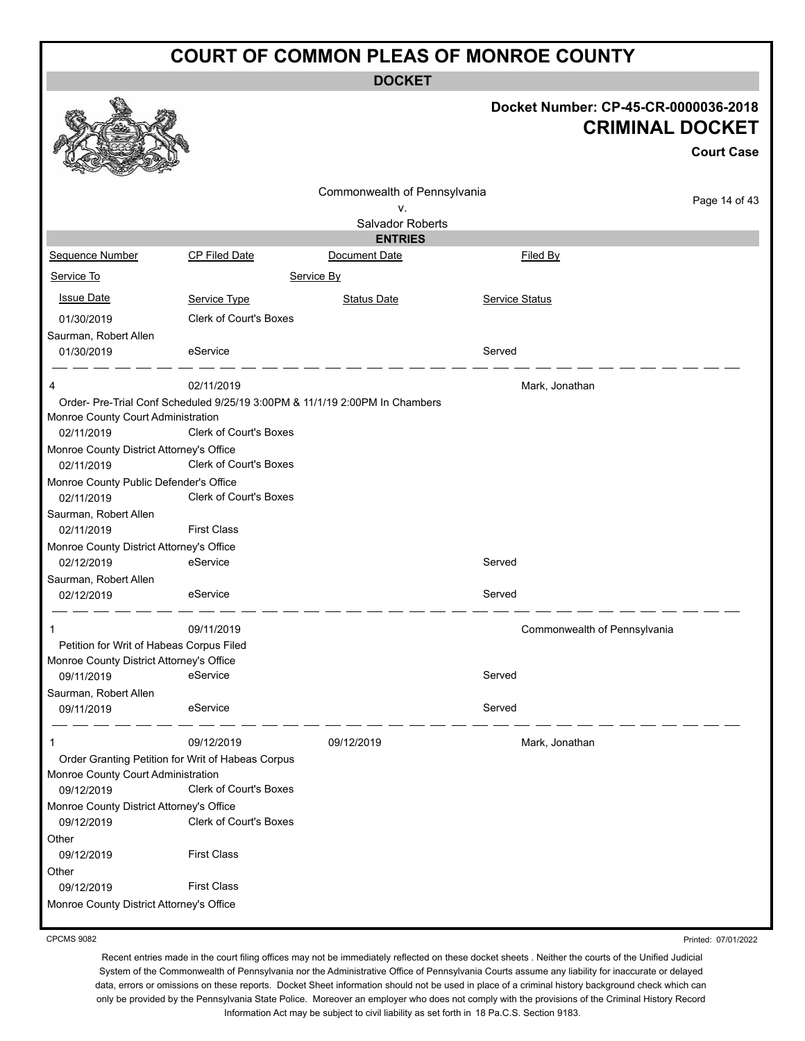**DOCKET**

|                                                        |                               | <b>DUUNEI</b>                                                               |                |                                                                |
|--------------------------------------------------------|-------------------------------|-----------------------------------------------------------------------------|----------------|----------------------------------------------------------------|
|                                                        |                               |                                                                             |                | Docket Number: CP-45-CR-0000036-2018<br><b>CRIMINAL DOCKET</b> |
|                                                        |                               |                                                                             |                | <b>Court Case</b>                                              |
|                                                        |                               |                                                                             |                |                                                                |
|                                                        |                               | Commonwealth of Pennsylvania                                                |                | Page 14 of 43                                                  |
|                                                        |                               | ۷.<br>Salvador Roberts                                                      |                |                                                                |
|                                                        |                               | <b>ENTRIES</b>                                                              |                |                                                                |
| Sequence Number                                        | CP Filed Date                 | Document Date                                                               | Filed By       |                                                                |
| Service To                                             |                               | Service By                                                                  |                |                                                                |
|                                                        |                               |                                                                             |                |                                                                |
| <b>Issue Date</b>                                      | Service Type                  | <b>Status Date</b>                                                          | Service Status |                                                                |
| 01/30/2019                                             | <b>Clerk of Court's Boxes</b> |                                                                             |                |                                                                |
| Saurman, Robert Allen                                  |                               |                                                                             |                |                                                                |
| 01/30/2019                                             | eService                      |                                                                             | Served         |                                                                |
| 4                                                      | 02/11/2019                    |                                                                             | Mark, Jonathan |                                                                |
|                                                        |                               | Order- Pre-Trial Conf Scheduled 9/25/19 3:00PM & 11/1/19 2:00PM In Chambers |                |                                                                |
| Monroe County Court Administration<br>02/11/2019       | <b>Clerk of Court's Boxes</b> |                                                                             |                |                                                                |
| Monroe County District Attorney's Office<br>02/11/2019 | Clerk of Court's Boxes        |                                                                             |                |                                                                |
| Monroe County Public Defender's Office                 |                               |                                                                             |                |                                                                |
| 02/11/2019                                             | Clerk of Court's Boxes        |                                                                             |                |                                                                |
| Saurman, Robert Allen                                  |                               |                                                                             |                |                                                                |
| 02/11/2019                                             | <b>First Class</b>            |                                                                             |                |                                                                |
| Monroe County District Attorney's Office               |                               |                                                                             |                |                                                                |
| 02/12/2019                                             | eService                      |                                                                             | Served         |                                                                |
| Saurman, Robert Allen                                  | eService                      |                                                                             |                |                                                                |
| 02/12/2019                                             |                               |                                                                             | Served         |                                                                |
| 1                                                      | 09/11/2019                    |                                                                             |                | Commonwealth of Pennsylvania                                   |
| Petition for Writ of Habeas Corpus Filed               |                               |                                                                             |                |                                                                |
| Monroe County District Attorney's Office               |                               |                                                                             |                |                                                                |
| 09/11/2019                                             | eService                      |                                                                             | Served         |                                                                |
| Saurman, Robert Allen<br>09/11/2019                    | eService                      |                                                                             | Served         |                                                                |
| 1                                                      | 09/12/2019                    | 09/12/2019                                                                  | Mark, Jonathan |                                                                |
| Order Granting Petition for Writ of Habeas Corpus      |                               |                                                                             |                |                                                                |
| Monroe County Court Administration                     |                               |                                                                             |                |                                                                |
| 09/12/2019                                             | <b>Clerk of Court's Boxes</b> |                                                                             |                |                                                                |
| Monroe County District Attorney's Office               |                               |                                                                             |                |                                                                |
| 09/12/2019                                             | Clerk of Court's Boxes        |                                                                             |                |                                                                |
| Other                                                  |                               |                                                                             |                |                                                                |
| 09/12/2019                                             | <b>First Class</b>            |                                                                             |                |                                                                |
| Other<br>09/12/2019                                    | <b>First Class</b>            |                                                                             |                |                                                                |
| Monroe County District Attorney's Office               |                               |                                                                             |                |                                                                |
|                                                        |                               |                                                                             |                |                                                                |

CPCMS 9082

Printed: 07/01/2022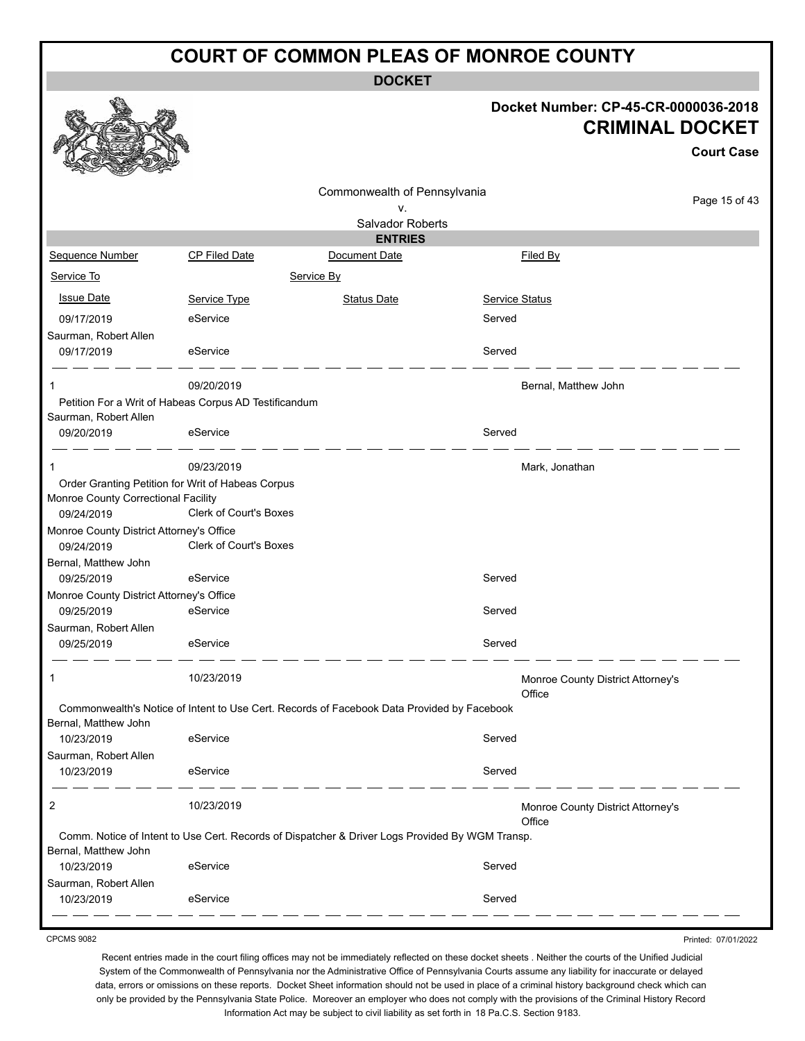**DOCKET**

|                                                   |                                                                                                 | <b>DOCKET</b>                |                       |                                                                                     |
|---------------------------------------------------|-------------------------------------------------------------------------------------------------|------------------------------|-----------------------|-------------------------------------------------------------------------------------|
|                                                   |                                                                                                 |                              |                       | Docket Number: CP-45-CR-0000036-2018<br><b>CRIMINAL DOCKET</b><br><b>Court Case</b> |
|                                                   |                                                                                                 | Commonwealth of Pennsylvania |                       | Page 15 of 43                                                                       |
|                                                   |                                                                                                 | ٧.                           |                       |                                                                                     |
|                                                   |                                                                                                 | <b>Salvador Roberts</b>      |                       |                                                                                     |
|                                                   |                                                                                                 | <b>ENTRIES</b>               |                       |                                                                                     |
| Sequence Number                                   | CP Filed Date                                                                                   | Document Date                | <b>Filed By</b>       |                                                                                     |
| Service To                                        |                                                                                                 | Service By                   |                       |                                                                                     |
| <b>Issue Date</b>                                 | Service Type                                                                                    | <b>Status Date</b>           | <b>Service Status</b> |                                                                                     |
| 09/17/2019                                        | eService                                                                                        |                              | Served                |                                                                                     |
| Saurman, Robert Allen<br>09/17/2019               | eService                                                                                        |                              | Served                |                                                                                     |
| 1                                                 | 09/20/2019<br>Petition For a Writ of Habeas Corpus AD Testificandum                             |                              | Bernal, Matthew John  |                                                                                     |
| Saurman, Robert Allen<br>09/20/2019               | eService                                                                                        |                              | Served                |                                                                                     |
| 1                                                 | 09/23/2019                                                                                      |                              | Mark, Jonathan        |                                                                                     |
| Monroe County Correctional Facility<br>09/24/2019 | Order Granting Petition for Writ of Habeas Corpus<br>Clerk of Court's Boxes                     |                              |                       |                                                                                     |
| Monroe County District Attorney's Office          |                                                                                                 |                              |                       |                                                                                     |
| 09/24/2019                                        | <b>Clerk of Court's Boxes</b>                                                                   |                              |                       |                                                                                     |
| Bernal, Matthew John                              |                                                                                                 |                              |                       |                                                                                     |
| 09/25/2019                                        | eService                                                                                        |                              | Served                |                                                                                     |
| Monroe County District Attorney's Office          |                                                                                                 |                              |                       |                                                                                     |
| 09/25/2019                                        | eService                                                                                        |                              | Served                |                                                                                     |
| Saurman, Robert Allen<br>09/25/2019               | eService                                                                                        |                              | Served                |                                                                                     |
| 1                                                 | 10/23/2019                                                                                      |                              | Office                | Monroe County District Attorney's                                                   |
| Bernal, Matthew John                              | Commonwealth's Notice of Intent to Use Cert. Records of Facebook Data Provided by Facebook      |                              |                       |                                                                                     |
| 10/23/2019                                        | eService                                                                                        |                              | Served                |                                                                                     |
| Saurman, Robert Allen<br>10/23/2019               | eService                                                                                        |                              | Served                |                                                                                     |
| 2                                                 | 10/23/2019                                                                                      |                              | Office                | Monroe County District Attorney's                                                   |
| Bernal, Matthew John                              | Comm. Notice of Intent to Use Cert. Records of Dispatcher & Driver Logs Provided By WGM Transp. |                              |                       |                                                                                     |
| 10/23/2019                                        | eService                                                                                        |                              | Served                |                                                                                     |
| Saurman, Robert Allen<br>10/23/2019               | eService                                                                                        |                              | Served                |                                                                                     |
|                                                   |                                                                                                 |                              |                       |                                                                                     |

CPCMS 9082

Printed: 07/01/2022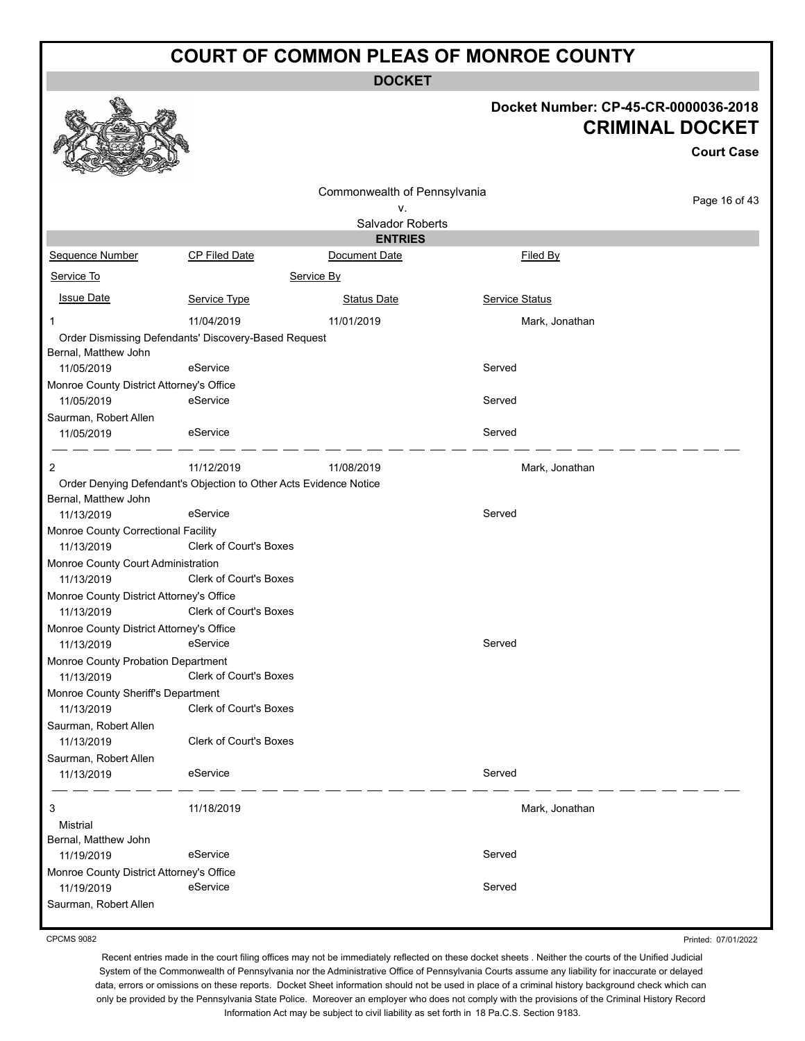**DOCKET**

# **Docket Number: CP-45-CR-0000036-2018 CRIMINAL DOCKET**

**Court Case**

|                                                        |                                                                   | Commonwealth of Pennsylvania |                |               |
|--------------------------------------------------------|-------------------------------------------------------------------|------------------------------|----------------|---------------|
|                                                        |                                                                   | ν.                           |                | Page 16 of 43 |
|                                                        |                                                                   | Salvador Roberts             |                |               |
|                                                        |                                                                   | <b>ENTRIES</b>               |                |               |
| Sequence Number                                        | <b>CP Filed Date</b>                                              | Document Date                | Filed By       |               |
| Service To                                             |                                                                   | Service By                   |                |               |
| <b>Issue Date</b>                                      | Service Type                                                      | <b>Status Date</b>           | Service Status |               |
| 1                                                      | 11/04/2019                                                        | 11/01/2019                   | Mark, Jonathan |               |
| Bernal, Matthew John                                   | Order Dismissing Defendants' Discovery-Based Request              |                              |                |               |
| 11/05/2019                                             | eService                                                          |                              | Served         |               |
| Monroe County District Attorney's Office               |                                                                   |                              |                |               |
| 11/05/2019                                             | eService                                                          |                              | Served         |               |
| Saurman, Robert Allen                                  |                                                                   |                              |                |               |
| 11/05/2019                                             | eService                                                          |                              | Served         |               |
| 2                                                      | 11/12/2019                                                        | 11/08/2019                   | Mark, Jonathan |               |
|                                                        | Order Denying Defendant's Objection to Other Acts Evidence Notice |                              |                |               |
| Bernal, Matthew John                                   |                                                                   |                              |                |               |
| 11/13/2019                                             | eService                                                          |                              | Served         |               |
| Monroe County Correctional Facility                    |                                                                   |                              |                |               |
| 11/13/2019                                             | Clerk of Court's Boxes                                            |                              |                |               |
| Monroe County Court Administration                     |                                                                   |                              |                |               |
| 11/13/2019                                             | <b>Clerk of Court's Boxes</b>                                     |                              |                |               |
| Monroe County District Attorney's Office               | Clerk of Court's Boxes                                            |                              |                |               |
| 11/13/2019<br>Monroe County District Attorney's Office |                                                                   |                              |                |               |
| 11/13/2019                                             | eService                                                          |                              | Served         |               |
| Monroe County Probation Department                     |                                                                   |                              |                |               |
| 11/13/2019                                             | <b>Clerk of Court's Boxes</b>                                     |                              |                |               |
| Monroe County Sheriff's Department                     |                                                                   |                              |                |               |
| 11/13/2019                                             | Clerk of Court's Boxes                                            |                              |                |               |
| Saurman, Robert Allen                                  |                                                                   |                              |                |               |
| 11/13/2019                                             | <b>Clerk of Court's Boxes</b>                                     |                              |                |               |
| Saurman, Robert Allen                                  |                                                                   |                              |                |               |
| 11/13/2019                                             | eService                                                          |                              | Served         |               |
| 3                                                      | 11/18/2019                                                        |                              | Mark, Jonathan |               |
| Mistrial                                               |                                                                   |                              |                |               |
| Bernal, Matthew John                                   |                                                                   |                              |                |               |
| 11/19/2019                                             | eService                                                          |                              | Served         |               |
| Monroe County District Attorney's Office               |                                                                   |                              |                |               |
| 11/19/2019                                             | eService                                                          |                              | Served         |               |
| Saurman, Robert Allen                                  |                                                                   |                              |                |               |

CPCMS 9082

Printed: 07/01/2022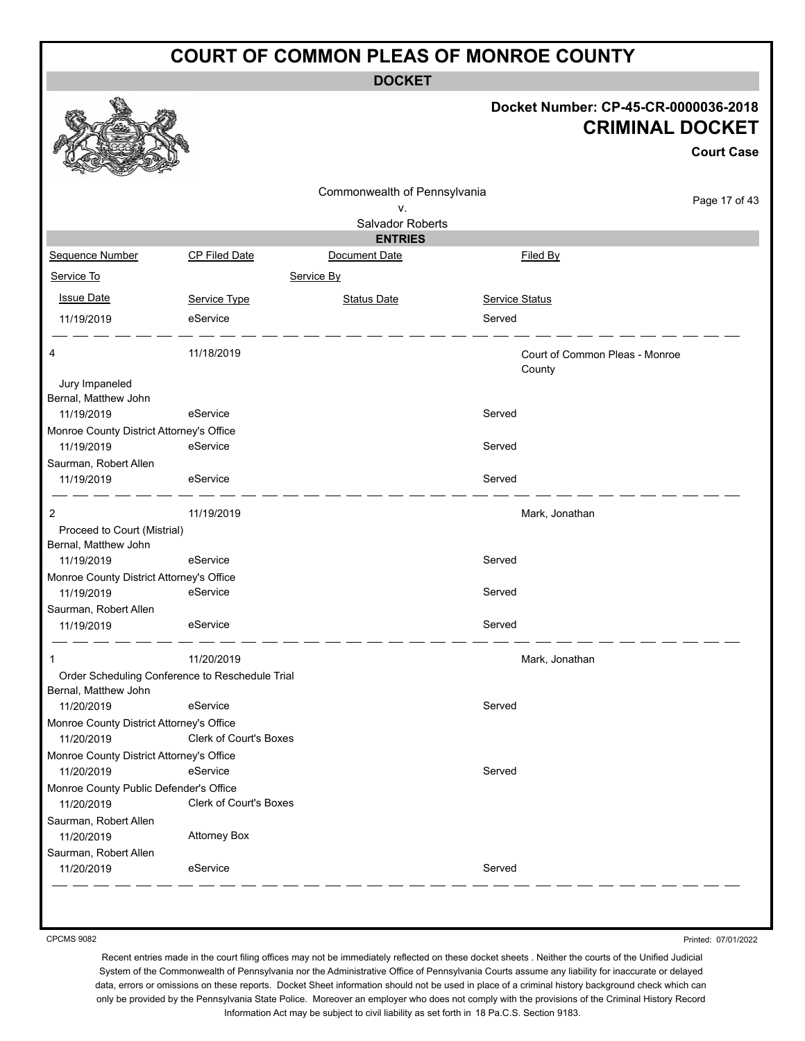**DOCKET**

### **Docket Number: CP-45-CR-0000036-2018 CRIMINAL DOCKET**

**Court Case**

Page 17 of 43

|                                          |                                                 |                              | Docket Number: CP-45-CR-00               | <b>CRIMINAL</b> |
|------------------------------------------|-------------------------------------------------|------------------------------|------------------------------------------|-----------------|
|                                          |                                                 | Commonwealth of Pennsylvania |                                          |                 |
|                                          |                                                 | v.                           |                                          |                 |
|                                          |                                                 | Salvador Roberts             |                                          |                 |
|                                          |                                                 | <b>ENTRIES</b>               |                                          |                 |
| Sequence Number                          | <b>CP Filed Date</b>                            | Document Date                | Filed By                                 |                 |
| Service To                               |                                                 | Service By                   |                                          |                 |
| <b>Issue Date</b>                        | Service Type                                    | <b>Status Date</b>           | <b>Service Status</b>                    |                 |
| 11/19/2019                               | eService                                        |                              | Served                                   |                 |
| 4                                        | 11/18/2019                                      |                              | Court of Common Pleas - Monroe<br>County |                 |
| Jury Impaneled<br>Bernal, Matthew John   |                                                 |                              |                                          |                 |
| 11/19/2019                               | eService                                        |                              | Served                                   |                 |
| Monroe County District Attorney's Office |                                                 |                              |                                          |                 |
| 11/19/2019                               | eService                                        |                              | Served                                   |                 |
| Saurman, Robert Allen                    |                                                 |                              |                                          |                 |
| 11/19/2019                               | eService                                        |                              | Served                                   |                 |
| 2                                        | 11/19/2019                                      |                              | Mark, Jonathan                           |                 |
| Proceed to Court (Mistrial)              |                                                 |                              |                                          |                 |
| Bernal, Matthew John                     |                                                 |                              |                                          |                 |
| 11/19/2019                               | eService                                        |                              | Served                                   |                 |
| Monroe County District Attorney's Office |                                                 |                              |                                          |                 |
| 11/19/2019                               | eService                                        |                              | Served                                   |                 |
| Saurman, Robert Allen                    |                                                 |                              |                                          |                 |
| 11/19/2019                               | eService                                        |                              | Served                                   |                 |
| 1                                        | 11/20/2019                                      |                              | Mark, Jonathan                           |                 |
|                                          | Order Scheduling Conference to Reschedule Trial |                              |                                          |                 |
| Bernal, Matthew John                     |                                                 |                              |                                          |                 |
| 11/20/2019                               | eService                                        |                              | Served                                   |                 |
| Monroe County District Attorney's Office |                                                 |                              |                                          |                 |
| 11/20/2019                               | <b>Clerk of Court's Boxes</b>                   |                              |                                          |                 |
| Monroe County District Attorney's Office |                                                 |                              |                                          |                 |
| 11/20/2019                               | eService                                        |                              | Served                                   |                 |
| Monroe County Public Defender's Office   |                                                 |                              |                                          |                 |
| 11/20/2019                               | Clerk of Court's Boxes                          |                              |                                          |                 |

11/20/2019 eService Served

Printed: 07/01/2022

Recent entries made in the court filing offices may not be immediately reflected on these docket sheets . Neither the courts of the Unified Judicial System of the Commonwealth of Pennsylvania nor the Administrative Office of Pennsylvania Courts assume any liability for inaccurate or delayed data, errors or omissions on these reports. Docket Sheet information should not be used in place of a criminal history background check which can only be provided by the Pennsylvania State Police. Moreover an employer who does not comply with the provisions of the Criminal History Record Information Act may be subject to civil liability as set forth in 18 Pa.C.S. Section 9183.

CPCMS 9082

Saurman, Robert Allen

 $\mathcal{O}$ 

Saurman, Robert Allen

11/20/2019 Attorney Box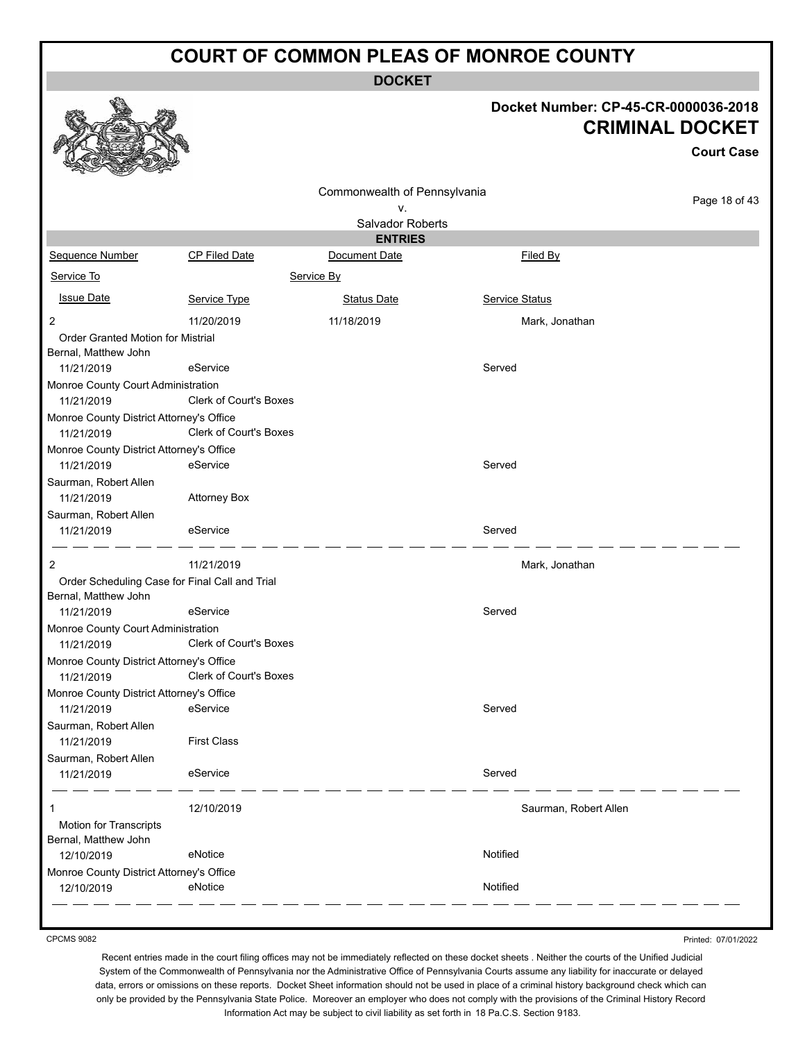**DOCKET**

# **Docket Number: CP-45-CR-0000036-2018 CRIMINAL DOCKET**

|                                                                        |                               |                                                        |                       | <b>CRIMINAL DOCKET</b><br><b>Court Case</b> |
|------------------------------------------------------------------------|-------------------------------|--------------------------------------------------------|-----------------------|---------------------------------------------|
|                                                                        |                               | Commonwealth of Pennsylvania<br>v.<br>Salvador Roberts |                       | Page 18 of 43                               |
|                                                                        |                               | <b>ENTRIES</b>                                         |                       |                                             |
| <b>Sequence Number</b>                                                 | <b>CP Filed Date</b>          | Document Date                                          | Filed By              |                                             |
| Service To                                                             |                               | Service By                                             |                       |                                             |
| <b>Issue Date</b>                                                      | Service Type                  | <b>Status Date</b>                                     | Service Status        |                                             |
| 2                                                                      | 11/20/2019                    | 11/18/2019                                             | Mark, Jonathan        |                                             |
| Order Granted Motion for Mistrial                                      |                               |                                                        |                       |                                             |
| Bernal, Matthew John<br>11/21/2019                                     | eService                      |                                                        | Served                |                                             |
| Monroe County Court Administration                                     |                               |                                                        |                       |                                             |
| 11/21/2019                                                             | Clerk of Court's Boxes        |                                                        |                       |                                             |
| Monroe County District Attorney's Office<br>11/21/2019                 | <b>Clerk of Court's Boxes</b> |                                                        |                       |                                             |
| Monroe County District Attorney's Office<br>11/21/2019                 | eService                      |                                                        | Served                |                                             |
| Saurman, Robert Allen<br>11/21/2019                                    | <b>Attorney Box</b>           |                                                        |                       |                                             |
| Saurman, Robert Allen<br>11/21/2019                                    | eService                      |                                                        | Served                |                                             |
| 2                                                                      | 11/21/2019                    |                                                        | Mark, Jonathan        |                                             |
| Order Scheduling Case for Final Call and Trial<br>Bernal, Matthew John |                               |                                                        |                       |                                             |
| 11/21/2019                                                             | eService                      |                                                        | Served                |                                             |
| Monroe County Court Administration                                     |                               |                                                        |                       |                                             |
| 11/21/2019                                                             | <b>Clerk of Court's Boxes</b> |                                                        |                       |                                             |
| Monroe County District Attorney's Office<br>11/21/2019                 | Clerk of Court's Boxes        |                                                        |                       |                                             |
| Monroe County District Attorney's Office<br>11/21/2019                 | eService                      |                                                        | Served                |                                             |
| Saurman, Robert Allen<br>11/21/2019                                    | <b>First Class</b>            |                                                        |                       |                                             |
| Saurman, Robert Allen<br>11/21/2019                                    | eService                      |                                                        | Served                |                                             |
| 1                                                                      | 12/10/2019                    |                                                        | Saurman, Robert Allen |                                             |
| Motion for Transcripts<br>Bernal, Matthew John                         |                               |                                                        |                       |                                             |
| 12/10/2019                                                             | eNotice                       |                                                        | Notified              |                                             |
| Monroe County District Attorney's Office                               |                               |                                                        |                       |                                             |
| 12/10/2019                                                             | eNotice                       |                                                        | Notified              |                                             |

CPCMS 9082

Printed: 07/01/2022

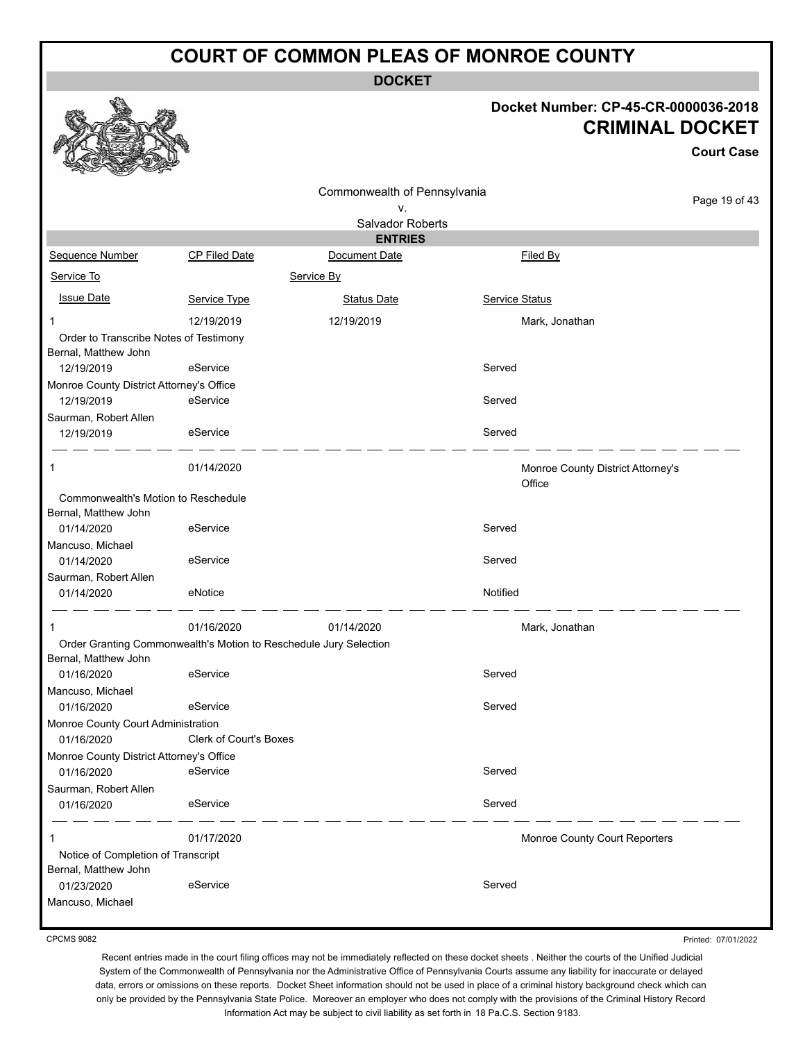**DOCKET**

#### **Docket Number: CP-45-CR-0000036-2018 CRIMINAL DOCKET**

**Court Case**

|                                                                |                                                                   |                                    |                       | <b>Court Case</b>                 |
|----------------------------------------------------------------|-------------------------------------------------------------------|------------------------------------|-----------------------|-----------------------------------|
|                                                                |                                                                   | Commonwealth of Pennsylvania<br>٧. |                       | Page 19 of 43                     |
|                                                                |                                                                   | Salvador Roberts                   |                       |                                   |
|                                                                |                                                                   | <b>ENTRIES</b>                     |                       |                                   |
| Sequence Number                                                | CP Filed Date                                                     | Document Date                      | Filed By              |                                   |
| Service To                                                     |                                                                   | Service By                         |                       |                                   |
| <b>Issue Date</b>                                              | Service Type                                                      | <b>Status Date</b>                 | <b>Service Status</b> |                                   |
| 1                                                              | 12/19/2019                                                        | 12/19/2019                         |                       | Mark, Jonathan                    |
| Order to Transcribe Notes of Testimony<br>Bernal, Matthew John |                                                                   |                                    |                       |                                   |
| 12/19/2019                                                     | eService                                                          |                                    | Served                |                                   |
| Monroe County District Attorney's Office<br>12/19/2019         | eService                                                          |                                    | Served                |                                   |
| Saurman, Robert Allen<br>12/19/2019                            | eService                                                          |                                    | Served                |                                   |
| 1                                                              | 01/14/2020                                                        |                                    | Office                | Monroe County District Attorney's |
| Commonwealth's Motion to Reschedule<br>Bernal, Matthew John    |                                                                   |                                    |                       |                                   |
| 01/14/2020                                                     | eService                                                          |                                    | Served                |                                   |
| Mancuso, Michael<br>01/14/2020                                 | eService                                                          |                                    | Served                |                                   |
| Saurman, Robert Allen<br>01/14/2020                            | eNotice                                                           |                                    | Notified              |                                   |
| 1                                                              | 01/16/2020                                                        | 01/14/2020                         |                       | Mark, Jonathan                    |
| Bernal, Matthew John                                           | Order Granting Commonwealth's Motion to Reschedule Jury Selection |                                    |                       |                                   |
| 01/16/2020                                                     | eService                                                          |                                    | Served                |                                   |
| Mancuso, Michael<br>01/16/2020                                 | eService                                                          |                                    | Served                |                                   |
| Monroe County Court Administration                             |                                                                   |                                    |                       |                                   |
| 01/16/2020                                                     | Clerk of Court's Boxes                                            |                                    |                       |                                   |
| Monroe County District Attorney's Office                       |                                                                   |                                    |                       |                                   |
| 01/16/2020                                                     | eService                                                          |                                    | Served                |                                   |
| Saurman, Robert Allen                                          |                                                                   |                                    |                       |                                   |
| 01/16/2020                                                     | eService                                                          |                                    | Served                |                                   |
| 1                                                              | 01/17/2020                                                        |                                    |                       | Monroe County Court Reporters     |
| Notice of Completion of Transcript                             |                                                                   |                                    |                       |                                   |
| Bernal, Matthew John<br>01/23/2020                             | eService                                                          |                                    | Served                |                                   |
| Mancuso, Michael                                               |                                                                   |                                    |                       |                                   |
|                                                                |                                                                   |                                    |                       |                                   |

CPCMS 9082

Printed: 07/01/2022

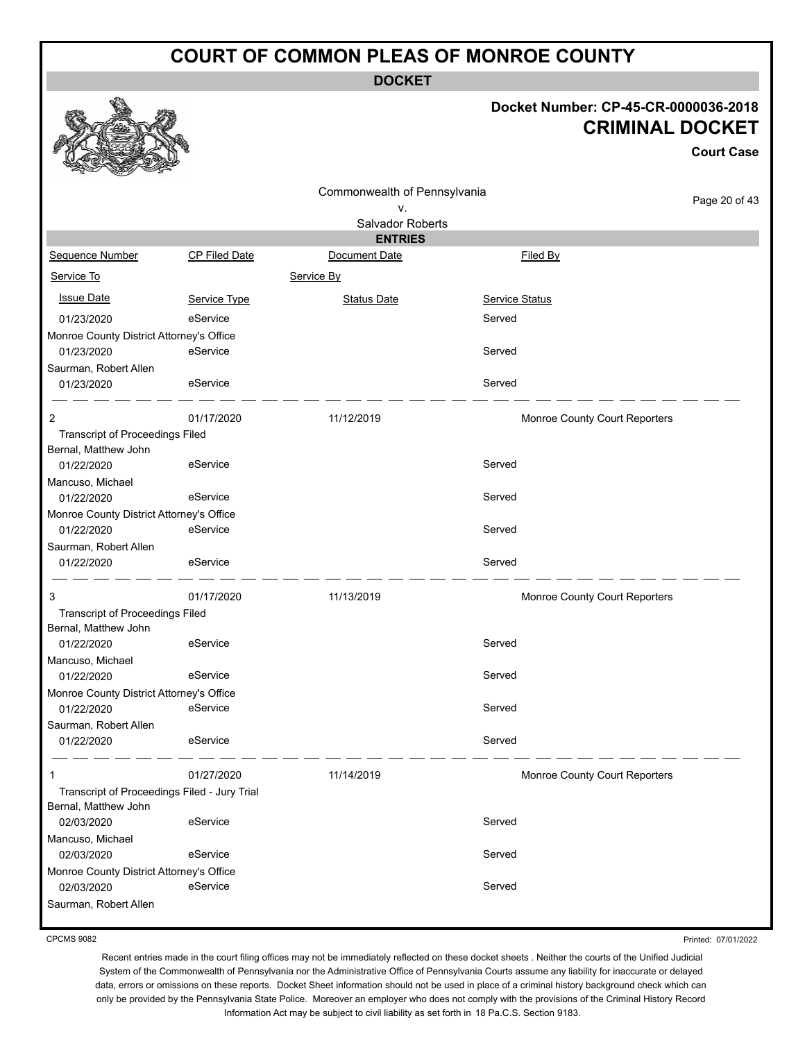**DOCKET**

### **Docket Number: CP-45-CR-0000036-2018 CRIMINAL DOCKET**

**Court Case**

|                                                        |               | Commonwealth of Pennsylvania    |                                      |               |
|--------------------------------------------------------|---------------|---------------------------------|--------------------------------------|---------------|
|                                                        |               | ٧.                              |                                      | Page 20 of 43 |
|                                                        |               | Salvador Roberts                |                                      |               |
| Sequence Number                                        | CP Filed Date | <b>ENTRIES</b><br>Document Date | Filed By                             |               |
|                                                        |               |                                 |                                      |               |
| Service To                                             |               | Service By                      |                                      |               |
| <b>Issue Date</b>                                      | Service Type  | <b>Status Date</b>              | Service Status                       |               |
| 01/23/2020                                             | eService      |                                 | Served                               |               |
| Monroe County District Attorney's Office               |               |                                 |                                      |               |
| 01/23/2020                                             | eService      |                                 | Served                               |               |
| Saurman, Robert Allen                                  |               |                                 |                                      |               |
| 01/23/2020                                             | eService      |                                 | Served                               |               |
| 2                                                      | 01/17/2020    | 11/12/2019                      | Monroe County Court Reporters        |               |
| <b>Transcript of Proceedings Filed</b>                 |               |                                 |                                      |               |
| Bernal, Matthew John                                   |               |                                 |                                      |               |
| 01/22/2020                                             | eService      |                                 | Served                               |               |
| Mancuso, Michael<br>01/22/2020                         | eService      |                                 | Served                               |               |
| Monroe County District Attorney's Office               |               |                                 |                                      |               |
| 01/22/2020                                             | eService      |                                 | Served                               |               |
| Saurman, Robert Allen                                  |               |                                 |                                      |               |
| 01/22/2020                                             | eService      |                                 | Served                               |               |
| 3                                                      | 01/17/2020    | 11/13/2019                      | Monroe County Court Reporters        |               |
| Transcript of Proceedings Filed                        |               |                                 |                                      |               |
| Bernal, Matthew John                                   |               |                                 |                                      |               |
| 01/22/2020                                             | eService      |                                 | Served                               |               |
| Mancuso, Michael                                       |               |                                 |                                      |               |
| 01/22/2020                                             | eService      |                                 | Served                               |               |
| Monroe County District Attorney's Office<br>01/22/2020 | eService      |                                 | Served                               |               |
| Saurman, Robert Allen                                  |               |                                 |                                      |               |
| 01/22/2020                                             | eService      |                                 | Served                               |               |
|                                                        | 01/27/2020    | 11/14/2019                      | <b>Monroe County Court Reporters</b> |               |
| Transcript of Proceedings Filed - Jury Trial           |               |                                 |                                      |               |
| Bernal, Matthew John                                   |               |                                 |                                      |               |
| 02/03/2020                                             | eService      |                                 | Served                               |               |
| Mancuso, Michael                                       |               |                                 |                                      |               |
| 02/03/2020                                             | eService      |                                 | Served                               |               |
| Monroe County District Attorney's Office<br>02/03/2020 | eService      |                                 | Served                               |               |
| Saurman, Robert Allen                                  |               |                                 |                                      |               |
|                                                        |               |                                 |                                      |               |

CPCMS 9082

Printed: 07/01/2022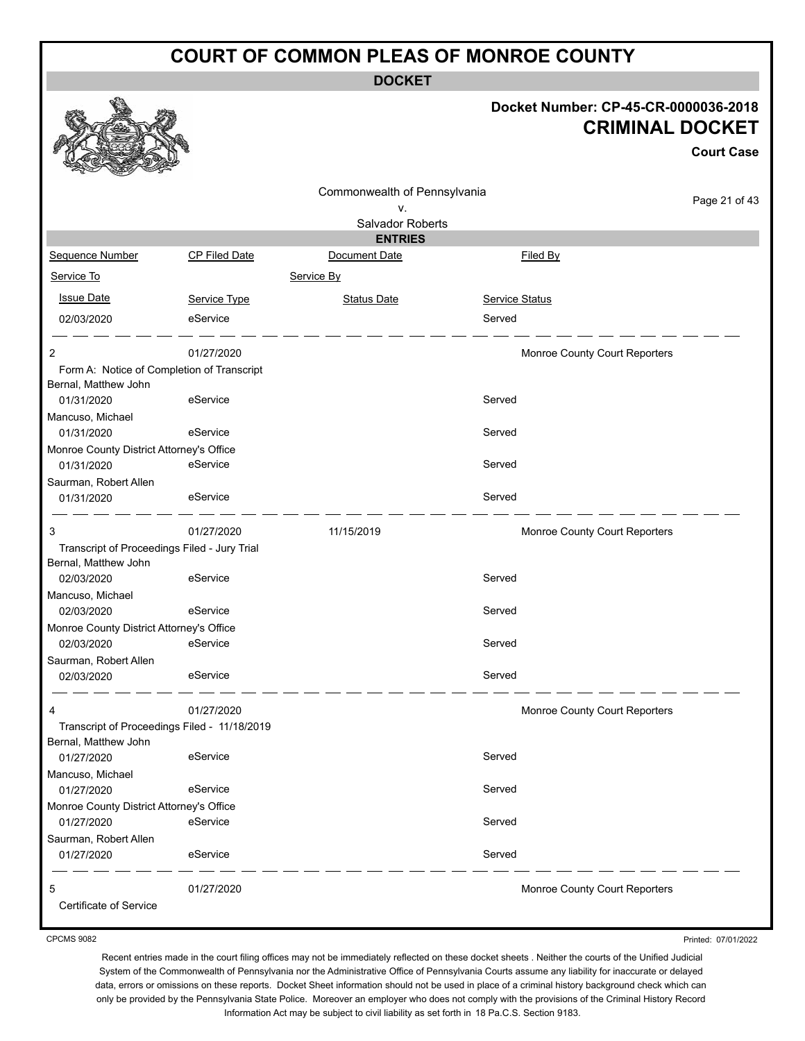**DOCKET**

#### **Docket Number: CP-45-CR-0000036-2018 CRIMINAL DOCKET**

**Case** 

of 43

|                                                                    |                      |                              |                               | Court ( |
|--------------------------------------------------------------------|----------------------|------------------------------|-------------------------------|---------|
|                                                                    |                      | Commonwealth of Pennsylvania |                               |         |
|                                                                    |                      | ۷.                           |                               | Page 21 |
|                                                                    |                      | Salvador Roberts             |                               |         |
|                                                                    |                      | <b>ENTRIES</b>               |                               |         |
| Sequence Number                                                    | <b>CP Filed Date</b> | Document Date                | Filed By                      |         |
| Service To                                                         |                      | Service By                   |                               |         |
| <b>Issue Date</b>                                                  | Service Type         | <b>Status Date</b>           | <b>Service Status</b>         |         |
| 02/03/2020                                                         | eService             |                              | Served                        |         |
| 2                                                                  | 01/27/2020           |                              | Monroe County Court Reporters |         |
| Form A: Notice of Completion of Transcript<br>Bernal, Matthew John |                      |                              |                               |         |
| 01/31/2020                                                         | eService             |                              | Served                        |         |
| Mancuso, Michael                                                   |                      |                              |                               |         |
| 01/31/2020                                                         | eService             |                              | Served                        |         |
| Monroe County District Attorney's Office                           |                      |                              |                               |         |
| 01/31/2020                                                         | eService             |                              | Served                        |         |
| Saurman, Robert Allen                                              |                      |                              |                               |         |
| 01/31/2020                                                         | eService             |                              | Served                        |         |
| 3                                                                  | 01/27/2020           | 11/15/2019                   | Monroe County Court Reporters |         |
| Transcript of Proceedings Filed - Jury Trial                       |                      |                              |                               |         |
| Bernal, Matthew John                                               |                      |                              |                               |         |
| 02/03/2020                                                         | eService             |                              | Served                        |         |
| Mancuso, Michael                                                   |                      |                              |                               |         |
| 02/03/2020                                                         | eService             |                              | Served                        |         |
| Monroe County District Attorney's Office<br>02/03/2020             | eService             |                              | Served                        |         |
| Saurman, Robert Allen                                              |                      |                              |                               |         |
| 02/03/2020                                                         | eService             |                              | Served                        |         |
|                                                                    |                      |                              |                               |         |
|                                                                    | 01/27/2020           |                              | Monroe County Court Reporters |         |
| Transcript of Proceedings Filed - 11/18/2019                       |                      |                              |                               |         |
| Bernal, Matthew John                                               |                      |                              |                               |         |
| 01/27/2020                                                         | eService             |                              | Served                        |         |
| Mancuso, Michael                                                   |                      |                              |                               |         |
| 01/27/2020                                                         | eService             |                              | Served                        |         |
| Monroe County District Attorney's Office                           | eService             |                              | Served                        |         |
| 01/27/2020                                                         |                      |                              |                               |         |
| Saurman, Robert Allen<br>01/27/2020                                | eService             |                              | Served                        |         |
| 5                                                                  | 01/27/2020           |                              | Monroe County Court Reporters |         |

Certificate of Service

CPCMS 9082

Printed: 07/01/2022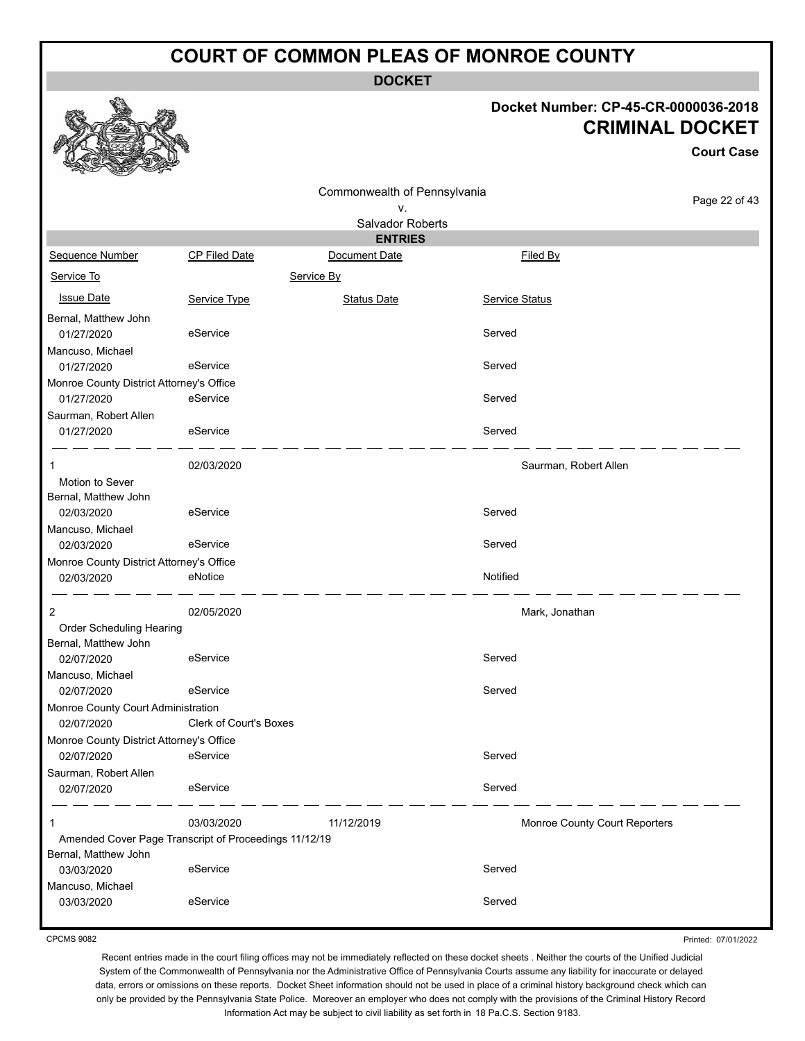**DOCKET**

#### **Docket Number: CP-45-CR-0000036-2018 CRIMINAL DOCKET**

**Court Case**

|                                                        |                               | Commonwealth of Pennsylvania |                       |                               |
|--------------------------------------------------------|-------------------------------|------------------------------|-----------------------|-------------------------------|
|                                                        |                               | ۷.                           |                       | Page 22 of 43                 |
|                                                        |                               | <b>Salvador Roberts</b>      |                       |                               |
|                                                        |                               | <b>ENTRIES</b>               |                       |                               |
| <b>Sequence Number</b>                                 | <b>CP Filed Date</b>          | Document Date                |                       | Filed By                      |
| Service To                                             |                               | Service By                   |                       |                               |
| <b>Issue Date</b>                                      | Service Type                  | <b>Status Date</b>           | <b>Service Status</b> |                               |
| Bernal, Matthew John                                   |                               |                              |                       |                               |
| 01/27/2020                                             | eService                      |                              | Served                |                               |
| Mancuso, Michael                                       |                               |                              |                       |                               |
| 01/27/2020                                             | eService                      |                              | Served                |                               |
| Monroe County District Attorney's Office               |                               |                              |                       |                               |
| 01/27/2020                                             | eService                      |                              | Served                |                               |
| Saurman, Robert Allen                                  |                               |                              |                       |                               |
| 01/27/2020                                             | eService                      |                              | Served                |                               |
| 1                                                      | 02/03/2020                    |                              |                       | Saurman, Robert Allen         |
| Motion to Sever                                        |                               |                              |                       |                               |
| Bernal, Matthew John                                   |                               |                              |                       |                               |
| 02/03/2020                                             | eService                      |                              | Served                |                               |
| Mancuso, Michael                                       |                               |                              |                       |                               |
| 02/03/2020                                             | eService                      |                              | Served                |                               |
| Monroe County District Attorney's Office               |                               |                              |                       |                               |
| 02/03/2020                                             | eNotice                       |                              | Notified              |                               |
| 2                                                      | 02/05/2020                    |                              |                       | Mark, Jonathan                |
| Order Scheduling Hearing                               |                               |                              |                       |                               |
| Bernal, Matthew John                                   |                               |                              |                       |                               |
| 02/07/2020                                             | eService                      |                              | Served                |                               |
| Mancuso, Michael                                       |                               |                              |                       |                               |
| 02/07/2020                                             | eService                      |                              | Served                |                               |
| Monroe County Court Administration                     |                               |                              |                       |                               |
| 02/07/2020                                             | <b>Clerk of Court's Boxes</b> |                              |                       |                               |
| Monroe County District Attorney's Office<br>02/07/2020 | eService                      |                              | Served                |                               |
| Saurman, Robert Allen                                  |                               |                              |                       |                               |
| 02/07/2020                                             | eService                      |                              | Served                |                               |
| 1                                                      | 03/03/2020                    | 11/12/2019                   |                       | Monroe County Court Reporters |
| Amended Cover Page Transcript of Proceedings 11/12/19  |                               |                              |                       |                               |
| Bernal, Matthew John                                   |                               |                              |                       |                               |
| 03/03/2020                                             | eService                      |                              | Served                |                               |
| Mancuso, Michael                                       |                               |                              |                       |                               |
| 03/03/2020                                             | eService                      |                              | Served                |                               |

CPCMS 9082

Printed: 07/01/2022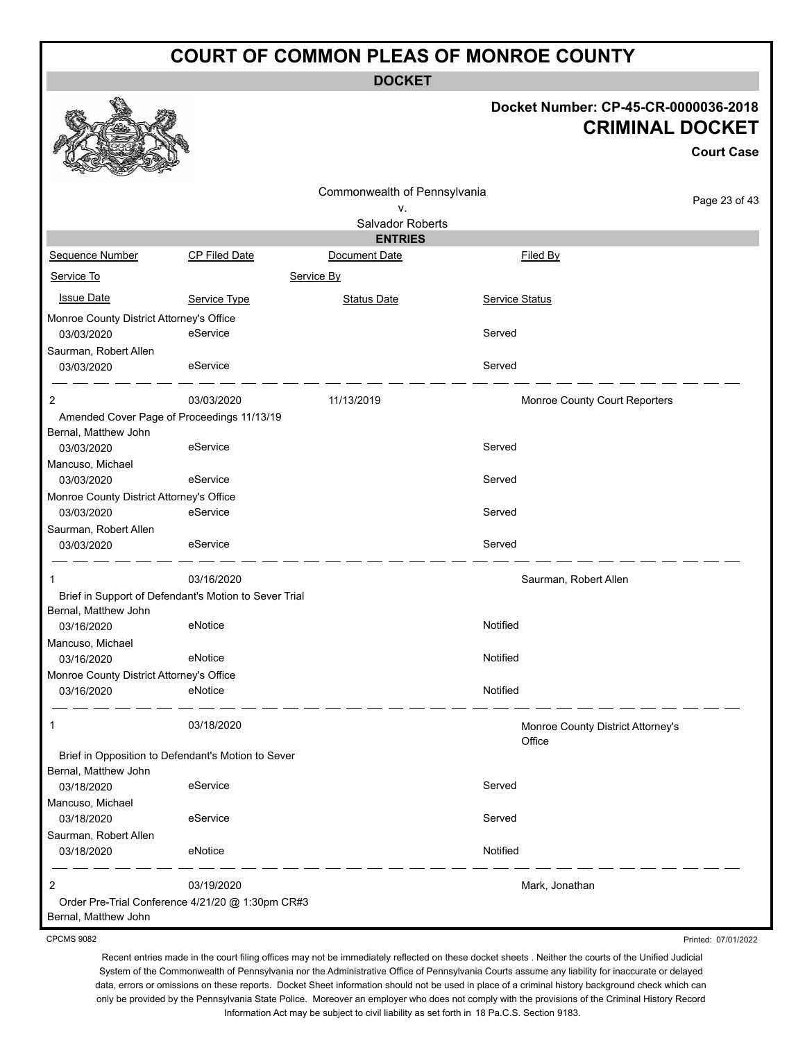**DOCKET**

#### **Docket Number: CP-45-CR-0000036-2018 CRIMINAL DOCKET**

**Court Case**

Printed: 07/01/2022

|                                          |                                                       |                              |                                   | <b>Court Case</b> |
|------------------------------------------|-------------------------------------------------------|------------------------------|-----------------------------------|-------------------|
|                                          |                                                       | Commonwealth of Pennsylvania |                                   |                   |
|                                          |                                                       | ν.                           |                                   | Page 23 of 43     |
|                                          |                                                       | Salvador Roberts             |                                   |                   |
|                                          |                                                       | <b>ENTRIES</b>               |                                   |                   |
| Sequence Number                          | <b>CP Filed Date</b>                                  | Document Date                | Filed By                          |                   |
| Service To                               |                                                       | Service By                   |                                   |                   |
| <b>Issue Date</b>                        | Service Type                                          | Status Date                  | <b>Service Status</b>             |                   |
| Monroe County District Attorney's Office |                                                       |                              |                                   |                   |
| 03/03/2020                               | eService                                              |                              | Served                            |                   |
| Saurman, Robert Allen                    |                                                       |                              |                                   |                   |
| 03/03/2020                               | eService                                              |                              | Served                            |                   |
| 2                                        | 03/03/2020                                            | 11/13/2019                   | Monroe County Court Reporters     |                   |
| Bernal, Matthew John                     | Amended Cover Page of Proceedings 11/13/19            |                              |                                   |                   |
| 03/03/2020                               | eService                                              |                              | Served                            |                   |
| Mancuso, Michael                         |                                                       |                              |                                   |                   |
| 03/03/2020                               | eService                                              |                              | Served                            |                   |
| Monroe County District Attorney's Office |                                                       |                              |                                   |                   |
| 03/03/2020                               | eService                                              |                              | Served                            |                   |
| Saurman, Robert Allen                    |                                                       |                              |                                   |                   |
| 03/03/2020                               | eService                                              |                              | Served                            |                   |
| 1                                        | 03/16/2020                                            |                              | Saurman, Robert Allen             |                   |
|                                          | Brief in Support of Defendant's Motion to Sever Trial |                              |                                   |                   |
| Bernal, Matthew John                     |                                                       |                              |                                   |                   |
| 03/16/2020                               | eNotice                                               |                              | Notified                          |                   |
| Mancuso, Michael                         |                                                       |                              |                                   |                   |
| 03/16/2020                               | eNotice                                               |                              | Notified                          |                   |
| Monroe County District Attorney's Office |                                                       |                              |                                   |                   |
| 03/16/2020                               | eNotice                                               |                              | Notified                          |                   |
| 1                                        | 03/18/2020                                            |                              | Monroe County District Attorney's |                   |
|                                          |                                                       |                              | Office                            |                   |
|                                          | Brief in Opposition to Defendant's Motion to Sever    |                              |                                   |                   |
| Bernal, Matthew John                     |                                                       |                              |                                   |                   |
| 03/18/2020                               | eService                                              |                              | Served                            |                   |
| Mancuso, Michael                         |                                                       |                              |                                   |                   |
| 03/18/2020                               | eService                                              |                              | Served                            |                   |
| Saurman, Robert Allen                    |                                                       |                              |                                   |                   |
| 03/18/2020                               | eNotice                                               |                              | Notified                          |                   |
| 2                                        | 03/19/2020                                            |                              | Mark, Jonathan                    |                   |
|                                          | Order Pre-Trial Conference 4/21/20 @ 1:30pm CR#3      |                              |                                   |                   |
| Bernal, Matthew John                     |                                                       |                              |                                   |                   |

CPCMS 9082

Recent entries made in the court filing offices may not be immediately reflected on these docket sheets . Neither the courts of the Unified Judicial System of the Commonwealth of Pennsylvania nor the Administrative Office of Pennsylvania Courts assume any liability for inaccurate or delayed data, errors or omissions on these reports. Docket Sheet information should not be used in place of a criminal history background check which can only be provided by the Pennsylvania State Police. Moreover an employer who does not comply with the provisions of the Criminal History Record

Information Act may be subject to civil liability as set forth in 18 Pa.C.S. Section 9183.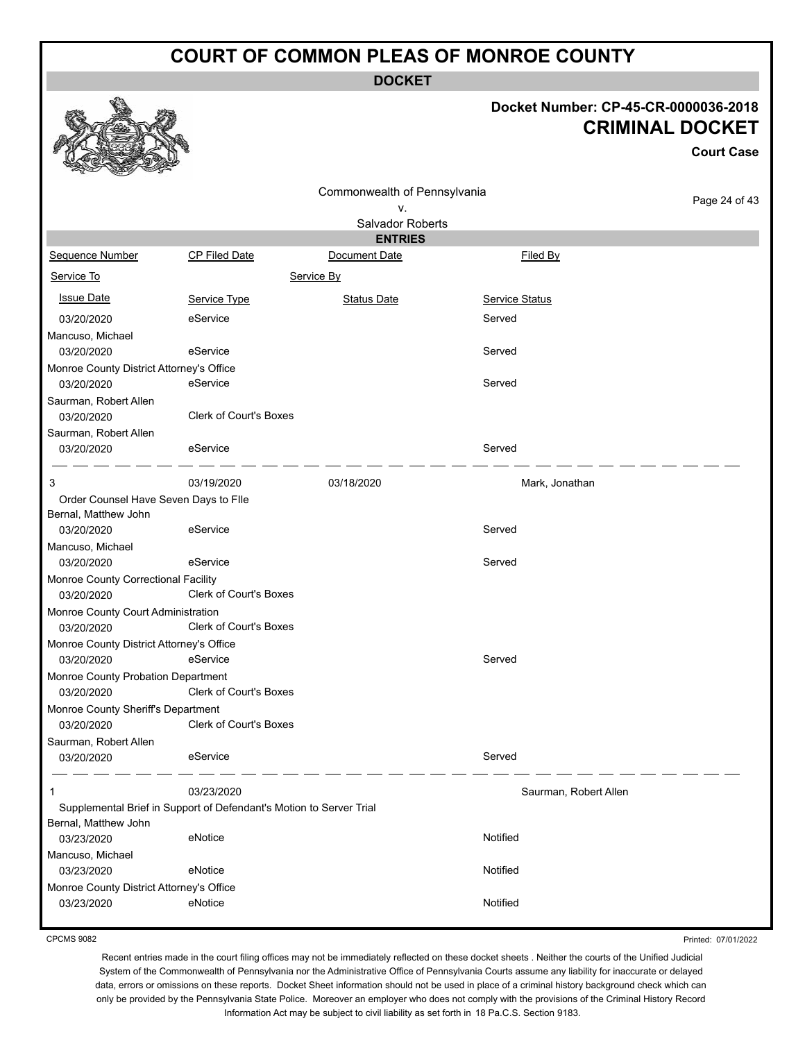**DOCKET**

### **Docket Number: CP-45-CR-0000036-2018 CRIMINAL DOCKET**

**Court Case**

|                                                  |                                                                     | Commonwealth of Pennsylvania    |                       |               |
|--------------------------------------------------|---------------------------------------------------------------------|---------------------------------|-----------------------|---------------|
|                                                  |                                                                     | ۷.                              |                       | Page 24 of 43 |
|                                                  |                                                                     | Salvador Roberts                |                       |               |
| Sequence Number                                  | <b>CP Filed Date</b>                                                | <b>ENTRIES</b><br>Document Date | Filed By              |               |
|                                                  |                                                                     |                                 |                       |               |
| Service To                                       |                                                                     | Service By                      |                       |               |
| <b>Issue Date</b>                                | Service Type                                                        | <b>Status Date</b>              | Service Status        |               |
| 03/20/2020                                       | eService                                                            |                                 | Served                |               |
| Mancuso, Michael                                 |                                                                     |                                 |                       |               |
| 03/20/2020                                       | eService                                                            |                                 | Served                |               |
| Monroe County District Attorney's Office         |                                                                     |                                 |                       |               |
| 03/20/2020                                       | eService                                                            |                                 | Served                |               |
| Saurman, Robert Allen                            |                                                                     |                                 |                       |               |
| 03/20/2020                                       | <b>Clerk of Court's Boxes</b>                                       |                                 |                       |               |
| Saurman, Robert Allen                            | eService                                                            |                                 | Served                |               |
| 03/20/2020                                       |                                                                     |                                 |                       |               |
| 3                                                | 03/19/2020                                                          | 03/18/2020                      | Mark, Jonathan        |               |
| Order Counsel Have Seven Days to Flle            |                                                                     |                                 |                       |               |
| Bernal, Matthew John                             |                                                                     |                                 |                       |               |
| 03/20/2020                                       | eService                                                            |                                 | Served                |               |
| Mancuso, Michael                                 |                                                                     |                                 |                       |               |
| 03/20/2020                                       | eService                                                            |                                 | Served                |               |
| Monroe County Correctional Facility              | Clerk of Court's Boxes                                              |                                 |                       |               |
| 03/20/2020<br>Monroe County Court Administration |                                                                     |                                 |                       |               |
| 03/20/2020                                       | <b>Clerk of Court's Boxes</b>                                       |                                 |                       |               |
| Monroe County District Attorney's Office         |                                                                     |                                 |                       |               |
| 03/20/2020                                       | eService                                                            |                                 | Served                |               |
| Monroe County Probation Department               |                                                                     |                                 |                       |               |
| 03/20/2020                                       | Clerk of Court's Boxes                                              |                                 |                       |               |
| Monroe County Sheriff's Department               |                                                                     |                                 |                       |               |
| 03/20/2020                                       | <b>Clerk of Court's Boxes</b>                                       |                                 |                       |               |
| Saurman, Robert Allen                            |                                                                     |                                 |                       |               |
| 03/20/2020                                       | eService                                                            |                                 | Served                |               |
| 1                                                | 03/23/2020                                                          |                                 | Saurman, Robert Allen |               |
|                                                  | Supplemental Brief in Support of Defendant's Motion to Server Trial |                                 |                       |               |
| Bernal, Matthew John                             |                                                                     |                                 |                       |               |
| 03/23/2020                                       | eNotice                                                             |                                 | Notified              |               |
| Mancuso, Michael                                 |                                                                     |                                 |                       |               |
| 03/23/2020                                       | eNotice                                                             |                                 | Notified              |               |
| Monroe County District Attorney's Office         |                                                                     |                                 |                       |               |
| 03/23/2020                                       | eNotice                                                             |                                 | Notified              |               |

CPCMS 9082

Printed: 07/01/2022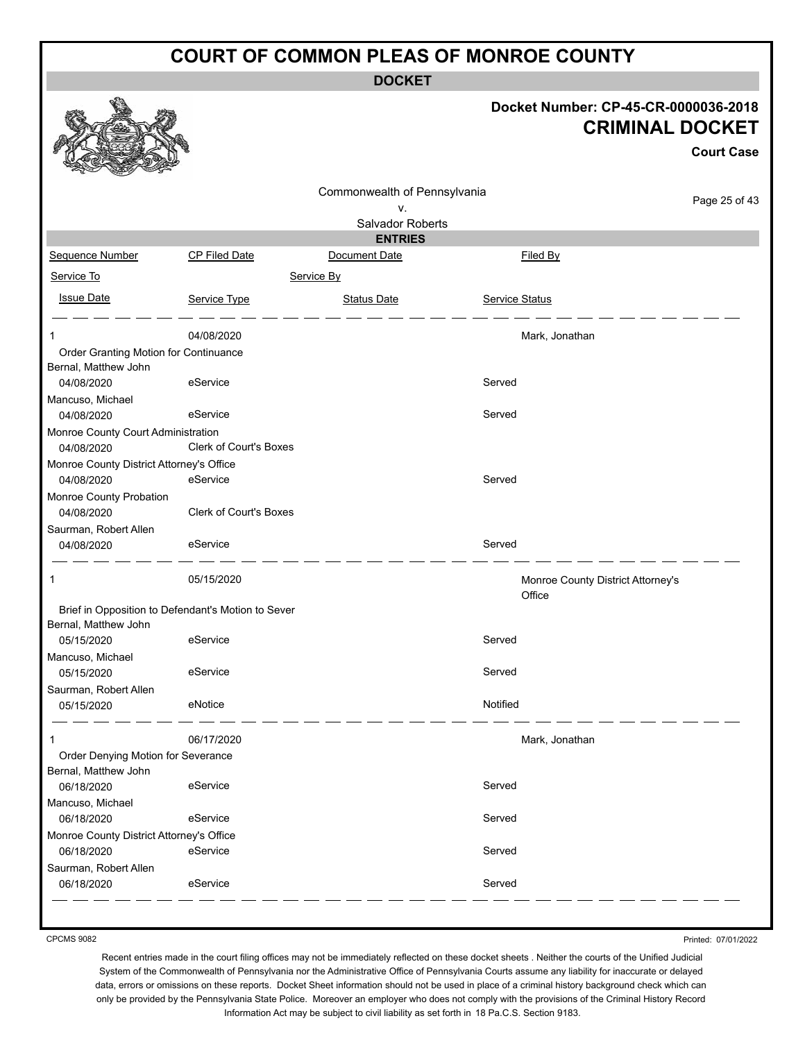**DOCKET**

|                                                    |                               | <b>UUVNEI</b>                |                |                                                                |                   |
|----------------------------------------------------|-------------------------------|------------------------------|----------------|----------------------------------------------------------------|-------------------|
|                                                    |                               |                              |                | Docket Number: CP-45-CR-0000036-2018<br><b>CRIMINAL DOCKET</b> | <b>Court Case</b> |
|                                                    |                               |                              |                |                                                                |                   |
|                                                    |                               | Commonwealth of Pennsylvania |                |                                                                | Page 25 of 43     |
|                                                    |                               | v.                           |                |                                                                |                   |
|                                                    |                               | Salvador Roberts             |                |                                                                |                   |
|                                                    |                               | <b>ENTRIES</b>               |                |                                                                |                   |
| Sequence Number                                    | <b>CP Filed Date</b>          | Document Date                |                | Filed By                                                       |                   |
| Service To                                         |                               | Service By                   |                |                                                                |                   |
| <b>Issue Date</b>                                  | Service Type                  | <b>Status Date</b>           | Service Status |                                                                |                   |
| -1                                                 | 04/08/2020                    |                              |                | Mark, Jonathan                                                 |                   |
| Order Granting Motion for Continuance              |                               |                              |                |                                                                |                   |
| Bernal, Matthew John                               |                               |                              |                |                                                                |                   |
| 04/08/2020                                         | eService                      |                              | Served         |                                                                |                   |
| Mancuso, Michael                                   | eService                      |                              | Served         |                                                                |                   |
| 04/08/2020<br>Monroe County Court Administration   |                               |                              |                |                                                                |                   |
| 04/08/2020                                         | <b>Clerk of Court's Boxes</b> |                              |                |                                                                |                   |
| Monroe County District Attorney's Office           |                               |                              |                |                                                                |                   |
| 04/08/2020                                         | eService                      |                              | Served         |                                                                |                   |
| Monroe County Probation                            |                               |                              |                |                                                                |                   |
| 04/08/2020                                         | Clerk of Court's Boxes        |                              |                |                                                                |                   |
| Saurman, Robert Allen                              |                               |                              |                |                                                                |                   |
| 04/08/2020                                         | eService                      |                              | Served         |                                                                |                   |
| -1                                                 | 05/15/2020                    |                              |                | Monroe County District Attorney's<br>Office                    |                   |
| Brief in Opposition to Defendant's Motion to Sever |                               |                              |                |                                                                |                   |
| Bernal, Matthew John                               |                               |                              |                |                                                                |                   |
| 05/15/2020                                         | eService                      |                              | Served         |                                                                |                   |
| Mancuso, Michael<br>05/15/2020                     | eService                      |                              | Served         |                                                                |                   |
| Saurman, Robert Allen                              |                               |                              |                |                                                                |                   |
| 05/15/2020                                         | eNotice                       |                              | Notified       |                                                                |                   |
| 1                                                  | 06/17/2020                    |                              |                | Mark, Jonathan                                                 |                   |
| Order Denying Motion for Severance                 |                               |                              |                |                                                                |                   |
| Bernal, Matthew John                               |                               |                              |                |                                                                |                   |
| 06/18/2020                                         | eService                      |                              | Served         |                                                                |                   |
| Mancuso, Michael                                   |                               |                              |                |                                                                |                   |
| 06/18/2020                                         | eService                      |                              | Served         |                                                                |                   |
| Monroe County District Attorney's Office           | eService                      |                              | Served         |                                                                |                   |
| 06/18/2020<br>Saurman, Robert Allen                |                               |                              |                |                                                                |                   |
| 06/18/2020                                         | eService                      |                              | Served         |                                                                |                   |
|                                                    |                               |                              |                |                                                                |                   |

CPCMS 9082

Printed: 07/01/2022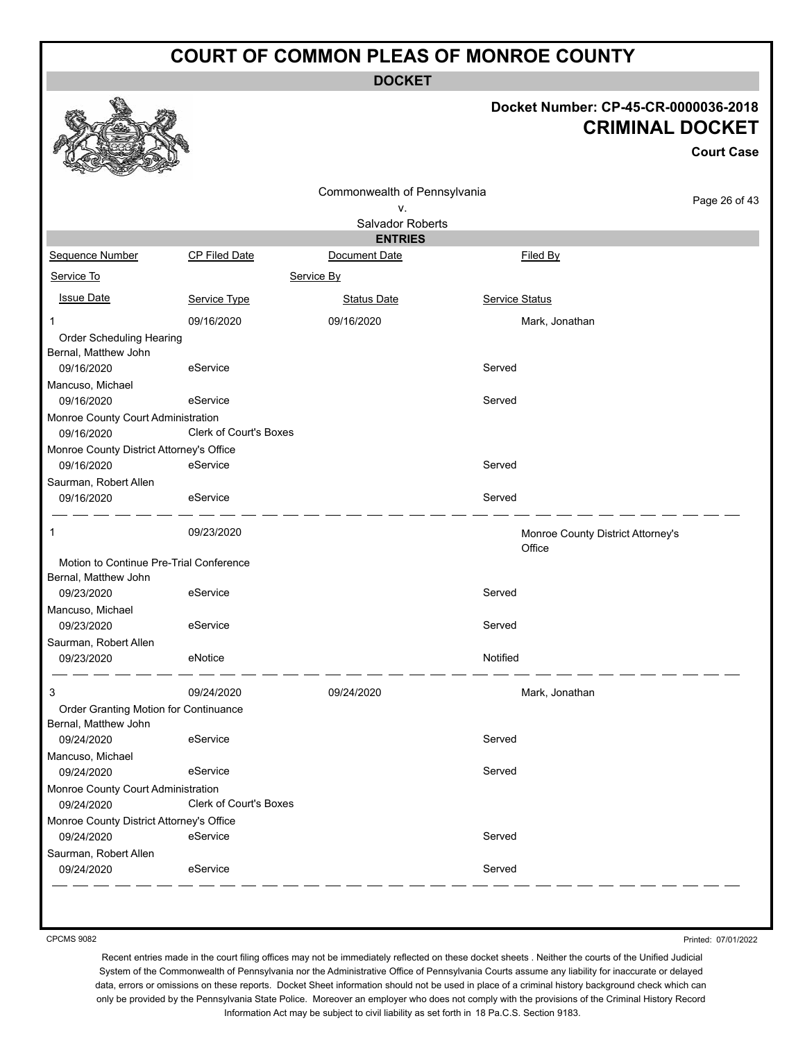**DOCKET**

### **Docket Number: CP-45-CR-0000036-2018 CRIMINAL DOCKET**

**Court Case**

|                                                  |                               | Commonwealth of Pennsylvania       |                                   | Page 26 of 43 |
|--------------------------------------------------|-------------------------------|------------------------------------|-----------------------------------|---------------|
|                                                  |                               | ν.                                 |                                   |               |
|                                                  |                               | Salvador Roberts<br><b>ENTRIES</b> |                                   |               |
| Sequence Number                                  | CP Filed Date                 | Document Date                      | Filed By                          |               |
| Service To                                       |                               | Service By                         |                                   |               |
|                                                  |                               |                                    |                                   |               |
| <b>Issue Date</b>                                | Service Type                  | <b>Status Date</b>                 | Service Status                    |               |
| 1                                                | 09/16/2020                    | 09/16/2020                         | Mark, Jonathan                    |               |
| Order Scheduling Hearing                         |                               |                                    |                                   |               |
| Bernal, Matthew John                             |                               |                                    |                                   |               |
| 09/16/2020                                       | eService                      |                                    | Served                            |               |
| Mancuso, Michael<br>09/16/2020                   | eService                      |                                    | Served                            |               |
|                                                  |                               |                                    |                                   |               |
| Monroe County Court Administration<br>09/16/2020 | <b>Clerk of Court's Boxes</b> |                                    |                                   |               |
| Monroe County District Attorney's Office         |                               |                                    |                                   |               |
| 09/16/2020                                       | eService                      |                                    | Served                            |               |
| Saurman, Robert Allen                            |                               |                                    |                                   |               |
| 09/16/2020                                       | eService                      |                                    | Served                            |               |
|                                                  |                               |                                    |                                   |               |
| 1                                                | 09/23/2020                    |                                    | Monroe County District Attorney's |               |
|                                                  |                               |                                    | Office                            |               |
| Motion to Continue Pre-Trial Conference          |                               |                                    |                                   |               |
| Bernal, Matthew John                             |                               |                                    |                                   |               |
| 09/23/2020                                       | eService                      |                                    | Served                            |               |
| Mancuso, Michael                                 |                               |                                    |                                   |               |
| 09/23/2020                                       | eService                      |                                    | Served                            |               |
| Saurman, Robert Allen                            | eNotice                       |                                    | Notified                          |               |
| 09/23/2020                                       |                               |                                    |                                   |               |
| 3                                                | 09/24/2020                    | 09/24/2020                         | Mark, Jonathan                    |               |
| Order Granting Motion for Continuance            |                               |                                    |                                   |               |
| Bernal, Matthew John                             |                               |                                    |                                   |               |
| 09/24/2020                                       | eService                      |                                    | Served                            |               |
| Mancuso, Michael                                 |                               |                                    |                                   |               |
| 09/24/2020                                       | eService                      |                                    | Served                            |               |
| Monroe County Court Administration               |                               |                                    |                                   |               |
| 09/24/2020                                       | Clerk of Court's Boxes        |                                    |                                   |               |
| Monroe County District Attorney's Office         |                               |                                    |                                   |               |
| 09/24/2020                                       | eService                      |                                    | Served                            |               |
| Saurman, Robert Allen                            |                               |                                    | Served                            |               |
| 09/24/2020                                       | eService                      |                                    |                                   |               |

CPCMS 9082

Printed: 07/01/2022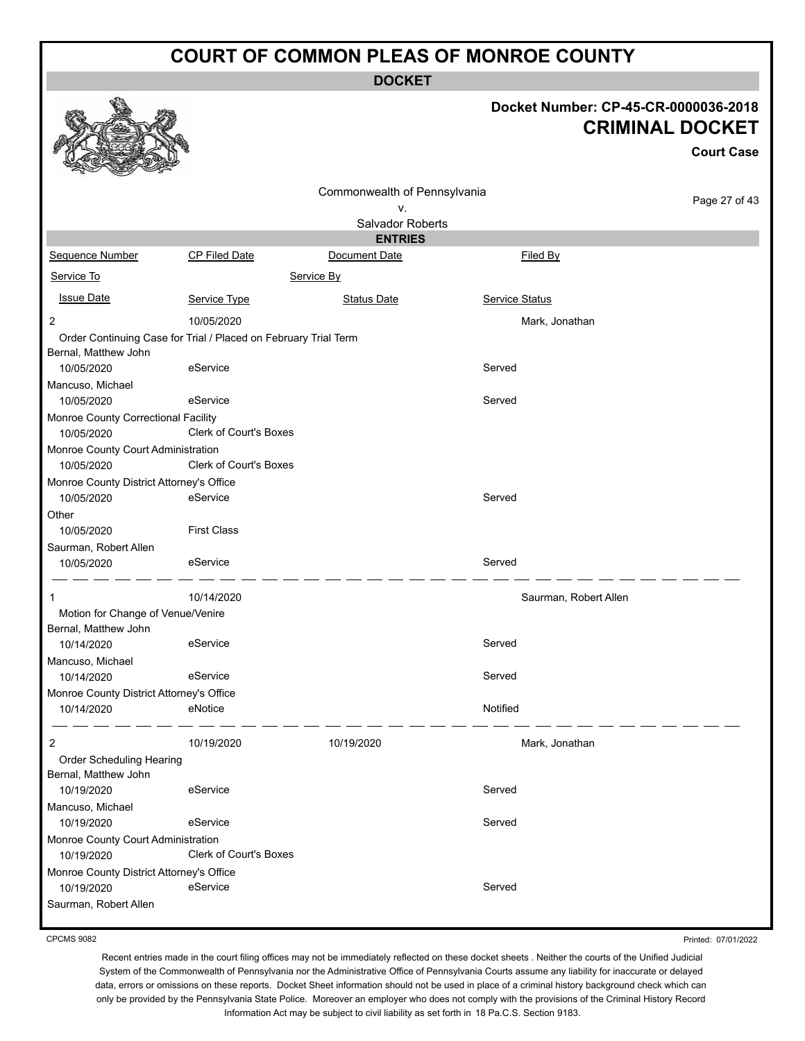**DOCKET**

# **Docket Number: CP-45-CR-0000036-2018 CRIMINAL DOCKET**

**Court Case**

|                                                        |                                                                 | Commonwealth of Pennsylvania<br>۷. |                       | Page 27 of 43 |
|--------------------------------------------------------|-----------------------------------------------------------------|------------------------------------|-----------------------|---------------|
|                                                        |                                                                 | Salvador Roberts                   |                       |               |
|                                                        |                                                                 | <b>ENTRIES</b>                     |                       |               |
| Sequence Number                                        | <b>CP Filed Date</b>                                            | Document Date                      | Filed By              |               |
| Service To                                             |                                                                 | Service By                         |                       |               |
| <b>Issue Date</b>                                      | Service Type                                                    | <b>Status Date</b>                 | Service Status        |               |
| 2                                                      | 10/05/2020                                                      |                                    | Mark, Jonathan        |               |
| Bernal, Matthew John                                   | Order Continuing Case for Trial / Placed on February Trial Term |                                    |                       |               |
| 10/05/2020                                             | eService                                                        |                                    | Served                |               |
| Mancuso, Michael                                       |                                                                 |                                    |                       |               |
| 10/05/2020                                             | eService                                                        |                                    | Served                |               |
| Monroe County Correctional Facility<br>10/05/2020      | Clerk of Court's Boxes                                          |                                    |                       |               |
| Monroe County Court Administration<br>10/05/2020       | Clerk of Court's Boxes                                          |                                    |                       |               |
| Monroe County District Attorney's Office<br>10/05/2020 | eService                                                        |                                    | Served                |               |
| Other<br>10/05/2020                                    | <b>First Class</b>                                              |                                    |                       |               |
| Saurman, Robert Allen                                  |                                                                 |                                    |                       |               |
| 10/05/2020                                             | eService                                                        |                                    | Served                |               |
|                                                        | 10/14/2020                                                      |                                    | Saurman, Robert Allen |               |
| Motion for Change of Venue/Venire                      |                                                                 |                                    |                       |               |
| Bernal, Matthew John                                   |                                                                 |                                    |                       |               |
| 10/14/2020                                             | eService                                                        |                                    | Served                |               |
| Mancuso, Michael                                       |                                                                 |                                    |                       |               |
| 10/14/2020                                             | eService                                                        |                                    | Served                |               |
| Monroe County District Attorney's Office               | eNotice                                                         |                                    | Notified              |               |
| 10/14/2020                                             |                                                                 |                                    |                       |               |
| 2                                                      | 10/19/2020                                                      | 10/19/2020                         | Mark, Jonathan        |               |
| Order Scheduling Hearing<br>Bernal, Matthew John       |                                                                 |                                    |                       |               |
| 10/19/2020                                             | eService                                                        |                                    | Served                |               |
| Mancuso, Michael                                       |                                                                 |                                    |                       |               |
| 10/19/2020                                             | eService                                                        |                                    | Served                |               |
| Monroe County Court Administration                     |                                                                 |                                    |                       |               |
| 10/19/2020                                             | Clerk of Court's Boxes                                          |                                    |                       |               |
| Monroe County District Attorney's Office               |                                                                 |                                    |                       |               |
| 10/19/2020                                             | eService                                                        |                                    | Served                |               |
| Saurman, Robert Allen                                  |                                                                 |                                    |                       |               |

CPCMS 9082

Printed: 07/01/2022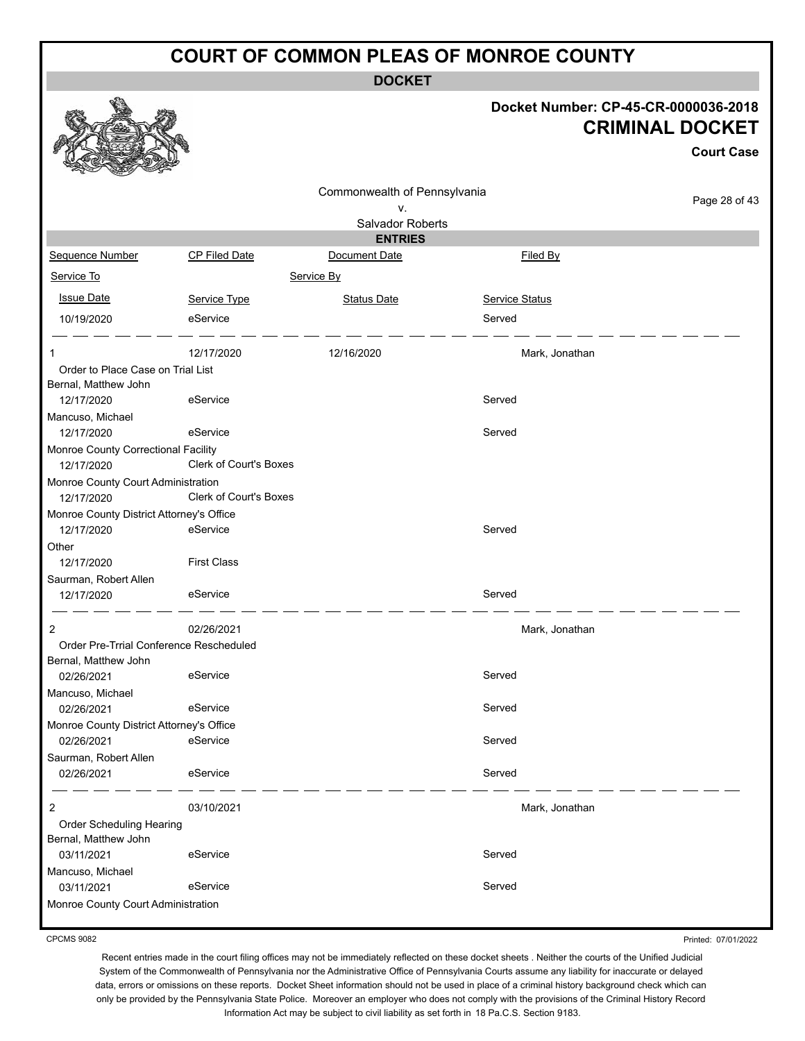**DOCKET**

#### **Docket Number: CP-45-CR-0000036-2018 CRIMINAL DOCKET**

|                                                                 |                               |                              |                       | <b>Court Case</b> |
|-----------------------------------------------------------------|-------------------------------|------------------------------|-----------------------|-------------------|
|                                                                 |                               | Commonwealth of Pennsylvania |                       | Page 28 of 43     |
|                                                                 |                               | ٧.<br>Salvador Roberts       |                       |                   |
|                                                                 |                               | <b>ENTRIES</b>               |                       |                   |
| Sequence Number                                                 | CP Filed Date                 | Document Date                | Filed By              |                   |
| Service To                                                      |                               | Service By                   |                       |                   |
| <b>Issue Date</b>                                               | Service Type                  | <b>Status Date</b>           | <b>Service Status</b> |                   |
| 10/19/2020                                                      | eService                      |                              | Served                |                   |
| 1                                                               | 12/17/2020                    | 12/16/2020                   | Mark, Jonathan        |                   |
| Order to Place Case on Trial List                               |                               |                              |                       |                   |
| Bernal, Matthew John<br>12/17/2020                              | eService                      |                              | Served                |                   |
| Mancuso, Michael                                                |                               |                              |                       |                   |
| 12/17/2020                                                      | eService                      |                              | Served                |                   |
| Monroe County Correctional Facility<br>12/17/2020               | Clerk of Court's Boxes        |                              |                       |                   |
| Monroe County Court Administration                              | <b>Clerk of Court's Boxes</b> |                              |                       |                   |
| 12/17/2020<br>Monroe County District Attorney's Office          |                               |                              |                       |                   |
| 12/17/2020                                                      | eService                      |                              | Served                |                   |
| Other                                                           |                               |                              |                       |                   |
| 12/17/2020                                                      | <b>First Class</b>            |                              |                       |                   |
| Saurman, Robert Allen                                           |                               |                              |                       |                   |
| 12/17/2020                                                      | eService                      |                              | Served                |                   |
| 2                                                               | 02/26/2021                    |                              | Mark, Jonathan        |                   |
| Order Pre-Trrial Conference Rescheduled<br>Bernal, Matthew John |                               |                              |                       |                   |
| 02/26/2021                                                      | eService                      |                              | Served                |                   |
| Mancuso, Michael                                                |                               |                              |                       |                   |
| 02/26/2021                                                      | eService                      |                              | Served                |                   |
| Monroe County District Attorney's Office                        |                               |                              |                       |                   |
| 02/26/2021                                                      | eService                      |                              | Served                |                   |
| Saurman, Robert Allen                                           |                               |                              | Served                |                   |
| 02/26/2021                                                      | eService                      |                              |                       |                   |
| 2                                                               | 03/10/2021                    |                              | Mark, Jonathan        |                   |
| Order Scheduling Hearing                                        |                               |                              |                       |                   |
| Bernal, Matthew John                                            |                               |                              |                       |                   |
| 03/11/2021                                                      | eService                      |                              | Served                |                   |
| Mancuso, Michael<br>03/11/2021                                  | eService                      |                              | Served                |                   |
| Monroe County Court Administration                              |                               |                              |                       |                   |
|                                                                 |                               |                              |                       |                   |

CPCMS 9082

Printed: 07/01/2022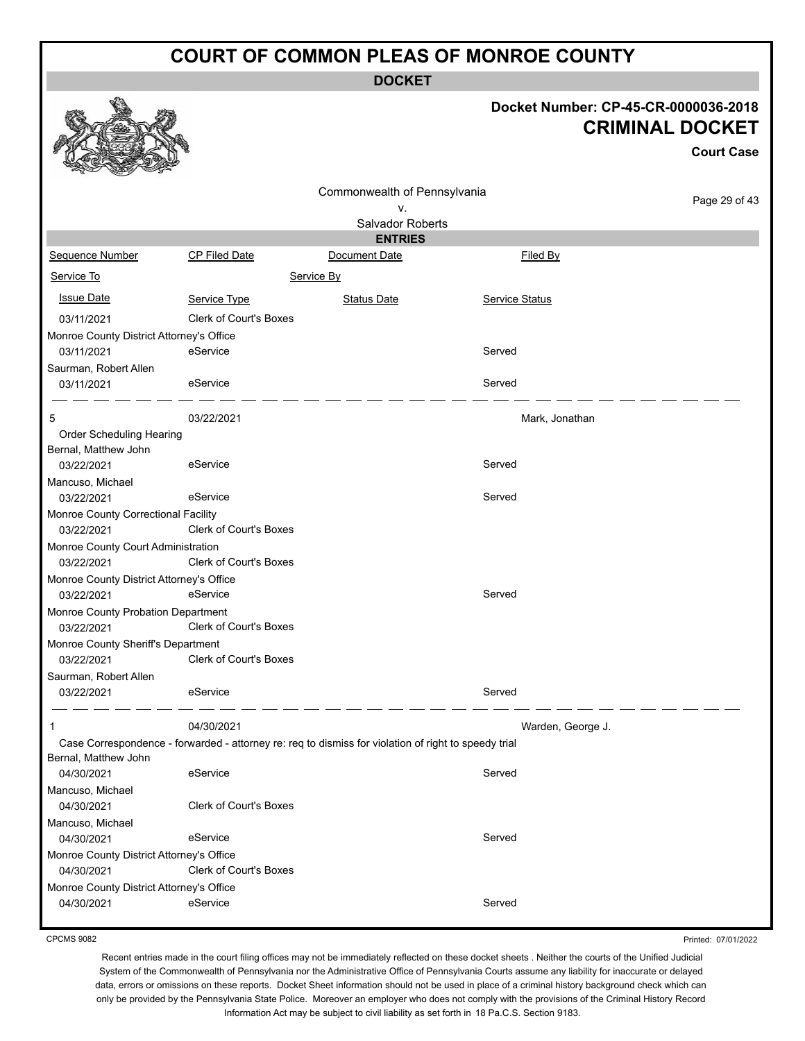**DOCKET**

# **Docket Number: CP-45-CR-0000036-2018**

|                                          |                                                                                                      |                              | Docket Number: CP-45-CR-0000036-2018 | <b>CRIMINAL DOCKET</b> |
|------------------------------------------|------------------------------------------------------------------------------------------------------|------------------------------|--------------------------------------|------------------------|
|                                          |                                                                                                      |                              |                                      | <b>Court Case</b>      |
|                                          |                                                                                                      | Commonwealth of Pennsylvania |                                      |                        |
|                                          |                                                                                                      | ν.                           |                                      | Page 29 of 43          |
|                                          |                                                                                                      | Salvador Roberts             |                                      |                        |
|                                          |                                                                                                      | <b>ENTRIES</b>               |                                      |                        |
| Sequence Number                          | CP Filed Date                                                                                        | Document Date                | Filed By                             |                        |
| Service To                               |                                                                                                      | Service By                   |                                      |                        |
| <b>Issue Date</b>                        | Service Type                                                                                         | <b>Status Date</b>           | <b>Service Status</b>                |                        |
| 03/11/2021                               | <b>Clerk of Court's Boxes</b>                                                                        |                              |                                      |                        |
| Monroe County District Attorney's Office |                                                                                                      |                              |                                      |                        |
| 03/11/2021                               | eService                                                                                             |                              | Served                               |                        |
| Saurman, Robert Allen                    |                                                                                                      |                              |                                      |                        |
| 03/11/2021                               | eService                                                                                             |                              | Served                               |                        |
| 5                                        | 03/22/2021                                                                                           |                              | Mark, Jonathan                       |                        |
| Order Scheduling Hearing                 |                                                                                                      |                              |                                      |                        |
| Bernal, Matthew John                     |                                                                                                      |                              |                                      |                        |
| 03/22/2021                               | eService                                                                                             |                              | Served                               |                        |
| Mancuso, Michael                         |                                                                                                      |                              |                                      |                        |
| 03/22/2021                               | eService                                                                                             |                              | Served                               |                        |
| Monroe County Correctional Facility      |                                                                                                      |                              |                                      |                        |
| 03/22/2021                               | <b>Clerk of Court's Boxes</b>                                                                        |                              |                                      |                        |
| Monroe County Court Administration       |                                                                                                      |                              |                                      |                        |
| 03/22/2021                               | <b>Clerk of Court's Boxes</b>                                                                        |                              |                                      |                        |
| Monroe County District Attorney's Office |                                                                                                      |                              |                                      |                        |
| 03/22/2021                               | eService                                                                                             |                              | Served                               |                        |
| Monroe County Probation Department       |                                                                                                      |                              |                                      |                        |
| 03/22/2021                               | Clerk of Court's Boxes                                                                               |                              |                                      |                        |
| Monroe County Sheriff's Department       |                                                                                                      |                              |                                      |                        |
| 03/22/2021                               | Clerk of Court's Boxes                                                                               |                              |                                      |                        |
| Saurman, Robert Allen                    |                                                                                                      |                              |                                      |                        |
| 03/22/2021                               | eService                                                                                             |                              | Served                               |                        |
| 1                                        | 04/30/2021                                                                                           |                              | Warden, George J.                    |                        |
|                                          | Case Correspondence - forwarded - attorney re: req to dismiss for violation of right to speedy trial |                              |                                      |                        |
| Bernal, Matthew John                     |                                                                                                      |                              |                                      |                        |
| 04/30/2021                               | eService                                                                                             |                              | Served                               |                        |
| Mancuso, Michael                         |                                                                                                      |                              |                                      |                        |
| 04/30/2021                               | <b>Clerk of Court's Boxes</b>                                                                        |                              |                                      |                        |
| Mancuso, Michael                         |                                                                                                      |                              |                                      |                        |
| 04/30/2021                               | eService                                                                                             |                              | Served                               |                        |
| Monroe County District Attorney's Office |                                                                                                      |                              |                                      |                        |
| 04/30/2021                               | Clerk of Court's Boxes                                                                               |                              |                                      |                        |
| Monroe County District Attorney's Office |                                                                                                      |                              |                                      |                        |
| 04/30/2021                               | eService                                                                                             |                              | Served                               |                        |

CPCMS 9082

 $\bullet$ 

Printed: 07/01/2022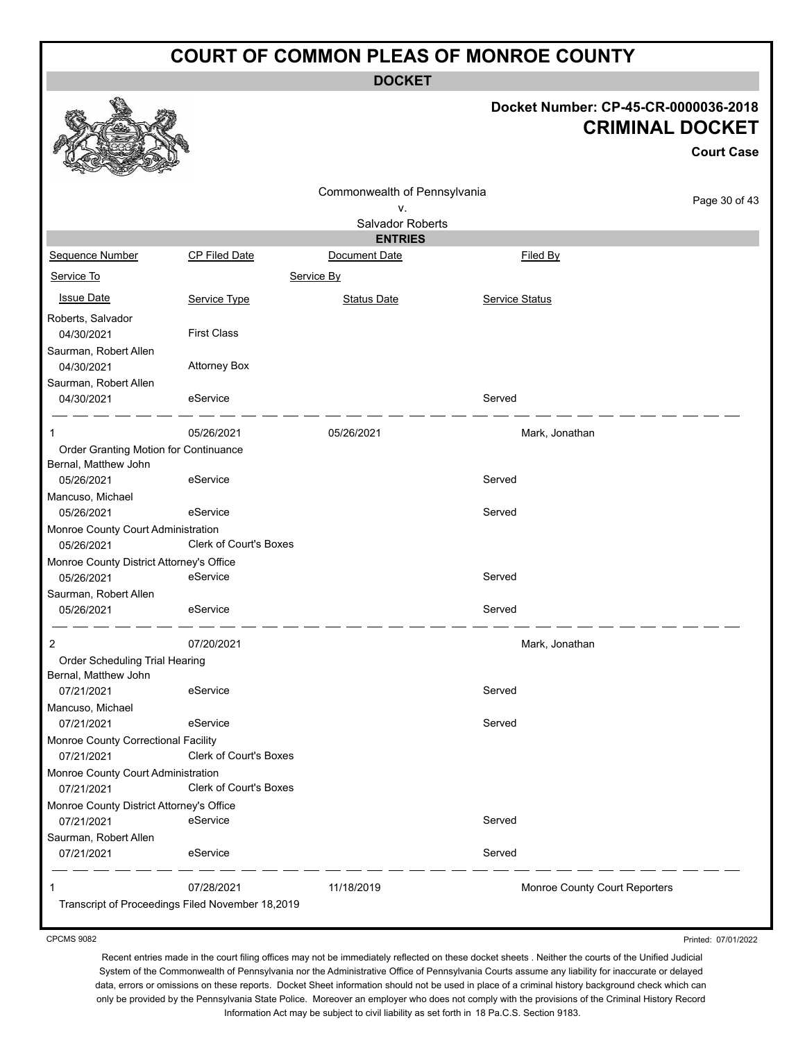**DOCKET**

#### **Docket Number: CP-45-CR-0000036-2018 CRIMINAL DOCKET**

**Court Case**

|                                          |                                                  |                              |                               | <b>Court Case</b> |
|------------------------------------------|--------------------------------------------------|------------------------------|-------------------------------|-------------------|
|                                          |                                                  | Commonwealth of Pennsylvania |                               |                   |
|                                          |                                                  | ۷.                           |                               | Page 30 of 43     |
|                                          |                                                  | Salvador Roberts             |                               |                   |
|                                          |                                                  | <b>ENTRIES</b>               |                               |                   |
| Sequence Number                          | CP Filed Date                                    | Document Date                | Filed By                      |                   |
| Service To                               |                                                  | Service By                   |                               |                   |
| <b>Issue Date</b>                        | Service Type                                     | <b>Status Date</b>           | Service Status                |                   |
| Roberts, Salvador                        |                                                  |                              |                               |                   |
| 04/30/2021                               | <b>First Class</b>                               |                              |                               |                   |
| Saurman, Robert Allen                    |                                                  |                              |                               |                   |
| 04/30/2021                               | <b>Attorney Box</b>                              |                              |                               |                   |
| Saurman, Robert Allen                    |                                                  |                              |                               |                   |
| 04/30/2021                               | eService                                         |                              | Served                        |                   |
| 1                                        | 05/26/2021                                       | 05/26/2021                   | Mark, Jonathan                |                   |
| Order Granting Motion for Continuance    |                                                  |                              |                               |                   |
| Bernal, Matthew John                     |                                                  |                              |                               |                   |
| 05/26/2021                               | eService                                         |                              | Served                        |                   |
| Mancuso, Michael                         |                                                  |                              |                               |                   |
| 05/26/2021                               | eService                                         |                              | Served                        |                   |
| Monroe County Court Administration       |                                                  |                              |                               |                   |
| 05/26/2021                               | Clerk of Court's Boxes                           |                              |                               |                   |
| Monroe County District Attorney's Office |                                                  |                              |                               |                   |
| 05/26/2021                               | eService                                         |                              | Served                        |                   |
| Saurman, Robert Allen                    |                                                  |                              |                               |                   |
| 05/26/2021                               | eService                                         |                              | Served                        |                   |
| 2                                        | 07/20/2021                                       |                              | Mark, Jonathan                |                   |
| Order Scheduling Trial Hearing           |                                                  |                              |                               |                   |
| Bernal, Matthew John                     |                                                  |                              |                               |                   |
| 07/21/2021                               | eService                                         |                              | Served                        |                   |
| Mancuso, Michael                         |                                                  |                              |                               |                   |
| 07/21/2021                               | eService                                         |                              | Served                        |                   |
| Monroe County Correctional Facility      |                                                  |                              |                               |                   |
| 07/21/2021                               | <b>Clerk of Court's Boxes</b>                    |                              |                               |                   |
| Monroe County Court Administration       |                                                  |                              |                               |                   |
| 07/21/2021                               | Clerk of Court's Boxes                           |                              |                               |                   |
| Monroe County District Attorney's Office |                                                  |                              |                               |                   |
| 07/21/2021                               | eService                                         |                              | Served                        |                   |
| Saurman, Robert Allen                    |                                                  |                              |                               |                   |
| 07/21/2021                               | eService                                         |                              | Served                        |                   |
| -1                                       | 07/28/2021                                       | 11/18/2019                   | Monroe County Court Reporters |                   |
|                                          | Transcript of Proceedings Filed November 18,2019 |                              |                               |                   |
|                                          |                                                  |                              |                               |                   |

CPCMS 9082

Printed: 07/01/2022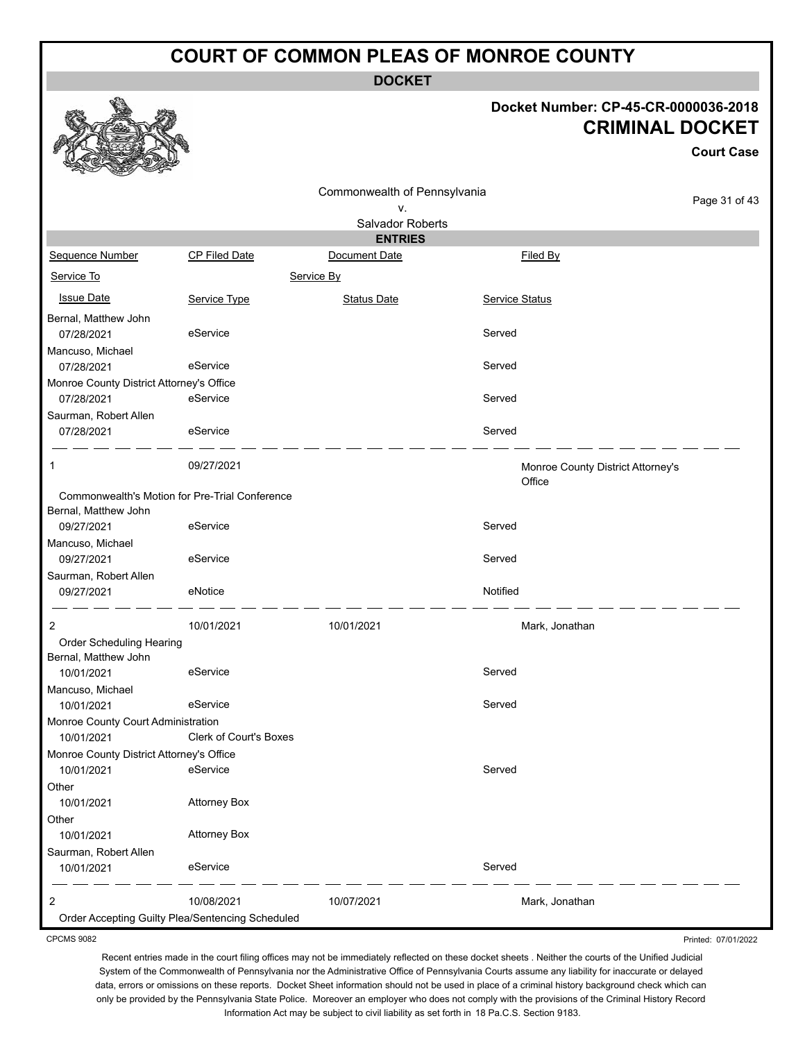**DOCKET**

#### **Docket Number: CP-45-CR-0000036-2018 CRIMINAL DOCKET**

**Court Case**

|                                                  |                               | Commonwealth of Pennsylvania |                |                                             |               |
|--------------------------------------------------|-------------------------------|------------------------------|----------------|---------------------------------------------|---------------|
|                                                  |                               | ٧.                           |                |                                             | Page 31 of 43 |
|                                                  |                               | Salvador Roberts             |                |                                             |               |
|                                                  |                               | <b>ENTRIES</b>               |                |                                             |               |
| Sequence Number                                  | <b>CP Filed Date</b>          | Document Date                |                | Filed By                                    |               |
| Service To                                       |                               | Service By                   |                |                                             |               |
| <b>Issue Date</b>                                | Service Type                  | <b>Status Date</b>           | Service Status |                                             |               |
| Bernal, Matthew John<br>07/28/2021               | eService                      |                              | Served         |                                             |               |
| Mancuso, Michael                                 |                               |                              |                |                                             |               |
| 07/28/2021                                       | eService                      |                              | Served         |                                             |               |
| Monroe County District Attorney's Office         |                               |                              |                |                                             |               |
| 07/28/2021                                       | eService                      |                              | Served         |                                             |               |
| Saurman, Robert Allen<br>07/28/2021              | eService                      |                              | Served         |                                             |               |
| 1                                                | 09/27/2021                    |                              |                | Monroe County District Attorney's<br>Office |               |
| Commonwealth's Motion for Pre-Trial Conference   |                               |                              |                |                                             |               |
| Bernal, Matthew John                             |                               |                              |                |                                             |               |
| 09/27/2021                                       | eService                      |                              | Served         |                                             |               |
| Mancuso, Michael                                 |                               |                              |                |                                             |               |
| 09/27/2021                                       | eService                      |                              | Served         |                                             |               |
| Saurman, Robert Allen                            |                               |                              |                |                                             |               |
| 09/27/2021                                       | eNotice                       |                              | Notified       |                                             |               |
| 2                                                | 10/01/2021                    | 10/01/2021                   |                | Mark, Jonathan                              |               |
| Order Scheduling Hearing                         |                               |                              |                |                                             |               |
| Bernal, Matthew John                             |                               |                              |                |                                             |               |
| 10/01/2021                                       | eService                      |                              | Served         |                                             |               |
| Mancuso, Michael                                 |                               |                              |                |                                             |               |
| 10/01/2021                                       | eService                      |                              | Served         |                                             |               |
| Monroe County Court Administration               |                               |                              |                |                                             |               |
| 10/01/2021                                       | <b>Clerk of Court's Boxes</b> |                              |                |                                             |               |
| Monroe County District Attorney's Office         |                               |                              |                |                                             |               |
| 10/01/2021                                       | eService                      |                              | Served         |                                             |               |
| Other                                            |                               |                              |                |                                             |               |
| 10/01/2021                                       | <b>Attorney Box</b>           |                              |                |                                             |               |
| Other                                            |                               |                              |                |                                             |               |
| 10/01/2021                                       | <b>Attorney Box</b>           |                              |                |                                             |               |
| Saurman, Robert Allen                            |                               |                              |                |                                             |               |
| 10/01/2021                                       | eService                      |                              | Served         |                                             |               |
| 2                                                | 10/08/2021                    | 10/07/2021                   |                | Mark, Jonathan                              |               |
| Order Accepting Guilty Plea/Sentencing Scheduled |                               |                              |                |                                             |               |

CPCMS 9082

Printed: 07/01/2022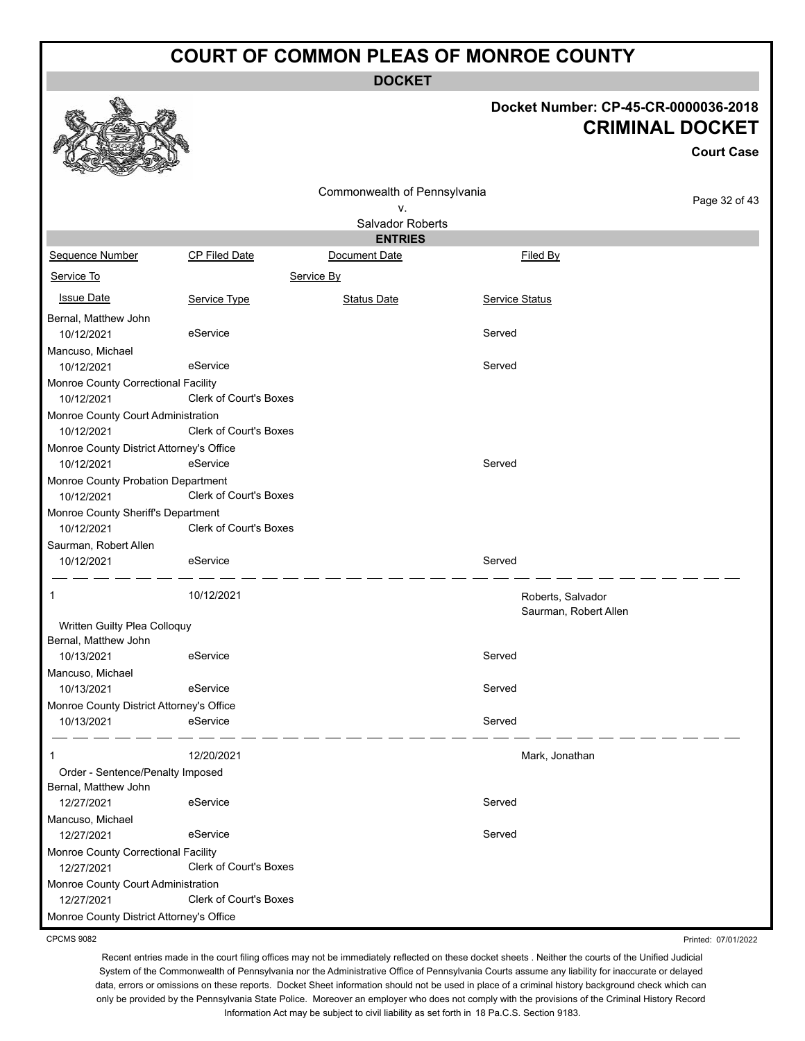**DOCKET**

# **Docket Number: CP-45-CR-0000036-2018 CRIMINAL DOCKET**

**Court Case**

Printed: 07/01/2022

|                                          |                        | Commonwealth of Pennsylvania |                       |               |
|------------------------------------------|------------------------|------------------------------|-----------------------|---------------|
|                                          |                        | ٧.                           |                       | Page 32 of 43 |
|                                          |                        | Salvador Roberts             |                       |               |
|                                          |                        | <b>ENTRIES</b>               |                       |               |
| <b>Sequence Number</b>                   | CP Filed Date          | Document Date                | Filed By              |               |
| Service To                               |                        | Service By                   |                       |               |
| <b>Issue Date</b>                        | Service Type           | <b>Status Date</b>           | Service Status        |               |
| Bernal, Matthew John                     |                        |                              |                       |               |
| 10/12/2021                               | eService               |                              | Served                |               |
| Mancuso, Michael                         |                        |                              |                       |               |
| 10/12/2021                               | eService               |                              | Served                |               |
| Monroe County Correctional Facility      |                        |                              |                       |               |
| 10/12/2021                               | Clerk of Court's Boxes |                              |                       |               |
| Monroe County Court Administration       |                        |                              |                       |               |
| 10/12/2021                               | Clerk of Court's Boxes |                              |                       |               |
| Monroe County District Attorney's Office |                        |                              |                       |               |
| 10/12/2021                               | eService               |                              | Served                |               |
| Monroe County Probation Department       |                        |                              |                       |               |
| 10/12/2021                               | Clerk of Court's Boxes |                              |                       |               |
| Monroe County Sheriff's Department       |                        |                              |                       |               |
| 10/12/2021                               | Clerk of Court's Boxes |                              |                       |               |
| Saurman, Robert Allen<br>10/12/2021      | eService               |                              | Served                |               |
|                                          |                        |                              |                       |               |
| 1                                        | 10/12/2021             |                              | Roberts, Salvador     |               |
|                                          |                        |                              | Saurman, Robert Allen |               |
| Written Guilty Plea Colloquy             |                        |                              |                       |               |
| Bernal, Matthew John                     |                        |                              |                       |               |
| 10/13/2021                               | eService               |                              | Served                |               |
| Mancuso, Michael                         |                        |                              |                       |               |
| 10/13/2021                               | eService               |                              | Served                |               |
| Monroe County District Attorney's Office |                        |                              |                       |               |
| 10/13/2021                               | eService               |                              | Served                |               |
|                                          |                        |                              |                       |               |
| 1<br>Order - Sentence/Penalty Imposed    | 12/20/2021             |                              | Mark, Jonathan        |               |
| Bernal, Matthew John                     |                        |                              |                       |               |
| 12/27/2021                               | eService               |                              | Served                |               |
| Mancuso, Michael                         |                        |                              |                       |               |
| 12/27/2021                               | eService               |                              | Served                |               |
| Monroe County Correctional Facility      |                        |                              |                       |               |
| 12/27/2021                               | Clerk of Court's Boxes |                              |                       |               |
| Monroe County Court Administration       |                        |                              |                       |               |
| 12/27/2021                               | Clerk of Court's Boxes |                              |                       |               |
| Monroe County District Attorney's Office |                        |                              |                       |               |

CPCMS 9082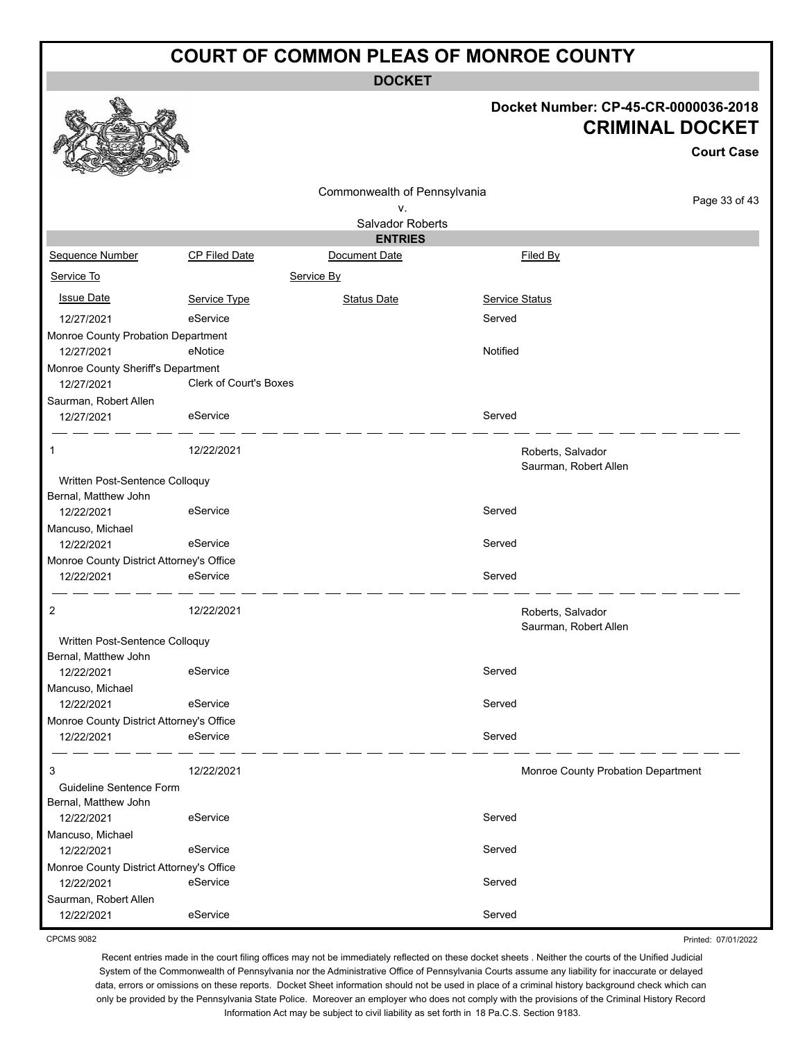**DOCKET**

#### **Docket Number: CP-45-CR-0000036-2018 AL DOCKET**

**Court Case**

Page 33 of 43

|                                                        |                               |                              |                | <b>CRIMINAL DO</b>                 |
|--------------------------------------------------------|-------------------------------|------------------------------|----------------|------------------------------------|
|                                                        |                               | Commonwealth of Pennsylvania |                |                                    |
|                                                        |                               | ν.                           |                | P.                                 |
|                                                        |                               | Salvador Roberts             |                |                                    |
|                                                        |                               | <b>ENTRIES</b>               |                |                                    |
| Sequence Number                                        | CP Filed Date                 | Document Date                | Filed By       |                                    |
| Service To                                             |                               | Service By                   |                |                                    |
| <b>Issue Date</b>                                      | Service Type                  | <b>Status Date</b>           | Service Status |                                    |
| 12/27/2021                                             | eService                      |                              | Served         |                                    |
| Monroe County Probation Department                     |                               |                              |                |                                    |
| 12/27/2021                                             | eNotice                       |                              | Notified       |                                    |
| Monroe County Sheriff's Department                     |                               |                              |                |                                    |
| 12/27/2021                                             | <b>Clerk of Court's Boxes</b> |                              |                |                                    |
| Saurman, Robert Allen<br>12/27/2021                    | eService                      |                              | Served         |                                    |
| 1                                                      | 12/22/2021                    |                              |                | Roberts, Salvador                  |
| Written Post-Sentence Colloquy<br>Bernal, Matthew John |                               |                              |                | Saurman, Robert Allen              |
| 12/22/2021                                             | eService                      |                              | Served         |                                    |
| Mancuso, Michael<br>12/22/2021                         | eService                      |                              | Served         |                                    |
| Monroe County District Attorney's Office               |                               |                              |                |                                    |
| 12/22/2021                                             | eService                      |                              | Served         |                                    |
| 2                                                      | 12/22/2021                    |                              |                | Roberts, Salvador                  |
| Written Post-Sentence Colloquy                         |                               |                              |                | Saurman, Robert Allen              |
| Bernal, Matthew John<br>12/22/2021                     | eService                      |                              | Served         |                                    |
| Mancuso, Michael                                       |                               |                              |                |                                    |
| 12/22/2021                                             | eService                      |                              | Served         |                                    |
| Monroe County District Attorney's Office<br>12/22/2021 | eService                      |                              | Served         |                                    |
| 3                                                      | 12/22/2021                    |                              |                | Monroe County Probation Department |
| Guideline Sentence Form                                |                               |                              |                |                                    |
| Bernal, Matthew John<br>12/22/2021                     | eService                      |                              | Served         |                                    |
| Mancuso, Michael                                       |                               |                              |                |                                    |
| 12/22/2021                                             | eService                      |                              | Served         |                                    |
| Monroe County District Attorney's Office               |                               |                              |                |                                    |

ఆ

残忍

CPCMS 9082

Saurman, Robert Allen

12/22/2021 eService eService Served

12/22/2021 eService Served

Printed: 07/01/2022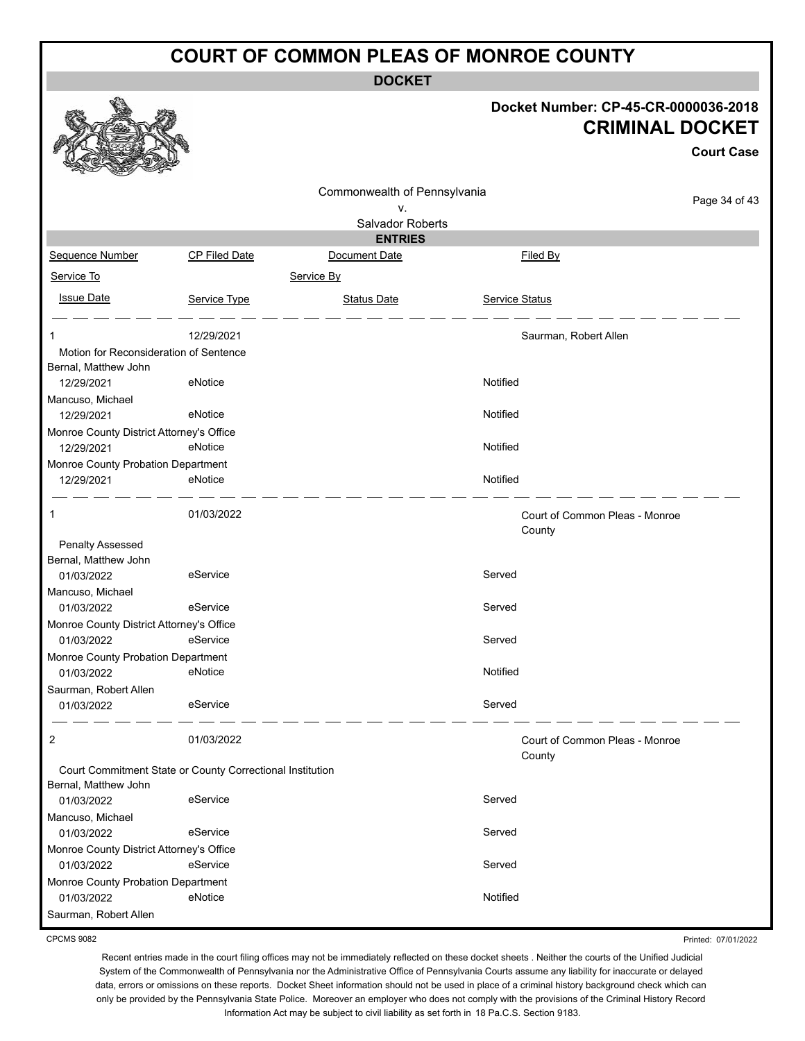**DOCKET**

|                                                                                   |                                   |                              |                | Docket Number: CP-45-CR-0000036-2018<br><b>CRIMINAL DOCKET</b><br><b>Court Case</b> |
|-----------------------------------------------------------------------------------|-----------------------------------|------------------------------|----------------|-------------------------------------------------------------------------------------|
|                                                                                   |                                   | Commonwealth of Pennsylvania |                | Page 34 of 43                                                                       |
|                                                                                   |                                   | v.<br>Salvador Roberts       |                |                                                                                     |
|                                                                                   |                                   | <b>ENTRIES</b>               |                |                                                                                     |
| Sequence Number                                                                   | CP Filed Date                     | Document Date                |                | Filed By                                                                            |
| Service To                                                                        |                                   | Service By                   |                |                                                                                     |
| <b>Issue Date</b>                                                                 | Service Type                      | <b>Status Date</b>           | Service Status |                                                                                     |
|                                                                                   | 12/29/2021                        |                              |                | Saurman, Robert Allen                                                               |
| Motion for Reconsideration of Sentence                                            |                                   |                              |                |                                                                                     |
| Bernal, Matthew John                                                              |                                   |                              |                |                                                                                     |
| 12/29/2021                                                                        | eNotice                           |                              | Notified       |                                                                                     |
| Mancuso, Michael                                                                  |                                   |                              |                |                                                                                     |
| 12/29/2021                                                                        | eNotice                           |                              | Notified       |                                                                                     |
| Monroe County District Attorney's Office<br>12/29/2021                            | eNotice                           |                              | Notified       |                                                                                     |
| Monroe County Probation Department                                                |                                   |                              |                |                                                                                     |
| 12/29/2021                                                                        | eNotice                           |                              | Notified       |                                                                                     |
|                                                                                   |                                   |                              |                |                                                                                     |
|                                                                                   | 01/03/2022                        |                              | County         | Court of Common Pleas - Monroe                                                      |
| Penalty Assessed<br>Bernal, Matthew John                                          |                                   |                              |                |                                                                                     |
| 01/03/2022                                                                        | eService                          |                              | Served         |                                                                                     |
| Mancuso, Michael                                                                  |                                   |                              |                |                                                                                     |
| 01/03/2022                                                                        | eService                          |                              | Served         |                                                                                     |
| Monroe County District Attorney's Office                                          |                                   |                              |                |                                                                                     |
| 01/03/2022                                                                        | eService                          |                              | Served         |                                                                                     |
| Monroe County Probation Department                                                |                                   |                              |                |                                                                                     |
| 01/03/2022                                                                        | <b>Example 19 Service</b> eNotice |                              | Notified       |                                                                                     |
| Saurman, Robert Allen                                                             |                                   |                              |                |                                                                                     |
| 01/03/2022                                                                        | eService                          |                              | Served         |                                                                                     |
| $\overline{2}$                                                                    | 01/03/2022                        |                              | County         | Court of Common Pleas - Monroe                                                      |
| Court Commitment State or County Correctional Institution<br>Bernal, Matthew John |                                   |                              |                |                                                                                     |
| 01/03/2022                                                                        | eService                          |                              | Served         |                                                                                     |
| Mancuso, Michael                                                                  |                                   |                              |                |                                                                                     |
| 01/03/2022                                                                        | eService                          |                              | Served         |                                                                                     |
| Monroe County District Attorney's Office                                          |                                   |                              |                |                                                                                     |
| 01/03/2022                                                                        | eService                          |                              | Served         |                                                                                     |
| Monroe County Probation Department                                                |                                   |                              |                |                                                                                     |
| 01/03/2022                                                                        | eNotice                           |                              | Notified       |                                                                                     |
| Saurman, Robert Allen                                                             |                                   |                              |                |                                                                                     |

CPCMS 9082

Recent entries made in the court filing offices may not be immediately reflected on these docket sheets . Neither the courts of the Unified Judicial System of the Commonwealth of Pennsylvania nor the Administrative Office of Pennsylvania Courts assume any liability for inaccurate or delayed data, errors or omissions on these reports. Docket Sheet information should not be used in place of a criminal history background check which can only be provided by the Pennsylvania State Police. Moreover an employer who does not comply with the provisions of the Criminal History Record Information Act may be subject to civil liability as set forth in 18 Pa.C.S. Section 9183.

Printed: 07/01/2022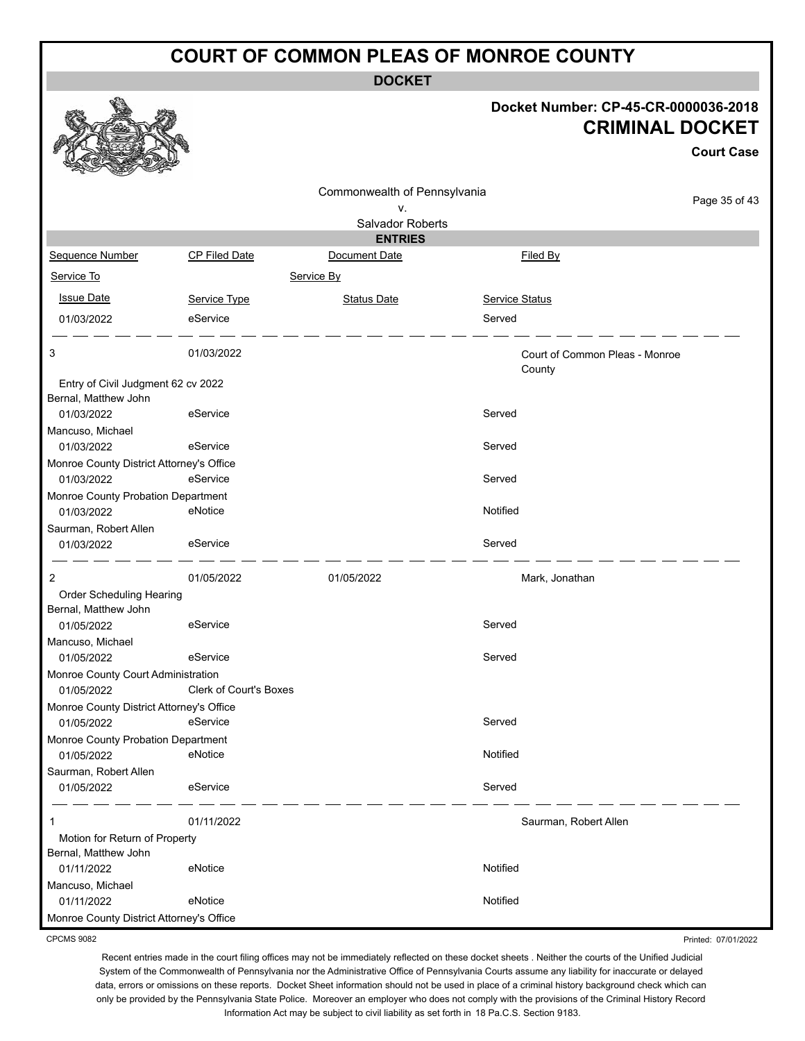**DOCKET**

# **Docket Number: CP-45-CR-0000036-2018 CRIMINAL DOCKET**

**Court Case**

|                                          |                               | Commonwealth of Pennsylvania<br>v. |                                          | Page 35 of 43 |
|------------------------------------------|-------------------------------|------------------------------------|------------------------------------------|---------------|
|                                          |                               | Salvador Roberts                   |                                          |               |
|                                          |                               | <b>ENTRIES</b>                     |                                          |               |
| Sequence Number                          | CP Filed Date                 | Document Date                      | Filed By                                 |               |
| Service To                               |                               | Service By                         |                                          |               |
| <b>Issue Date</b>                        | Service Type                  | <b>Status Date</b>                 | Service Status                           |               |
| 01/03/2022                               | eService                      |                                    | Served                                   |               |
| 3                                        | 01/03/2022                    |                                    | Court of Common Pleas - Monroe<br>County |               |
| Entry of Civil Judgment 62 cv 2022       |                               |                                    |                                          |               |
| Bernal, Matthew John                     |                               |                                    |                                          |               |
| 01/03/2022                               | eService                      |                                    | Served                                   |               |
| Mancuso, Michael                         |                               |                                    |                                          |               |
| 01/03/2022                               | eService                      |                                    | Served                                   |               |
| Monroe County District Attorney's Office |                               |                                    |                                          |               |
| 01/03/2022                               | eService                      |                                    | Served                                   |               |
| Monroe County Probation Department       |                               |                                    |                                          |               |
| 01/03/2022                               | eNotice                       |                                    | Notified                                 |               |
| Saurman, Robert Allen                    |                               |                                    |                                          |               |
| 01/03/2022                               | eService                      |                                    | Served                                   |               |
| 2                                        | 01/05/2022                    | 01/05/2022                         | Mark, Jonathan                           |               |
| Order Scheduling Hearing                 |                               |                                    |                                          |               |
| Bernal, Matthew John                     |                               |                                    |                                          |               |
| 01/05/2022                               | eService                      |                                    | Served                                   |               |
| Mancuso, Michael                         |                               |                                    |                                          |               |
| 01/05/2022                               | eService                      |                                    | Served                                   |               |
| Monroe County Court Administration       |                               |                                    |                                          |               |
| 01/05/2022                               | <b>Clerk of Court's Boxes</b> |                                    |                                          |               |
| Monroe County District Attorney's Office |                               |                                    |                                          |               |
| 01/05/2022                               | eService                      |                                    | Served                                   |               |
| Monroe County Probation Department       |                               |                                    |                                          |               |
| 01/05/2022                               | eNotice                       |                                    | Notified                                 |               |
| Saurman, Robert Allen                    |                               |                                    |                                          |               |
| 01/05/2022                               | eService                      |                                    | Served                                   |               |
| 1                                        | 01/11/2022                    |                                    | Saurman, Robert Allen                    |               |
| Motion for Return of Property            |                               |                                    |                                          |               |
| Bernal, Matthew John                     |                               |                                    |                                          |               |
| 01/11/2022                               | eNotice                       |                                    | Notified                                 |               |
| Mancuso, Michael                         |                               |                                    |                                          |               |
| 01/11/2022                               | eNotice                       |                                    | Notified                                 |               |
| Monroe County District Attorney's Office |                               |                                    |                                          |               |

CPCMS 9082

Printed: 07/01/2022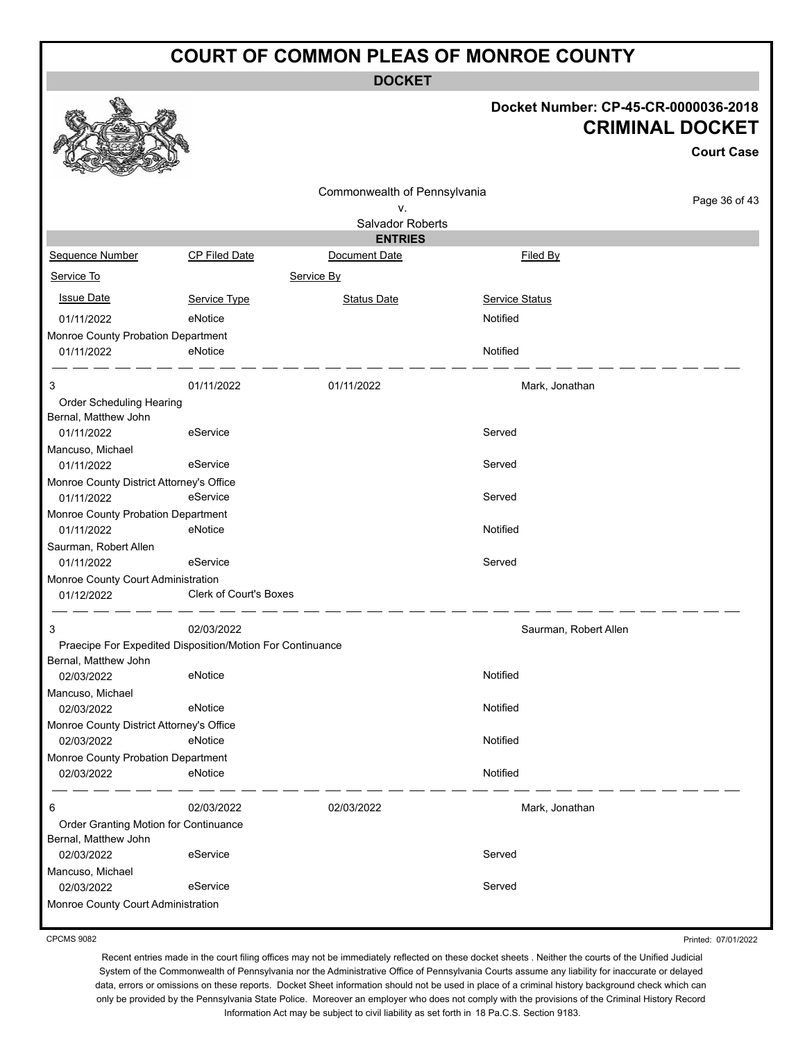**DOCKET**

### **Docket Number: CP-45-CR-0000036-2018 CRIMINAL DOCKET**

|                                                  |                                                           |                                    |                       | <b>Court Case</b> |
|--------------------------------------------------|-----------------------------------------------------------|------------------------------------|-----------------------|-------------------|
|                                                  |                                                           | Commonwealth of Pennsylvania<br>v. |                       | Page 36 of 43     |
|                                                  |                                                           | Salvador Roberts                   |                       |                   |
|                                                  |                                                           | <b>ENTRIES</b>                     |                       |                   |
| Sequence Number                                  | <b>CP Filed Date</b>                                      | Document Date                      | Filed By              |                   |
| Service To                                       |                                                           | Service By                         |                       |                   |
| <b>Issue Date</b>                                | Service Type                                              | <b>Status Date</b>                 | <b>Service Status</b> |                   |
| 01/11/2022                                       | eNotice                                                   |                                    | Notified              |                   |
| Monroe County Probation Department               |                                                           |                                    |                       |                   |
| 01/11/2022                                       | eNotice                                                   |                                    | Notified              |                   |
| 3                                                | 01/11/2022                                                | 01/11/2022                         | Mark, Jonathan        |                   |
| Order Scheduling Hearing                         |                                                           |                                    |                       |                   |
| Bernal, Matthew John                             |                                                           |                                    |                       |                   |
| 01/11/2022                                       | eService                                                  |                                    | Served                |                   |
| Mancuso, Michael<br>01/11/2022                   | eService                                                  |                                    | Served                |                   |
| Monroe County District Attorney's Office         |                                                           |                                    |                       |                   |
| 01/11/2022                                       | eService                                                  |                                    | Served                |                   |
| Monroe County Probation Department               |                                                           |                                    |                       |                   |
| 01/11/2022                                       | eNotice                                                   |                                    | Notified              |                   |
| Saurman, Robert Allen                            |                                                           |                                    |                       |                   |
| 01/11/2022                                       | eService                                                  |                                    | Served                |                   |
| Monroe County Court Administration<br>01/12/2022 | <b>Clerk of Court's Boxes</b>                             |                                    |                       |                   |
| 3                                                | 02/03/2022                                                |                                    | Saurman, Robert Allen |                   |
|                                                  | Praecipe For Expedited Disposition/Motion For Continuance |                                    |                       |                   |
| Bernal, Matthew John                             |                                                           |                                    |                       |                   |
| 02/03/2022                                       | eNotice                                                   |                                    | Notified              |                   |
| Mancuso, Michael<br>02/03/2022                   | eNotice                                                   |                                    | Notified              |                   |
| Monroe County District Attorney's Office         |                                                           |                                    |                       |                   |
| 02/03/2022                                       | eNotice                                                   |                                    | Notified              |                   |
| Monroe County Probation Department               |                                                           |                                    |                       |                   |
| 02/03/2022                                       | eNotice                                                   |                                    | Notified              |                   |
| 6                                                | 02/03/2022                                                | 02/03/2022                         | Mark, Jonathan        |                   |
| Order Granting Motion for Continuance            |                                                           |                                    |                       |                   |
| Bernal, Matthew John                             |                                                           |                                    |                       |                   |
| 02/03/2022                                       | eService                                                  |                                    | Served                |                   |
| Mancuso, Michael                                 |                                                           |                                    |                       |                   |
| 02/03/2022                                       | eService                                                  |                                    | Served                |                   |
| Monroe County Court Administration               |                                                           |                                    |                       |                   |

CPCMS 9082

Printed: 07/01/2022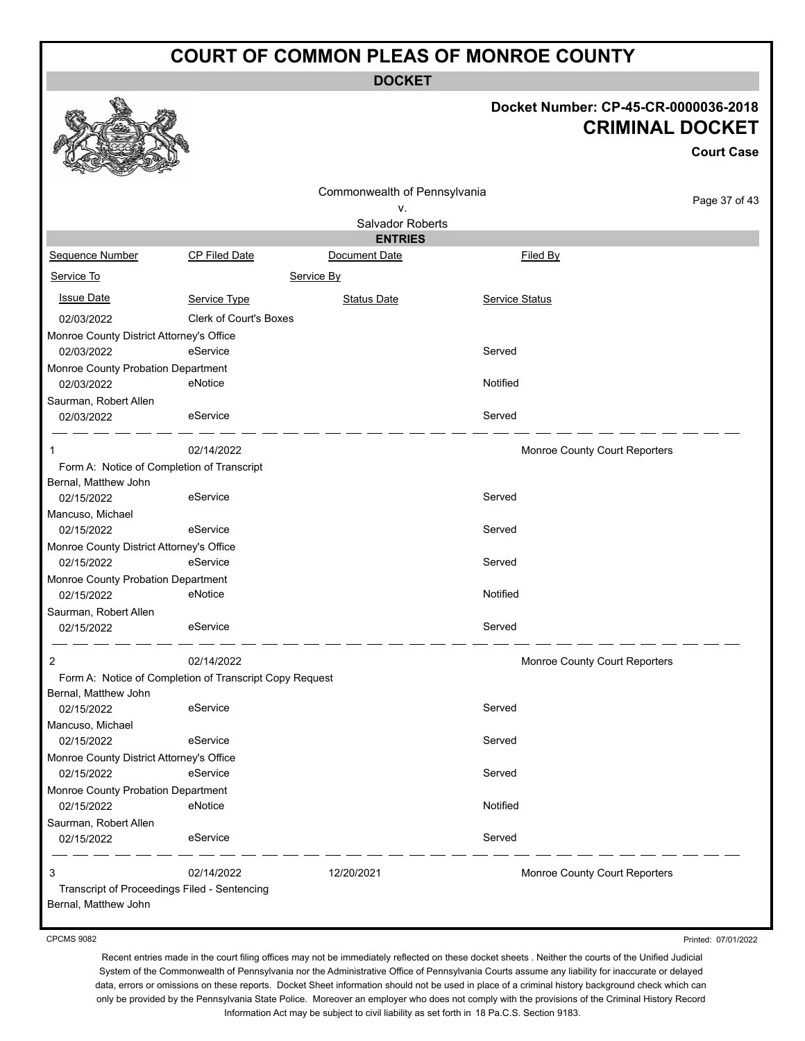**DOCKET**

### 8-2018 **CRET**

|                                                  |                                                         |                              | Docket Number: CP-45-CR-0000036-2018 |                        |  |
|--------------------------------------------------|---------------------------------------------------------|------------------------------|--------------------------------------|------------------------|--|
|                                                  |                                                         |                              |                                      | <b>CRIMINAL DOCKET</b> |  |
|                                                  |                                                         |                              |                                      | <b>Court Case</b>      |  |
|                                                  |                                                         | Commonwealth of Pennsylvania |                                      |                        |  |
|                                                  |                                                         | ٧.                           |                                      | Page 37 of 43          |  |
|                                                  |                                                         | Salvador Roberts             |                                      |                        |  |
|                                                  |                                                         | <b>ENTRIES</b>               |                                      |                        |  |
| Sequence Number                                  | CP Filed Date                                           | Document Date                | Filed By                             |                        |  |
| Service To                                       |                                                         | Service By                   |                                      |                        |  |
| <b>Issue Date</b>                                | Service Type                                            | <b>Status Date</b>           | Service Status                       |                        |  |
| 02/03/2022                                       | Clerk of Court's Boxes                                  |                              |                                      |                        |  |
| Monroe County District Attorney's Office         |                                                         |                              |                                      |                        |  |
| 02/03/2022                                       | eService                                                |                              | Served                               |                        |  |
| Monroe County Probation Department               |                                                         |                              |                                      |                        |  |
| 02/03/2022                                       | eNotice                                                 |                              | Notified                             |                        |  |
| Saurman, Robert Allen                            |                                                         |                              |                                      |                        |  |
| 02/03/2022                                       | eService                                                |                              | Served                               |                        |  |
| 1                                                | 02/14/2022                                              |                              | Monroe County Court Reporters        |                        |  |
|                                                  | Form A: Notice of Completion of Transcript              |                              |                                      |                        |  |
| Bernal, Matthew John                             |                                                         |                              |                                      |                        |  |
| 02/15/2022                                       | eService                                                |                              | Served                               |                        |  |
| Mancuso, Michael                                 |                                                         |                              |                                      |                        |  |
| 02/15/2022                                       | eService                                                |                              | Served                               |                        |  |
| Monroe County District Attorney's Office         |                                                         |                              |                                      |                        |  |
| 02/15/2022                                       | eService                                                |                              | Served                               |                        |  |
| Monroe County Probation Department               |                                                         |                              |                                      |                        |  |
| 02/15/2022                                       | eNotice                                                 |                              | Notified                             |                        |  |
| Saurman, Robert Allen                            |                                                         |                              |                                      |                        |  |
| 02/15/2022                                       | eService                                                |                              | Served                               |                        |  |
| 2                                                | 02/14/2022                                              |                              | Monroe County Court Reporters        |                        |  |
|                                                  | Form A: Notice of Completion of Transcript Copy Request |                              |                                      |                        |  |
| Bernal, Matthew John                             |                                                         |                              |                                      |                        |  |
| 02/15/2022                                       | eService                                                |                              | Served                               |                        |  |
| Mancuso, Michael                                 |                                                         |                              |                                      |                        |  |
| 02/15/2022                                       | eService                                                |                              | Served                               |                        |  |
| Monroe County District Attorney's Office         |                                                         |                              |                                      |                        |  |
| 02/15/2022                                       | eService                                                |                              | Served                               |                        |  |
| Monroe County Probation Department<br>02/15/2022 | eNotice                                                 |                              | Notified                             |                        |  |
|                                                  |                                                         |                              |                                      |                        |  |
| Saurman, Robert Allen<br>02/15/2022              | eService                                                |                              | Served                               |                        |  |
|                                                  |                                                         |                              |                                      |                        |  |
| 3                                                | 02/14/2022                                              | 12/20/2021                   | Monroe County Court Reporters        |                        |  |
| Bernal, Matthew John                             | Transcript of Proceedings Filed - Sentencing            |                              |                                      |                        |  |

Printed: 07/01/2022

Recent entries made in the court filing offices may not be immediately reflected on these docket sheets . Neither the courts of the Unified Judicial System of the Commonwealth of Pennsylvania nor the Administrative Office of Pennsylvania Courts assume any liability for inaccurate or delayed data, errors or omissions on these reports. Docket Sheet information should not be used in place of a criminal history background check which can only be provided by the Pennsylvania State Police. Moreover an employer who does not comply with the provisions of the Criminal History Record Information Act may be subject to civil liability as set forth in 18 Pa.C.S. Section 9183.



#### CPCMS 9082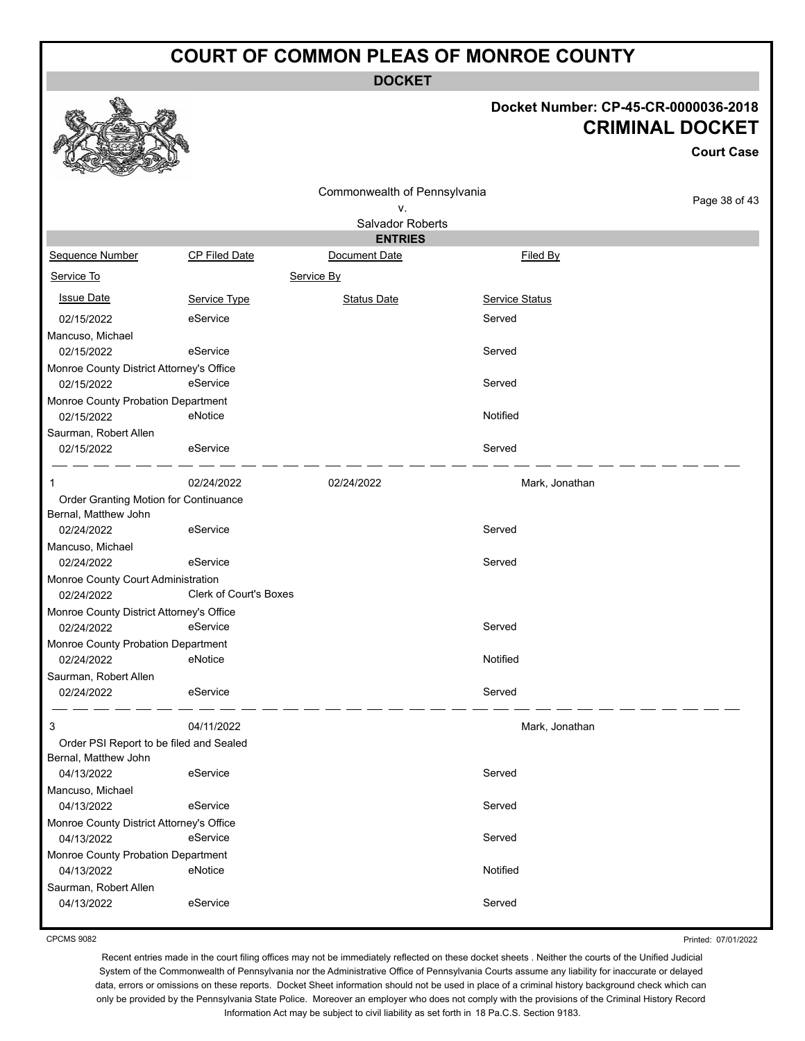**DOCKET**

#### **Docket Number: CP-45-CR-0000036-2018 CRIMINAL DOCKET**

**Court Case**

|                                                        |                               | Commonwealth of Pennsylvania |                       |               |
|--------------------------------------------------------|-------------------------------|------------------------------|-----------------------|---------------|
|                                                        |                               | ٧.                           |                       | Page 38 of 43 |
|                                                        |                               | Salvador Roberts             |                       |               |
|                                                        |                               | <b>ENTRIES</b>               |                       |               |
| Sequence Number                                        | <b>CP Filed Date</b>          | Document Date                | Filed By              |               |
| Service To                                             |                               | Service By                   |                       |               |
| <b>Issue Date</b>                                      | Service Type                  | <b>Status Date</b>           | <b>Service Status</b> |               |
| 02/15/2022                                             | eService                      |                              | Served                |               |
| Mancuso, Michael                                       |                               |                              |                       |               |
| 02/15/2022                                             | eService                      |                              | Served                |               |
| Monroe County District Attorney's Office<br>02/15/2022 | eService                      |                              | Served                |               |
| Monroe County Probation Department                     |                               |                              |                       |               |
| 02/15/2022                                             | eNotice                       |                              | Notified              |               |
| Saurman, Robert Allen                                  |                               |                              |                       |               |
| 02/15/2022                                             | eService                      |                              | Served                |               |
| 1                                                      | 02/24/2022                    | 02/24/2022                   | Mark, Jonathan        |               |
| Order Granting Motion for Continuance                  |                               |                              |                       |               |
| Bernal, Matthew John                                   |                               |                              |                       |               |
| 02/24/2022                                             | eService                      |                              | Served                |               |
| Mancuso, Michael                                       |                               |                              |                       |               |
| 02/24/2022                                             | eService                      |                              | Served                |               |
| Monroe County Court Administration                     |                               |                              |                       |               |
| 02/24/2022                                             | <b>Clerk of Court's Boxes</b> |                              |                       |               |
| Monroe County District Attorney's Office               |                               |                              |                       |               |
| 02/24/2022                                             | eService                      |                              | Served                |               |
| Monroe County Probation Department                     |                               |                              |                       |               |
| 02/24/2022                                             | eNotice                       |                              | Notified              |               |
| Saurman, Robert Allen                                  |                               |                              |                       |               |
| 02/24/2022                                             | eService                      |                              | Served                |               |
| 3                                                      | 04/11/2022                    |                              | Mark, Jonathan        |               |
| Order PSI Report to be filed and Sealed                |                               |                              |                       |               |
| Bernal, Matthew John                                   |                               |                              |                       |               |
| 04/13/2022                                             | eService                      |                              | Served                |               |
| Mancuso, Michael                                       |                               |                              |                       |               |
| 04/13/2022                                             | eService                      |                              | Served                |               |
| Monroe County District Attorney's Office               |                               |                              |                       |               |
| 04/13/2022                                             | eService                      |                              | Served                |               |
| Monroe County Probation Department                     |                               |                              |                       |               |
| 04/13/2022                                             | eNotice                       |                              | Notified              |               |
| Saurman, Robert Allen                                  |                               |                              |                       |               |
| 04/13/2022                                             | eService                      |                              | Served                |               |
|                                                        |                               |                              |                       |               |

CPCMS 9082

Printed: 07/01/2022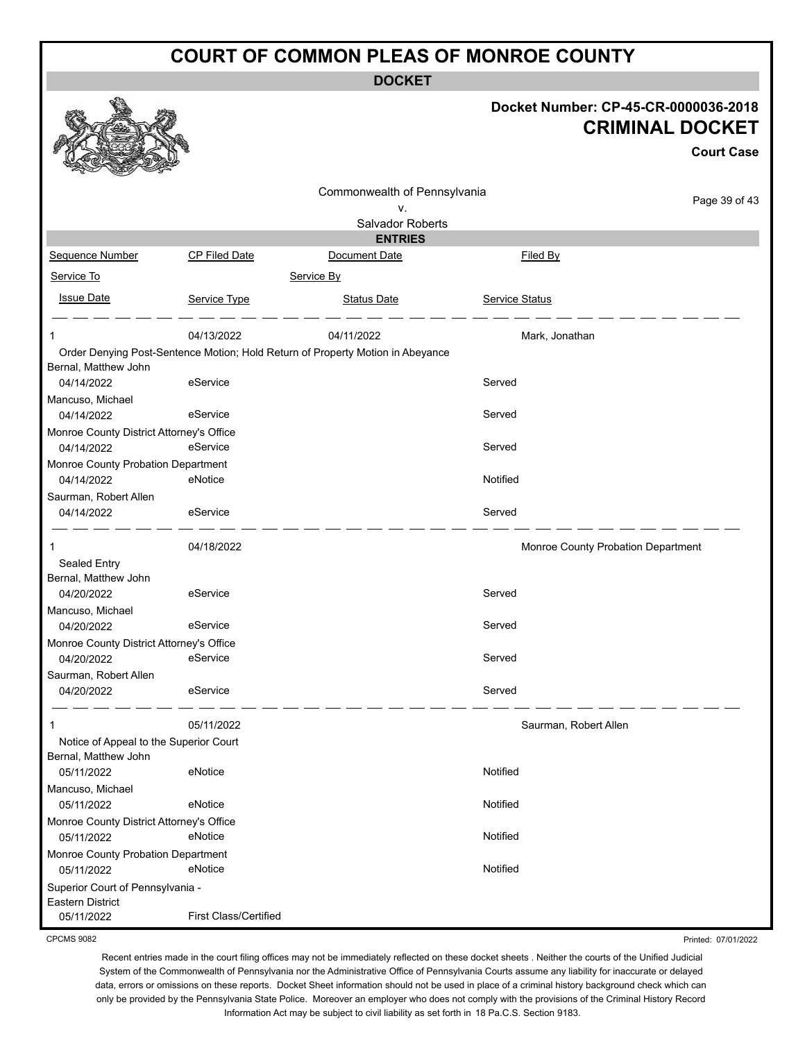**DOCKET**

|                                                        |                       |                                                                                |                | Docket Number: CP-45-CR-0000036-2018<br><b>CRIMINAL DOCKET</b><br><b>Court Case</b> |
|--------------------------------------------------------|-----------------------|--------------------------------------------------------------------------------|----------------|-------------------------------------------------------------------------------------|
|                                                        |                       | Commonwealth of Pennsylvania                                                   |                | Page 39 of 43                                                                       |
|                                                        |                       | ۷.<br>Salvador Roberts                                                         |                |                                                                                     |
|                                                        |                       | <b>ENTRIES</b>                                                                 |                |                                                                                     |
| Sequence Number                                        | CP Filed Date         | Document Date                                                                  |                | Filed By                                                                            |
| Service To                                             |                       | Service By                                                                     |                |                                                                                     |
| <b>Issue Date</b>                                      | Service Type          | <b>Status Date</b>                                                             | Service Status |                                                                                     |
|                                                        | 04/13/2022            | 04/11/2022                                                                     |                | Mark, Jonathan                                                                      |
| Bernal, Matthew John                                   |                       | Order Denying Post-Sentence Motion; Hold Return of Property Motion in Abeyance |                |                                                                                     |
| 04/14/2022                                             | eService              |                                                                                | Served         |                                                                                     |
| Mancuso, Michael                                       |                       |                                                                                |                |                                                                                     |
| 04/14/2022                                             | eService              |                                                                                | Served         |                                                                                     |
| Monroe County District Attorney's Office               |                       |                                                                                |                |                                                                                     |
| 04/14/2022                                             | eService              |                                                                                | Served         |                                                                                     |
| Monroe County Probation Department<br>04/14/2022       | eNotice               |                                                                                | Notified       |                                                                                     |
| Saurman, Robert Allen                                  |                       |                                                                                |                |                                                                                     |
| 04/14/2022                                             | eService              |                                                                                | Served         |                                                                                     |
| 1                                                      | 04/18/2022            |                                                                                |                | Monroe County Probation Department                                                  |
| Sealed Entry                                           |                       |                                                                                |                |                                                                                     |
| Bernal, Matthew John                                   |                       |                                                                                |                |                                                                                     |
| 04/20/2022                                             | eService              |                                                                                | Served         |                                                                                     |
| Mancuso, Michael                                       |                       |                                                                                |                |                                                                                     |
| 04/20/2022                                             | eService              |                                                                                | Served         |                                                                                     |
| Monroe County District Attorney's Office<br>04/20/2022 | eService              |                                                                                | Served         |                                                                                     |
| Saurman, Robert Allen                                  |                       |                                                                                |                |                                                                                     |
| 04/20/2022                                             | eService              |                                                                                | Served         |                                                                                     |
|                                                        | 05/11/2022            |                                                                                |                | Saurman, Robert Allen                                                               |
| Notice of Appeal to the Superior Court                 |                       |                                                                                |                |                                                                                     |
| Bernal, Matthew John                                   |                       |                                                                                |                |                                                                                     |
| 05/11/2022                                             | eNotice               |                                                                                | Notified       |                                                                                     |
| Mancuso, Michael<br>05/11/2022                         | eNotice               |                                                                                | Notified       |                                                                                     |
| Monroe County District Attorney's Office               |                       |                                                                                |                |                                                                                     |
| 05/11/2022                                             | eNotice               |                                                                                | Notified       |                                                                                     |
| Monroe County Probation Department                     |                       |                                                                                |                |                                                                                     |
| 05/11/2022                                             | eNotice               |                                                                                | Notified       |                                                                                     |
| Superior Court of Pennsylvania -                       |                       |                                                                                |                |                                                                                     |
| Eastern District<br>05/11/2022                         | First Class/Certified |                                                                                |                |                                                                                     |

CPCMS 9082

Recent entries made in the court filing offices may not be immediately reflected on these docket sheets . Neither the courts of the Unified Judicial System of the Commonwealth of Pennsylvania nor the Administrative Office of Pennsylvania Courts assume any liability for inaccurate or delayed data, errors or omissions on these reports. Docket Sheet information should not be used in place of a criminal history background check which can only be provided by the Pennsylvania State Police. Moreover an employer who does not comply with the provisions of the Criminal History Record Information Act may be subject to civil liability as set forth in 18 Pa.C.S. Section 9183.

Printed: 07/01/2022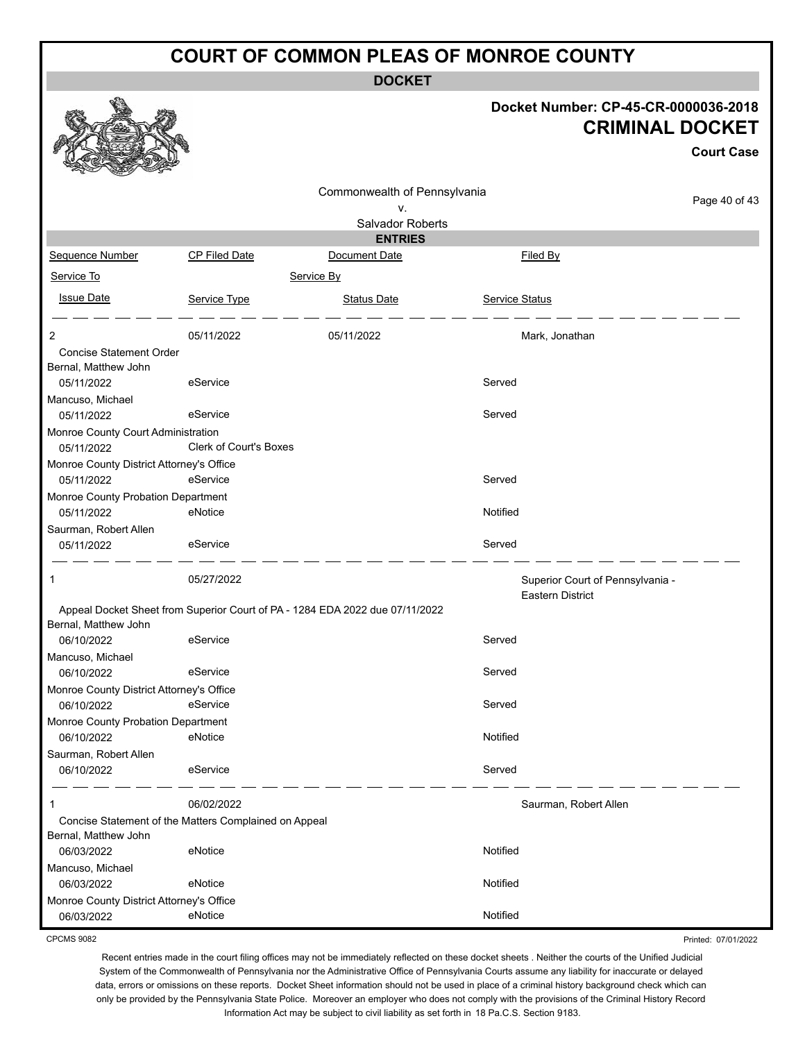**DOCKET**

#### **Docket Number: CP-45-CR-0000036-2018 CRIMINAL DOCKET**

**Court Case**

Printed: 07/01/2022

|                                                        |                        | Commonwealth of Pennsylvania                                                 |                                                      |               |
|--------------------------------------------------------|------------------------|------------------------------------------------------------------------------|------------------------------------------------------|---------------|
|                                                        |                        | ۷.                                                                           |                                                      | Page 40 of 43 |
|                                                        |                        | <b>Salvador Roberts</b>                                                      |                                                      |               |
|                                                        |                        | <b>ENTRIES</b>                                                               |                                                      |               |
| Sequence Number                                        | <b>CP Filed Date</b>   | Document Date                                                                | Filed By                                             |               |
| Service To                                             |                        | Service By                                                                   |                                                      |               |
| <b>Issue Date</b>                                      | Service Type           | <b>Status Date</b>                                                           | Service Status                                       |               |
| 2                                                      | 05/11/2022             | 05/11/2022                                                                   | Mark, Jonathan                                       |               |
| <b>Concise Statement Order</b><br>Bernal, Matthew John |                        |                                                                              |                                                      |               |
| 05/11/2022                                             | eService               |                                                                              | Served                                               |               |
| Mancuso, Michael<br>05/11/2022                         | eService               |                                                                              | Served                                               |               |
| Monroe County Court Administration                     |                        |                                                                              |                                                      |               |
| 05/11/2022                                             | Clerk of Court's Boxes |                                                                              |                                                      |               |
| Monroe County District Attorney's Office<br>05/11/2022 | eService               |                                                                              | Served                                               |               |
| Monroe County Probation Department<br>05/11/2022       | eNotice                |                                                                              | Notified                                             |               |
| Saurman, Robert Allen<br>05/11/2022                    | eService               |                                                                              | Served                                               |               |
| 1                                                      | 05/27/2022             |                                                                              | Superior Court of Pennsylvania -<br>Eastern District |               |
| Bernal, Matthew John                                   |                        | Appeal Docket Sheet from Superior Court of PA - 1284 EDA 2022 due 07/11/2022 |                                                      |               |
| 06/10/2022                                             | eService               |                                                                              | Served                                               |               |
| Mancuso, Michael                                       |                        |                                                                              |                                                      |               |
| 06/10/2022                                             | eService               |                                                                              | Served                                               |               |
| Monroe County District Attorney's Office<br>06/10/2022 | eService               |                                                                              | Served                                               |               |
| Monroe County Probation Department<br>06/10/2022       | eNotice                |                                                                              | Notified                                             |               |
| Saurman, Robert Allen<br>06/10/2022                    | eService               |                                                                              | Served                                               |               |
| 1                                                      | 06/02/2022             |                                                                              | Saurman, Robert Allen                                |               |
| Concise Statement of the Matters Complained on Appeal  |                        |                                                                              |                                                      |               |
| Bernal, Matthew John<br>06/03/2022                     | eNotice                |                                                                              | Notified                                             |               |
| Mancuso, Michael                                       |                        |                                                                              |                                                      |               |
| 06/03/2022                                             | eNotice                |                                                                              | Notified                                             |               |
| Monroe County District Attorney's Office               |                        |                                                                              |                                                      |               |
| 06/03/2022                                             | eNotice                |                                                                              | Notified                                             |               |

CPCMS 9082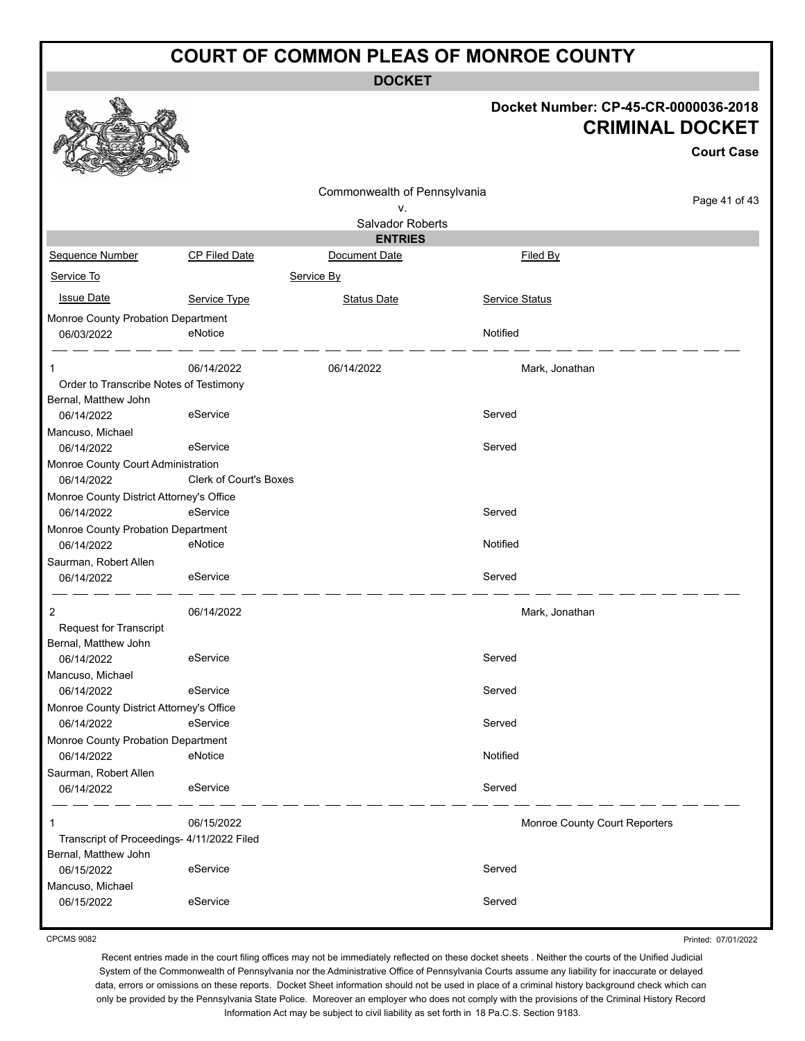**DOCKET**

#### **Docket Number: CP-45-CR-0000036-2018 CRIMINAL DOCKET**

**Court Case**

|                                            |                               |                              |                               | UUUI LUQSU |  |  |  |  |  |  |
|--------------------------------------------|-------------------------------|------------------------------|-------------------------------|------------|--|--|--|--|--|--|
|                                            |                               | Commonwealth of Pennsylvania |                               |            |  |  |  |  |  |  |
|                                            | Page 41 of 43                 |                              |                               |            |  |  |  |  |  |  |
|                                            |                               | ٧.<br>Salvador Roberts       |                               |            |  |  |  |  |  |  |
| <b>ENTRIES</b>                             |                               |                              |                               |            |  |  |  |  |  |  |
| Sequence Number                            | <b>CP Filed Date</b>          | Document Date                | Filed By                      |            |  |  |  |  |  |  |
| Service To                                 |                               | Service By                   |                               |            |  |  |  |  |  |  |
| <b>Issue Date</b>                          | Service Type                  | <b>Status Date</b>           | <b>Service Status</b>         |            |  |  |  |  |  |  |
| Monroe County Probation Department         |                               |                              |                               |            |  |  |  |  |  |  |
| 06/03/2022                                 | eNotice                       |                              | Notified                      |            |  |  |  |  |  |  |
|                                            | 06/14/2022                    | 06/14/2022                   | Mark, Jonathan                |            |  |  |  |  |  |  |
| Order to Transcribe Notes of Testimony     |                               |                              |                               |            |  |  |  |  |  |  |
| Bernal, Matthew John                       |                               |                              |                               |            |  |  |  |  |  |  |
| 06/14/2022                                 | eService                      |                              | Served                        |            |  |  |  |  |  |  |
| Mancuso, Michael                           |                               |                              |                               |            |  |  |  |  |  |  |
| 06/14/2022                                 | eService                      |                              | Served                        |            |  |  |  |  |  |  |
| Monroe County Court Administration         |                               |                              |                               |            |  |  |  |  |  |  |
| 06/14/2022                                 | <b>Clerk of Court's Boxes</b> |                              |                               |            |  |  |  |  |  |  |
| Monroe County District Attorney's Office   |                               |                              |                               |            |  |  |  |  |  |  |
| 06/14/2022                                 | eService                      |                              | Served                        |            |  |  |  |  |  |  |
| Monroe County Probation Department         |                               |                              |                               |            |  |  |  |  |  |  |
| 06/14/2022                                 | eNotice                       |                              | Notified                      |            |  |  |  |  |  |  |
| Saurman, Robert Allen                      |                               |                              |                               |            |  |  |  |  |  |  |
| 06/14/2022                                 | eService                      |                              | Served                        |            |  |  |  |  |  |  |
| 2                                          | 06/14/2022                    |                              | Mark, Jonathan                |            |  |  |  |  |  |  |
| <b>Request for Transcript</b>              |                               |                              |                               |            |  |  |  |  |  |  |
| Bernal, Matthew John                       |                               |                              |                               |            |  |  |  |  |  |  |
| 06/14/2022                                 | eService                      |                              | Served                        |            |  |  |  |  |  |  |
| Mancuso, Michael                           |                               |                              |                               |            |  |  |  |  |  |  |
| 06/14/2022                                 | eService                      |                              | Served                        |            |  |  |  |  |  |  |
| Monroe County District Attorney's Office   |                               |                              |                               |            |  |  |  |  |  |  |
| 06/14/2022                                 | eService                      |                              | Served                        |            |  |  |  |  |  |  |
| Monroe County Probation Department         |                               |                              |                               |            |  |  |  |  |  |  |
| 06/14/2022                                 | eNotice                       |                              | Notified                      |            |  |  |  |  |  |  |
| Saurman, Robert Allen<br>06/14/2022        | eService                      |                              | Served                        |            |  |  |  |  |  |  |
|                                            |                               |                              |                               |            |  |  |  |  |  |  |
| 1                                          | 06/15/2022                    |                              | Monroe County Court Reporters |            |  |  |  |  |  |  |
| Transcript of Proceedings- 4/11/2022 Filed |                               |                              |                               |            |  |  |  |  |  |  |
| Bernal, Matthew John                       |                               |                              |                               |            |  |  |  |  |  |  |
| 06/15/2022                                 | eService                      |                              | Served                        |            |  |  |  |  |  |  |
| Mancuso, Michael                           |                               |                              |                               |            |  |  |  |  |  |  |
| 06/15/2022                                 | eService                      |                              | Served                        |            |  |  |  |  |  |  |
|                                            |                               |                              |                               |            |  |  |  |  |  |  |

CPCMS 9082

Printed: 07/01/2022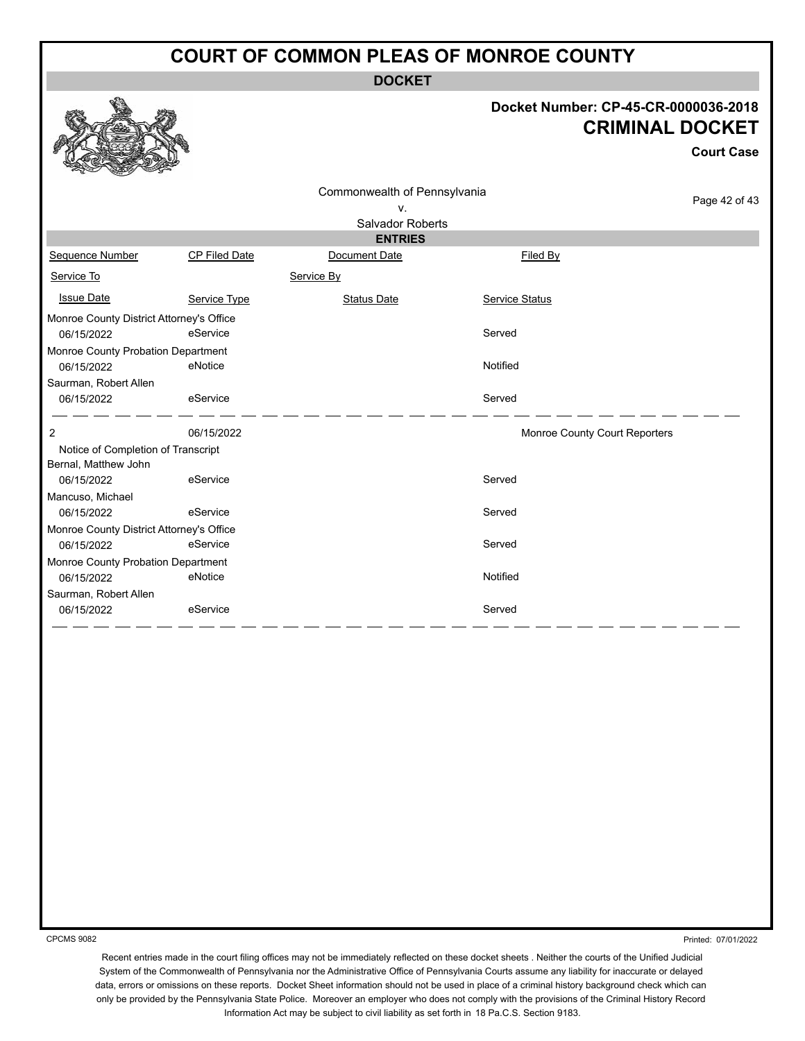**DOCKET**

#### **Docket Number: CP-45-CR-0000036-2018 CRIMINAL DOCKET**

**Court Case**

#### Page 42 of 43 Commonwealth of Pennsylvania v. Salvador Roberts **ENTRIES** Sequence Number CP Filed Date Document Date CP Filed By Service To Service By **Issue Date Service Type** Service Type Status Date Service Status Date Service Status Service Status **Service Status** Monroe County District Attorney's Office 06/15/2022 eService entertainment of the Served Monroe County Probation Department 06/15/2022 eNotice Notified Saurman, Robert Allen 06/15/2022 eService exercises and the Served 2 06/15/2022 Monroe County Court Reporters Notice of Completion of Transcript Bernal, Matthew John 06/15/2022 eService exercise and the Served Mancuso, Michael 06/15/2022 eService exercises and the Served Monroe County District Attorney's Office 06/15/2022 eService entertainment of the Served Monroe County Probation Department 06/15/2022 eNotice Notified Saurman, Robert Allen 06/15/2022 eService exercise and the Served

CPCMS 9082

Printed: 07/01/2022